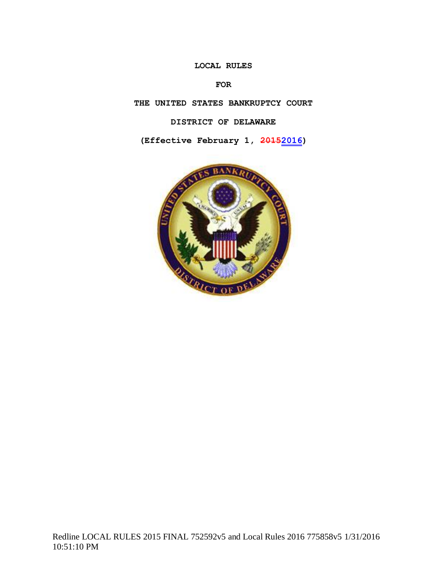#### **LOCAL RULES**

## **FOR**

**THE UNITED STATES BANKRUPTCY COURT**

## **DISTRICT OF DELAWARE**

**(Effective February 1, 20152016)**

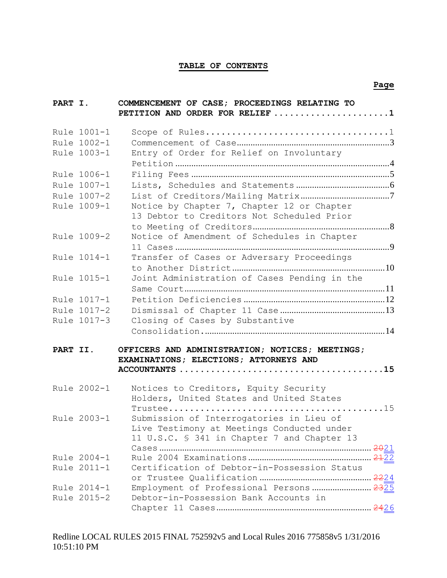### **TABLE OF CONTENTS**

### **Page**

| PART I.  |             | COMMENCEMENT OF CASE; PROCEEDINGS RELATING TO                                                           |  |
|----------|-------------|---------------------------------------------------------------------------------------------------------|--|
|          |             | PETITION AND ORDER FOR RELIEF 1                                                                         |  |
|          | Rule 1001-1 |                                                                                                         |  |
|          |             |                                                                                                         |  |
|          | Rule 1002-1 |                                                                                                         |  |
|          | Rule 1003-1 | Entry of Order for Relief on Involuntary                                                                |  |
|          |             |                                                                                                         |  |
|          | Rule 1006-1 |                                                                                                         |  |
|          | Rule 1007-1 |                                                                                                         |  |
|          | Rule 1007-2 |                                                                                                         |  |
|          | Rule 1009-1 | Notice by Chapter 7, Chapter 12 or Chapter                                                              |  |
|          |             | 13 Debtor to Creditors Not Scheduled Prior                                                              |  |
|          |             |                                                                                                         |  |
|          | Rule 1009-2 | Notice of Amendment of Schedules in Chapter                                                             |  |
|          |             |                                                                                                         |  |
|          | Rule 1014-1 | Transfer of Cases or Adversary Proceedings                                                              |  |
|          |             |                                                                                                         |  |
|          | Rule 1015-1 | Joint Administration of Cases Pending in the                                                            |  |
|          |             |                                                                                                         |  |
|          | Rule 1017-1 |                                                                                                         |  |
|          | Rule 1017-2 |                                                                                                         |  |
|          | Rule 1017-3 | Closing of Cases by Substantive                                                                         |  |
|          |             |                                                                                                         |  |
|          |             |                                                                                                         |  |
| PART II. |             | OFFICERS AND ADMINISTRATION; NOTICES; MEETINGS;                                                         |  |
|          |             | EXAMINATIONS; ELECTIONS; ATTORNEYS AND                                                                  |  |
|          |             |                                                                                                         |  |
|          |             |                                                                                                         |  |
|          | Rule 2002-1 | Notices to Creditors, Equity Security                                                                   |  |
|          |             | Holders, United States and United States                                                                |  |
|          |             | $Trustee \ldots \ldots \ldots \ldots \ldots \ldots \ldots \ldots \ldots \ldots \ldots \ldots \ldots 15$ |  |
|          | Rule 2003-1 | Submission of Interrogatories in Lieu of                                                                |  |
|          |             | Live Testimony at Meetings Conducted under                                                              |  |
|          |             | 11 U.S.C. § 341 in Chapter 7 and Chapter 13                                                             |  |
|          |             |                                                                                                         |  |
|          | Rule 2004-1 |                                                                                                         |  |
|          | Rule 2011-1 | Certification of Debtor-in-Possession Status                                                            |  |
|          |             |                                                                                                         |  |
|          | Rule 2014-1 | Employment of Professional Persons 2325                                                                 |  |
|          | Rule 2015-2 | Debtor-in-Possession Bank Accounts in                                                                   |  |
|          |             |                                                                                                         |  |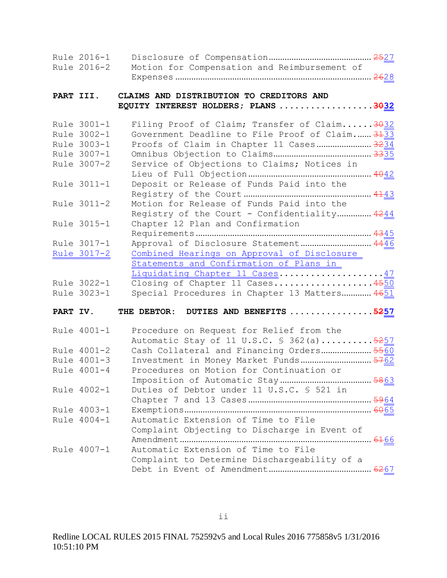|           | Rule 2016-1 |                                                 |  |
|-----------|-------------|-------------------------------------------------|--|
|           | Rule 2016-2 | Motion for Compensation and Reimbursement of    |  |
|           |             |                                                 |  |
| PART III. |             | CLAIMS AND DISTRIBUTION TO CREDITORS AND        |  |
|           |             | EQUITY INTEREST HOLDERS; PLANS 3032             |  |
|           | Rule 3001-1 | Filing Proof of Claim; Transfer of Claim 3032   |  |
|           | Rule 3002-1 | Government Deadline to File Proof of Claim 3133 |  |
|           | Rule 3003-1 |                                                 |  |
|           | Rule 3007-1 |                                                 |  |
|           | Rule 3007-2 | Service of Objections to Claims; Notices in     |  |
|           | Rule 3011-1 | Deposit or Release of Funds Paid into the       |  |
|           |             |                                                 |  |
|           | Rule 3011-2 | Motion for Release of Funds Paid into the       |  |
|           |             | Registry of the Court - Confidentiality 4244    |  |
|           | Rule 3015-1 | Chapter 12 Plan and Confirmation                |  |
|           |             |                                                 |  |
|           | Rule 3017-1 | Approval of Disclosure Statement 4446           |  |
|           | Rule 3017-2 | Combined Hearings on Approval of Disclosure     |  |
|           |             | Statements and Confirmation of Plans in         |  |
|           |             | Liquidating Chapter 11 Cases47                  |  |
|           | Rule 3022-1 | Closing of Chapter 11 Cases4550                 |  |
|           | Rule 3023-1 | Special Procedures in Chapter 13 Matters 4651   |  |
| PART IV.  |             | THE DEBTOR: DUTIES AND BENEFITS  5257           |  |
|           | Rule 4001-1 | Procedure on Request for Relief from the        |  |
|           |             | Automatic Stay of 11 U.S.C. § 362(a) 5257       |  |
|           | Rule 4001-2 | Cash Collateral and Financing Orders 5560       |  |
|           | Rule 4001-3 |                                                 |  |
|           | Rule 4001-4 | Procedures on Motion for Continuation or        |  |
|           |             |                                                 |  |
|           | Rule 4002-1 | Duties of Debtor under 11 U.S.C. § 521 in       |  |
|           |             |                                                 |  |
|           | Rule 4003-1 |                                                 |  |
|           | Rule 4004-1 | Automatic Extension of Time to File             |  |
|           |             | Complaint Objecting to Discharge in Event of    |  |
|           |             |                                                 |  |
|           | Rule 4007-1 | Automatic Extension of Time to File             |  |
|           |             | Complaint to Determine Dischargeability of a    |  |
|           |             |                                                 |  |

Redline LOCAL RULES 2015 FINAL 752592v5 and Local Rules 2016 775858v5 1/31/2016 10:51:10 PM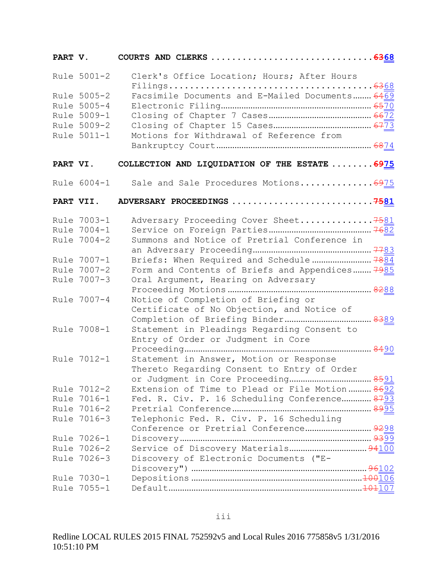| PART V.  |                                                                         |                                                                                             |  |
|----------|-------------------------------------------------------------------------|---------------------------------------------------------------------------------------------|--|
|          | Rule 5001-2                                                             | Clerk's Office Location; Hours; After Hours                                                 |  |
|          | Rule 5005-2<br>Rule 5005-4<br>Rule 5009-1<br>Rule 5009-2<br>Rule 5011-1 | Facsimile Documents and E-Mailed Documents 6469<br>Motions for Withdrawal of Reference from |  |
| PART VI. |                                                                         | COLLECTION AND LIQUIDATION OF THE ESTATE  6975                                              |  |
|          | Rule 6004-1                                                             | Sale and Sale Procedures Motions 6975                                                       |  |
|          | PART VII.                                                               |                                                                                             |  |
|          | Rule 7003-1                                                             | Adversary Proceeding Cover Sheet7581                                                        |  |
|          | Rule 7004-1                                                             |                                                                                             |  |
|          | Rule 7004-2                                                             | Summons and Notice of Pretrial Conference in                                                |  |
|          |                                                                         |                                                                                             |  |
|          | Rule 7007-1                                                             |                                                                                             |  |
|          | Rule 7007-2                                                             | Form and Contents of Briefs and Appendices 7985                                             |  |
|          | Rule 7007-3                                                             | Oral Argument, Hearing on Adversary                                                         |  |
|          |                                                                         |                                                                                             |  |
|          | Rule 7007-4                                                             | Notice of Completion of Briefing or                                                         |  |
|          |                                                                         | Certificate of No Objection, and Notice of                                                  |  |
|          |                                                                         |                                                                                             |  |
|          | Rule 7008-1                                                             | Statement in Pleadings Regarding Consent to                                                 |  |
|          |                                                                         | Entry of Order or Judgment in Core                                                          |  |
|          |                                                                         |                                                                                             |  |
|          | Rule 7012-1                                                             | Statement in Answer, Motion or Response                                                     |  |
|          |                                                                         | Thereto Regarding Consent to Entry of Order                                                 |  |
|          |                                                                         | or Judgment in Core Proceeding 8591                                                         |  |
|          | Rule 7012-2                                                             | Extension of Time to Plead or File Motion 8692                                              |  |
|          | Rule 7016-1                                                             | Fed. R. Civ. P. 16 Scheduling Conference 8793                                               |  |
|          | Rule 7016-2                                                             |                                                                                             |  |
|          | Rule 7016-3                                                             | Telephonic Fed. R. Civ. P. 16 Scheduling                                                    |  |
|          |                                                                         | Conference or Pretrial Conference 9298                                                      |  |
|          | Rule 7026-1                                                             |                                                                                             |  |
|          | Rule 7026-2                                                             |                                                                                             |  |
|          | Rule 7026-3                                                             | Discovery of Electronic Documents ("E-                                                      |  |
|          |                                                                         |                                                                                             |  |
|          | Rule 7030-1                                                             |                                                                                             |  |
|          | Rule 7055-1                                                             |                                                                                             |  |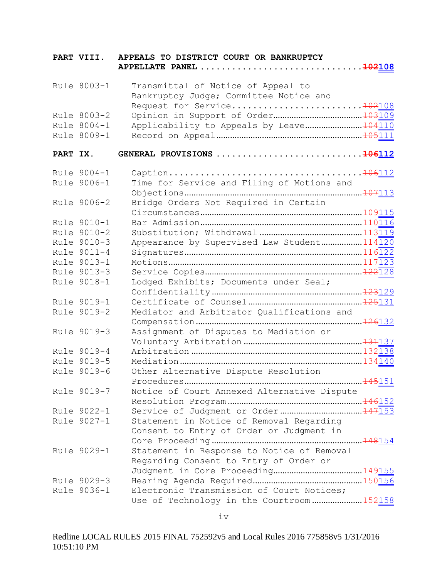|          | PART VIII.  | APPEALS TO DISTRICT COURT OR BANKRUPTCY     |  |
|----------|-------------|---------------------------------------------|--|
|          |             | APPELLATE PANEL  102108                     |  |
|          | Rule 8003-1 | Transmittal of Notice of Appeal to          |  |
|          |             | Bankruptcy Judge; Committee Notice and      |  |
|          |             | Request for Service102108                   |  |
|          | Rule 8003-2 |                                             |  |
|          | Rule 8004-1 |                                             |  |
|          | Rule 8009-1 |                                             |  |
| PART IX. |             | GENERAL PROVISIONS 106112                   |  |
|          | Rule 9004-1 |                                             |  |
|          | Rule 9006-1 | Time for Service and Filing of Motions and  |  |
|          |             |                                             |  |
|          | Rule 9006-2 | Bridge Orders Not Required in Certain       |  |
|          |             |                                             |  |
|          | Rule 9010-1 |                                             |  |
|          | Rule 9010-2 |                                             |  |
|          | Rule 9010-3 | Appearance by Supervised Law Student 114120 |  |
|          | Rule 9011-4 |                                             |  |
|          | Rule 9013-1 |                                             |  |
|          | Rule 9013-3 |                                             |  |
|          | Rule 9018-1 | Lodged Exhibits; Documents under Seal;      |  |
|          |             |                                             |  |
|          | Rule 9019-1 |                                             |  |
|          | Rule 9019-2 | Mediator and Arbitrator Qualifications and  |  |
|          |             |                                             |  |
|          | Rule 9019-3 | Assignment of Disputes to Mediation or      |  |
|          |             |                                             |  |
|          | Rule 9019-4 |                                             |  |
|          | Rule 9019-5 |                                             |  |
|          | Rule 9019-6 | Other Alternative Dispute Resolution        |  |
|          |             |                                             |  |
|          | Rule 9019-7 | Notice of Court Annexed Alternative Dispute |  |
|          |             |                                             |  |
|          | Rule 9022-1 |                                             |  |
|          | Rule 9027-1 | Statement in Notice of Removal Regarding    |  |
|          |             | Consent to Entry of Order or Judgment in    |  |
|          |             |                                             |  |
|          | Rule 9029-1 | Statement in Response to Notice of Removal  |  |
|          |             | Regarding Consent to Entry of Order or      |  |
|          |             |                                             |  |
|          | Rule 9029-3 |                                             |  |
|          | Rule 9036-1 | Electronic Transmission of Court Notices;   |  |
|          |             |                                             |  |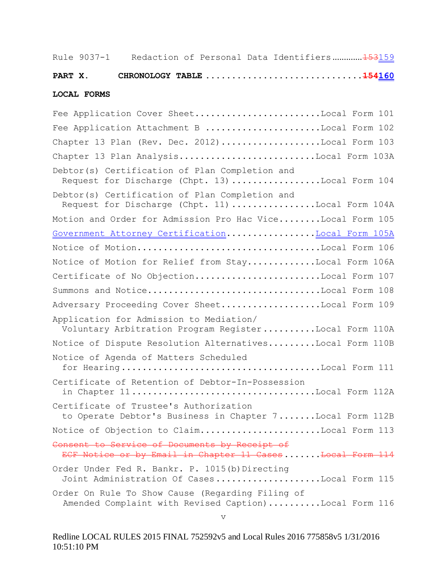Rule 9037-1 Redaction of Personal Data Identifiers............ 453159

# **PART X. CHRONOLOGY TABLE ..............................154160**

#### **LOCAL FORMS**

Fee Application Cover Sheet........................Local Form 101 Fee Application Attachment B ......................Local Form 102 Chapter 13 Plan (Rev. Dec. 2012)...................Local Form 103 Chapter 13 Plan Analysis..........................Local Form 103A Debtor(s) Certification of Plan Completion and Request for Discharge (Chpt. 13) .................Local Form 104 Debtor(s) Certification of Plan Completion and Request for Discharge (Chpt. 11)................Local Form 104A Motion and Order for Admission Pro Hac Vice........Local Form 105 Government Attorney Certification.................Local Form 105A Notice of Motion..................................Local Form 106 Notice of Motion for Relief from Stay............Local Form 106A Certificate of No Objection........................Local Form 107 Summons and Notice.................................Local Form 108 Adversary Proceeding Cover Sheet..................Local Form 109 Application for Admission to Mediation/ Voluntary Arbitration Program Register..........Local Form 110A Notice of Dispute Resolution Alternatives.........Local Form 110B Notice of Agenda of Matters Scheduled for Hearing......................................Local Form 111 Certificate of Retention of Debtor-In-Possession in Chapter 11...................................Local Form 112A Certificate of Trustee's Authorization to Operate Debtor's Business in Chapter 7.......Local Form 112B Notice of Objection to Claim.......................Local Form 113 Consent to Service of Documents by Receipt of ECF Notice or by Email in Chapter 11 Cases.......Local Form 114 Order Under Fed R. Bankr. P. 1015(b)Directing Joint Administration Of Cases....................Local Form 115 Order On Rule To Show Cause (Regarding Filing of Amended Complaint with Revised Caption)..........Local Form 116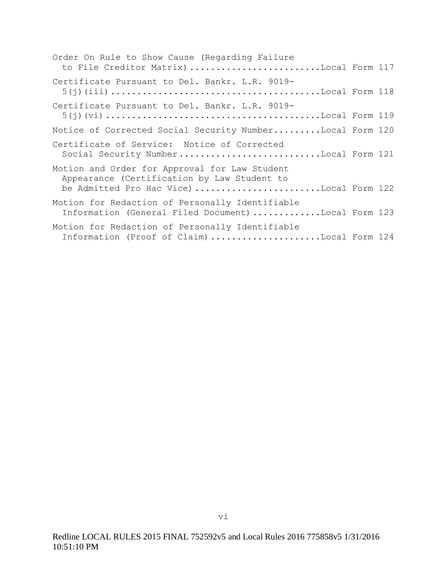| Order On Rule to Show Cause (Regarding Failure<br>to File Creditor Matrix) Local Form 117                                                |  |
|------------------------------------------------------------------------------------------------------------------------------------------|--|
| Certificate Pursuant to Del. Bankr. L.R. 9019-                                                                                           |  |
| Certificate Pursuant to Del. Bankr. L.R. 9019-                                                                                           |  |
| Notice of Corrected Social Security NumberLocal Form 120                                                                                 |  |
| Certificate of Service: Notice of Corrected<br>Social Security NumberLocal Form 121                                                      |  |
| Motion and Order for Approval for Law Student<br>Appearance (Certification by Law Student to<br>be Admitted Pro Hac Vice) Local Form 122 |  |
| Motion for Redaction of Personally Identifiable<br>Information (General Filed Document) Local Form 123                                   |  |
| Motion for Redaction of Personally Identifiable<br>Information (Proof of Claim) Local Form 124                                           |  |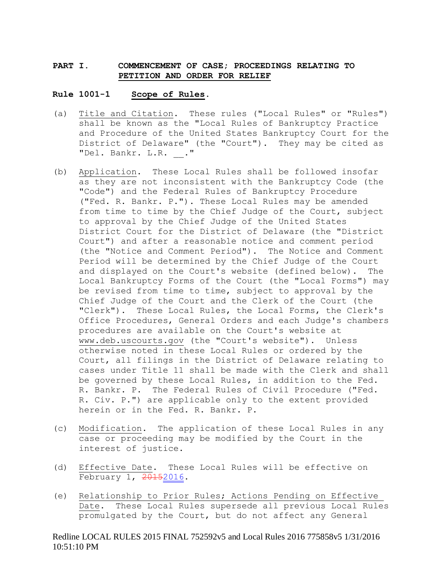## **PART I. COMMENCEMENT OF CASE; PROCEEDINGS RELATING TO PETITION AND ORDER FOR RELIEF**

### **Rule 1001-1 Scope of Rules**.

- (a) Title and Citation. These rules ("Local Rules" or "Rules") shall be known as the "Local Rules of Bankruptcy Practice and Procedure of the United States Bankruptcy Court for the District of Delaware" (the "Court"). They may be cited as "Del. Bankr. L.R. ."
- (b) Application. These Local Rules shall be followed insofar as they are not inconsistent with the Bankruptcy Code (the "Code") and the Federal Rules of Bankruptcy Procedure ("Fed. R. Bankr. P."). These Local Rules may be amended from time to time by the Chief Judge of the Court, subject to approval by the Chief Judge of the United States District Court for the District of Delaware (the "District Court") and after a reasonable notice and comment period (the "Notice and Comment Period"). The Notice and Comment Period will be determined by the Chief Judge of the Court and displayed on the Court's website (defined below). The Local Bankruptcy Forms of the Court (the "Local Forms") may be revised from time to time, subject to approval by the Chief Judge of the Court and the Clerk of the Court (the "Clerk"). These Local Rules, the Local Forms, the Clerk's Office Procedures, General Orders and each Judge's chambers procedures are available on the Court's website at www.deb.uscourts.gov (the "Court's website"). Unless otherwise noted in these Local Rules or ordered by the Court, all filings in the District of Delaware relating to cases under Title 11 shall be made with the Clerk and shall be governed by these Local Rules, in addition to the Fed. R. Bankr. P. The Federal Rules of Civil Procedure ("Fed. R. Civ. P.") are applicable only to the extent provided herein or in the Fed. R. Bankr. P.
- (c) Modification. The application of these Local Rules in any case or proceeding may be modified by the Court in the interest of justice.
- (d) Effective Date. These Local Rules will be effective on February 1, 20152016.
- (e) Relationship to Prior Rules; Actions Pending on Effective Date. These Local Rules supersede all previous Local Rules promulgated by the Court, but do not affect any General

Redline LOCAL RULES 2015 FINAL 752592v5 and Local Rules 2016 775858v5 1/31/2016 10:51:10 PM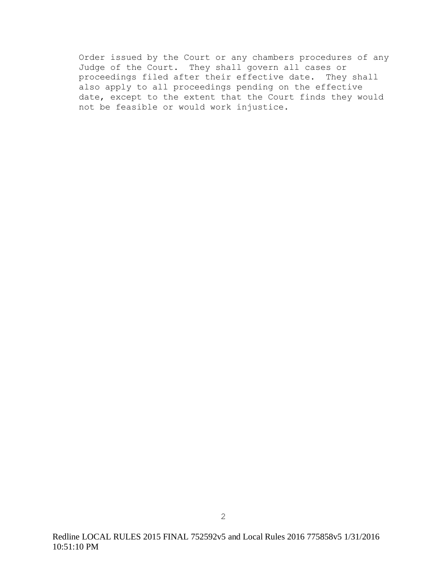Order issued by the Court or any chambers procedures of any Judge of the Court. They shall govern all cases or proceedings filed after their effective date. They shall also apply to all proceedings pending on the effective date, except to the extent that the Court finds they would not be feasible or would work injustice.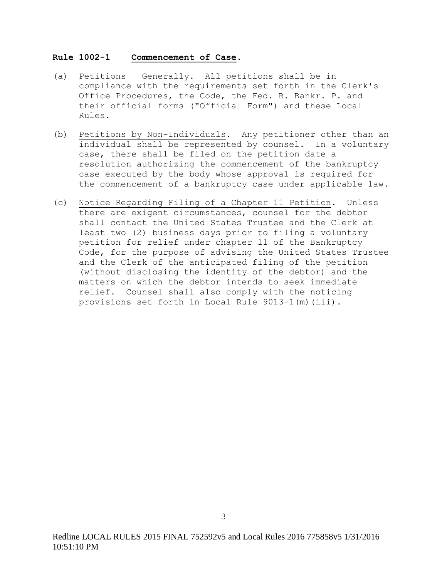#### **Rule 1002-1 Commencement of Case**.

- (a) Petitions Generally. All petitions shall be in compliance with the requirements set forth in the Clerk's Office Procedures, the Code, the Fed. R. Bankr. P. and their official forms ("Official Form") and these Local Rules.
- (b) Petitions by Non-Individuals. Any petitioner other than an individual shall be represented by counsel. In a voluntary case, there shall be filed on the petition date a resolution authorizing the commencement of the bankruptcy case executed by the body whose approval is required for the commencement of a bankruptcy case under applicable law.
- (c) Notice Regarding Filing of a Chapter 11 Petition. Unless there are exigent circumstances, counsel for the debtor shall contact the United States Trustee and the Clerk at least two (2) business days prior to filing a voluntary petition for relief under chapter 11 of the Bankruptcy Code, for the purpose of advising the United States Trustee and the Clerk of the anticipated filing of the petition (without disclosing the identity of the debtor) and the matters on which the debtor intends to seek immediate relief. Counsel shall also comply with the noticing provisions set forth in Local Rule 9013-1(m)(iii).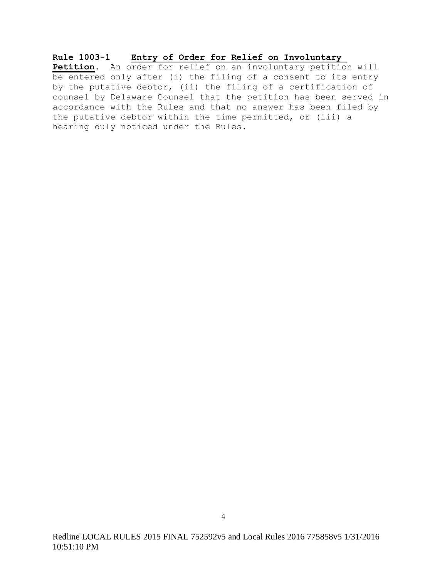# **Rule 1003-1 Entry of Order for Relief on Involuntary**

**Petition**. An order for relief on an involuntary petition will be entered only after (i) the filing of a consent to its entry by the putative debtor, (ii) the filing of a certification of counsel by Delaware Counsel that the petition has been served in accordance with the Rules and that no answer has been filed by the putative debtor within the time permitted, or (iii) a hearing duly noticed under the Rules.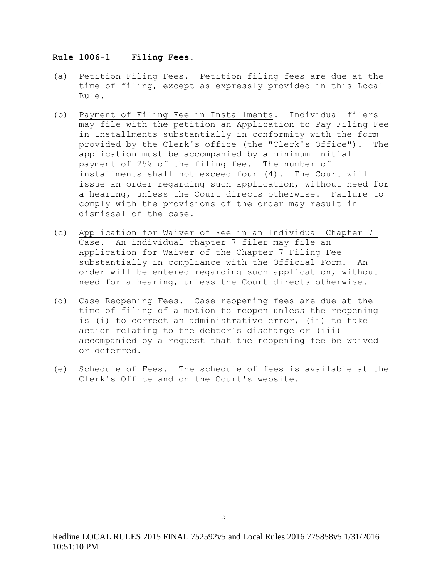#### **Rule 1006-1 Filing Fees**.

- (a) Petition Filing Fees. Petition filing fees are due at the time of filing, except as expressly provided in this Local Rule.
- (b) Payment of Filing Fee in Installments. Individual filers may file with the petition an Application to Pay Filing Fee in Installments substantially in conformity with the form provided by the Clerk's office (the "Clerk's Office"). The application must be accompanied by a minimum initial payment of 25% of the filing fee. The number of installments shall not exceed four (4). The Court will issue an order regarding such application, without need for a hearing, unless the Court directs otherwise. Failure to comply with the provisions of the order may result in dismissal of the case.
- (c) Application for Waiver of Fee in an Individual Chapter 7 Case. An individual chapter 7 filer may file an Application for Waiver of the Chapter 7 Filing Fee substantially in compliance with the Official Form. An order will be entered regarding such application, without need for a hearing, unless the Court directs otherwise.
- (d) Case Reopening Fees. Case reopening fees are due at the time of filing of a motion to reopen unless the reopening is (i) to correct an administrative error, (ii) to take action relating to the debtor's discharge or (iii) accompanied by a request that the reopening fee be waived or deferred.
- (e) Schedule of Fees. The schedule of fees is available at the Clerk's Office and on the Court's website.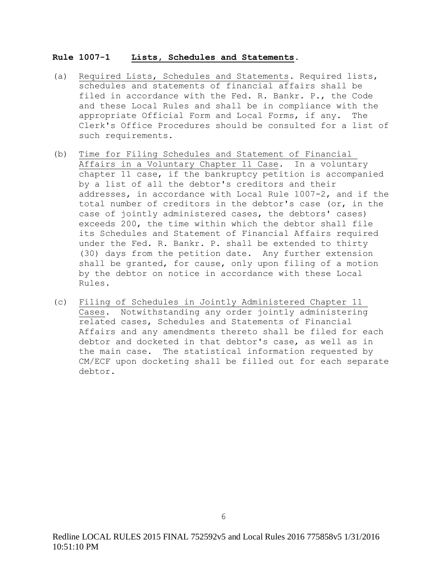### **Rule 1007-1 Lists, Schedules and Statements**.

- (a) Required Lists, Schedules and Statements. Required lists, schedules and statements of financial affairs shall be filed in accordance with the Fed. R. Bankr. P., the Code and these Local Rules and shall be in compliance with the appropriate Official Form and Local Forms, if any. The Clerk's Office Procedures should be consulted for a list of such requirements.
- (b) Time for Filing Schedules and Statement of Financial Affairs in a Voluntary Chapter 11 Case. In a voluntary chapter 11 case, if the bankruptcy petition is accompanied by a list of all the debtor's creditors and their addresses, in accordance with Local Rule 1007-2, and if the total number of creditors in the debtor's case (or, in the case of jointly administered cases, the debtors' cases) exceeds 200, the time within which the debtor shall file its Schedules and Statement of Financial Affairs required under the Fed. R. Bankr. P. shall be extended to thirty (30) days from the petition date. Any further extension shall be granted, for cause, only upon filing of a motion by the debtor on notice in accordance with these Local Rules.
- (c) Filing of Schedules in Jointly Administered Chapter 11 Cases. Notwithstanding any order jointly administering related cases, Schedules and Statements of Financial Affairs and any amendments thereto shall be filed for each debtor and docketed in that debtor's case, as well as in the main case. The statistical information requested by CM/ECF upon docketing shall be filled out for each separate debtor.

Redline LOCAL RULES 2015 FINAL 752592v5 and Local Rules 2016 775858v5 1/31/2016 10:51:10 PM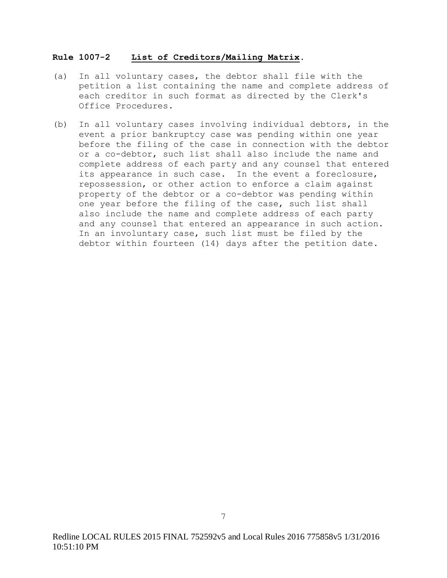### **Rule 1007-2 List of Creditors/Mailing Matrix.**

- (a) In all voluntary cases, the debtor shall file with the petition a list containing the name and complete address of each creditor in such format as directed by the Clerk's Office Procedures.
- (b) In all voluntary cases involving individual debtors, in the event a prior bankruptcy case was pending within one year before the filing of the case in connection with the debtor or a co-debtor, such list shall also include the name and complete address of each party and any counsel that entered its appearance in such case. In the event a foreclosure, repossession, or other action to enforce a claim against property of the debtor or a co-debtor was pending within one year before the filing of the case, such list shall also include the name and complete address of each party and any counsel that entered an appearance in such action. In an involuntary case, such list must be filed by the debtor within fourteen (14) days after the petition date.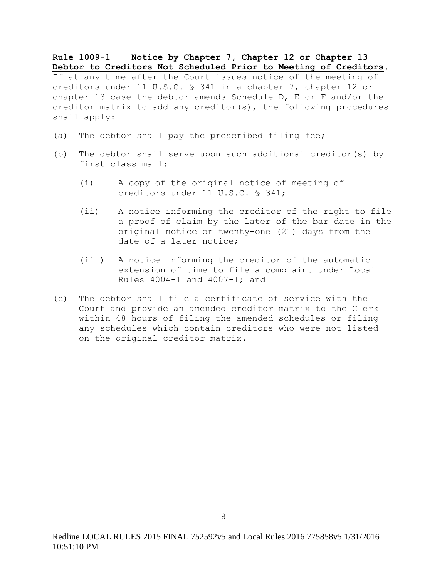### **Rule 1009-1 Notice by Chapter 7, Chapter 12 or Chapter 13 Debtor to Creditors Not Scheduled Prior to Meeting of Creditors.**

If at any time after the Court issues notice of the meeting of creditors under 11 U.S.C. § 341 in a chapter 7, chapter 12 or chapter 13 case the debtor amends Schedule D, E or F and/or the creditor matrix to add any creditor(s), the following procedures shall apply:

- (a) The debtor shall pay the prescribed filing fee;
- (b) The debtor shall serve upon such additional creditor(s) by first class mail:
	- (i) A copy of the original notice of meeting of creditors under 11 U.S.C. § 341;
	- (ii) A notice informing the creditor of the right to file a proof of claim by the later of the bar date in the original notice or twenty-one (21) days from the date of a later notice;
	- (iii) A notice informing the creditor of the automatic extension of time to file a complaint under Local Rules 4004-1 and 4007-1; and
- (c) The debtor shall file a certificate of service with the Court and provide an amended creditor matrix to the Clerk within 48 hours of filing the amended schedules or filing any schedules which contain creditors who were not listed on the original creditor matrix.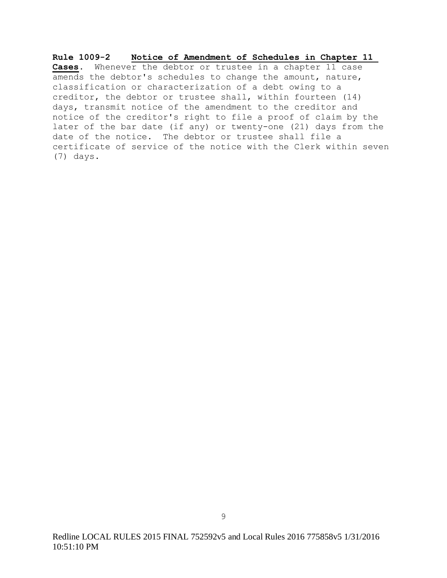**Rule 1009-2 Notice of Amendment of Schedules in Chapter 11 Cases.** Whenever the debtor or trustee in a chapter 11 case amends the debtor's schedules to change the amount, nature, classification or characterization of a debt owing to a creditor, the debtor or trustee shall, within fourteen (14) days, transmit notice of the amendment to the creditor and notice of the creditor's right to file a proof of claim by the later of the bar date (if any) or twenty-one (21) days from the date of the notice. The debtor or trustee shall file a certificate of service of the notice with the Clerk within seven (7) days.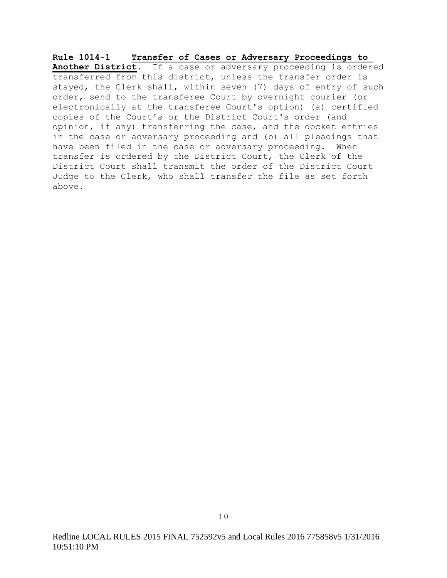**Rule 1014-1 Transfer of Cases or Adversary Proceedings to Another District**. If a case or adversary proceeding is ordered transferred from this district, unless the transfer order is stayed, the Clerk shall, within seven (7) days of entry of such order, send to the transferee Court by overnight courier (or electronically at the transferee Court's option) (a) certified copies of the Court's or the District Court's order (and opinion, if any) transferring the case, and the docket entries in the case or adversary proceeding and (b) all pleadings that have been filed in the case or adversary proceeding. When transfer is ordered by the District Court, the Clerk of the District Court shall transmit the order of the District Court Judge to the Clerk, who shall transfer the file as set forth above.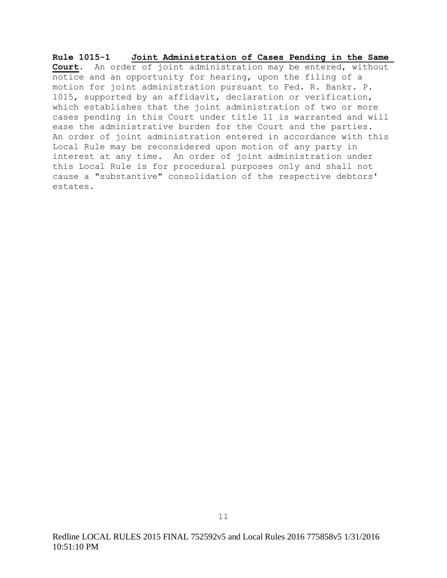**Rule 1015-1 Joint Administration of Cases Pending in the Same Court**. An order of joint administration may be entered, without notice and an opportunity for hearing, upon the filing of a motion for joint administration pursuant to Fed. R. Bankr. P. 1015, supported by an affidavit, declaration or verification, which establishes that the joint administration of two or more cases pending in this Court under title 11 is warranted and will ease the administrative burden for the Court and the parties. An order of joint administration entered in accordance with this Local Rule may be reconsidered upon motion of any party in interest at any time. An order of joint administration under this Local Rule is for procedural purposes only and shall not cause a "substantive" consolidation of the respective debtors' estates.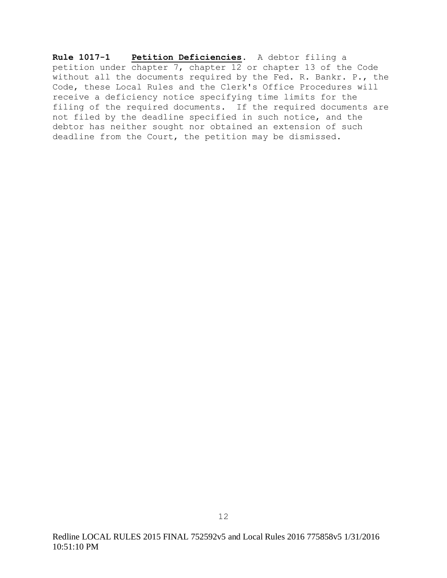**Rule 1017-1 Petition Deficiencies**. A debtor filing a petition under chapter 7, chapter 12 or chapter 13 of the Code without all the documents required by the Fed. R. Bankr. P., the Code, these Local Rules and the Clerk's Office Procedures will receive a deficiency notice specifying time limits for the filing of the required documents. If the required documents are not filed by the deadline specified in such notice, and the debtor has neither sought nor obtained an extension of such deadline from the Court, the petition may be dismissed.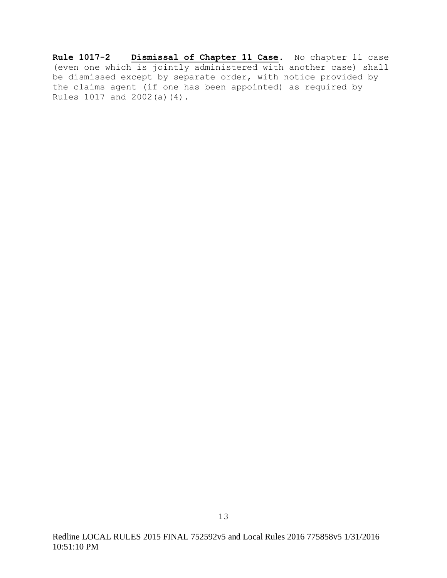**Rule 1017-2 Dismissal of Chapter 11 Case**. No chapter 11 case (even one which is jointly administered with another case) shall be dismissed except by separate order, with notice provided by the claims agent (if one has been appointed) as required by Rules 1017 and 2002(a)(4).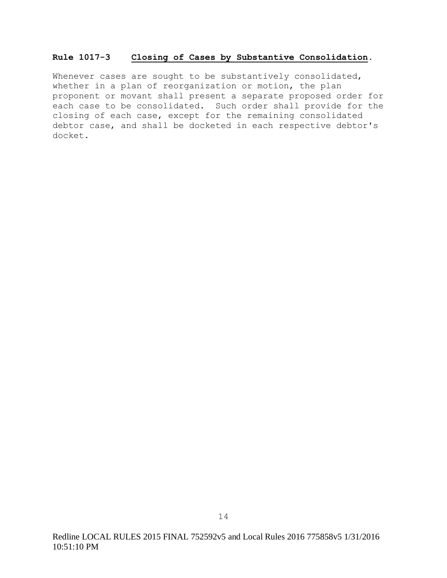### **Rule 1017-3 Closing of Cases by Substantive Consolidation.**

Whenever cases are sought to be substantively consolidated, whether in a plan of reorganization or motion, the plan proponent or movant shall present a separate proposed order for each case to be consolidated. Such order shall provide for the closing of each case, except for the remaining consolidated debtor case, and shall be docketed in each respective debtor's docket.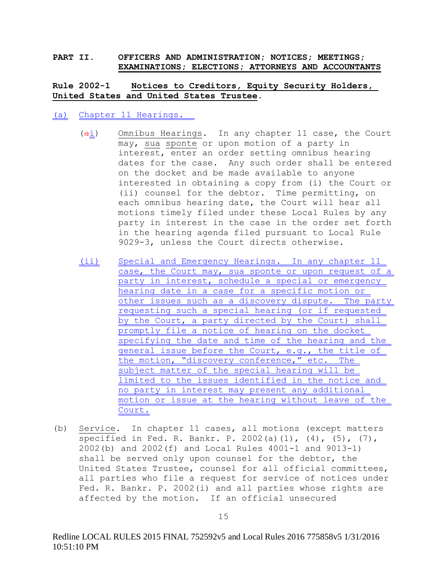## **PART II. OFFICERS AND ADMINISTRATION; NOTICES; MEETINGS; EXAMINATIONS; ELECTIONS; ATTORNEYS AND ACCOUNTANTS**

# **Rule 2002-1 Notices to Creditors, Equity Security Holders, United States and United States Trustee**.

(a) Chapter 11 Hearings.

- $(\alpha i)$  Omnibus Hearings. In any chapter 11 case, the Court may, sua sponte or upon motion of a party in interest, enter an order setting omnibus hearing dates for the case. Any such order shall be entered on the docket and be made available to anyone interested in obtaining a copy from (i) the Court or (ii) counsel for the debtor. Time permitting, on each omnibus hearing date, the Court will hear all motions timely filed under these Local Rules by any party in interest in the case in the order set forth in the hearing agenda filed pursuant to Local Rule 9029-3, unless the Court directs otherwise.
- (ii) Special and Emergency Hearings. In any chapter 11 case, the Court may, sua sponte or upon request of a party in interest, schedule a special or emergency hearing date in a case for a specific motion or other issues such as a discovery dispute. The party requesting such a special hearing (or if requested by the Court, a party directed by the Court) shall promptly file a notice of hearing on the docket specifying the date and time of the hearing and the general issue before the Court, e.g., the title of the motion, "discovery conference," etc. The subject matter of the special hearing will be limited to the issues identified in the notice and no party in interest may present any additional motion or issue at the hearing without leave of the Court.
- (b) Service. In chapter 11 cases, all motions (except matters  $\overline{\text{specified in Fed. R. Bankr. P. 2002(a)(1), (4), (5), (7),}}$ 2002(b) and 2002(f) and Local Rules 4001-1 and 9013-1) shall be served only upon counsel for the debtor, the United States Trustee, counsel for all official committees, all parties who file a request for service of notices under Fed. R. Bankr. P. 2002(i) and all parties whose rights are affected by the motion. If an official unsecured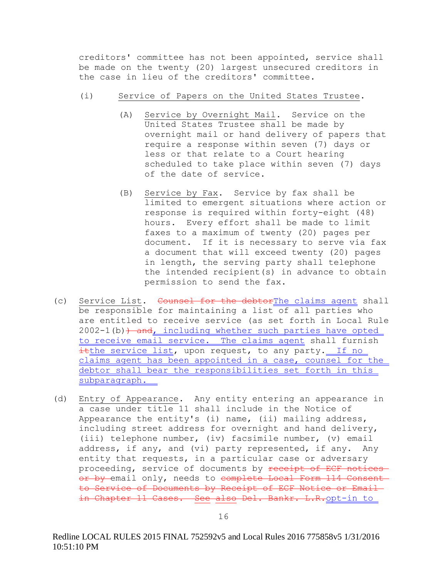creditors' committee has not been appointed, service shall be made on the twenty (20) largest unsecured creditors in the case in lieu of the creditors' committee.

- (i) Service of Papers on the United States Trustee.
	- (A) Service by Overnight Mail. Service on the United States Trustee shall be made by overnight mail or hand delivery of papers that require a response within seven (7) days or less or that relate to a Court hearing scheduled to take place within seven (7) days of the date of service.
	- (B) Service by Fax. Service by fax shall be limited to emergent situations where action or response is required within forty-eight (48) hours. Every effort shall be made to limit faxes to a maximum of twenty (20) pages per document. If it is necessary to serve via fax a document that will exceed twenty (20) pages in length, the serving party shall telephone the intended recipient(s) in advance to obtain permission to send the fax.
- (c) Service List. Counsel for the debtorThe claims agent shall be responsible for maintaining a list of all parties who are entitled to receive service (as set forth in Local Rule 2002-1(b)) and, including whether such parties have opted to receive email service. The claims agent shall furnish itthe service list, upon request, to any party. If no claims agent has been appointed in a case, counsel for the debtor shall bear the responsibilities set forth in this subparagraph.
- (d) Entry of Appearance. Any entity entering an appearance in a case under title 11 shall include in the Notice of Appearance the entity's (i) name, (ii) mailing address, including street address for overnight and hand delivery, (iii) telephone number, (iv) facsimile number, (v) email address, if any, and (vi) party represented, if any. Any entity that requests, in a particular case or adversary proceeding, service of documents by receipt of ECF notices or by email only, needs to complete Local Form 114 Consent to Service of Documents by Receipt of ECF Notice or Email in Chapter 11 Cases. See also Del. Bankr. L.R.opt-in to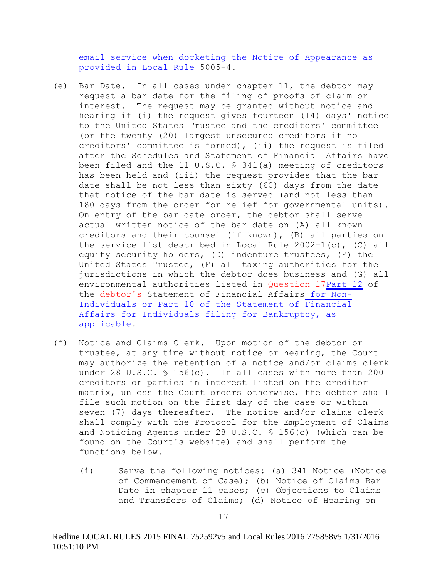email service when docketing the Notice of Appearance as provided in Local Rule 5005-4.

- (e) Bar Date. In all cases under chapter 11, the debtor may request a bar date for the filing of proofs of claim or interest. The request may be granted without notice and hearing if (i) the request gives fourteen (14) days' notice to the United States Trustee and the creditors' committee (or the twenty (20) largest unsecured creditors if no creditors' committee is formed), (ii) the request is filed after the Schedules and Statement of Financial Affairs have been filed and the 11 U.S.C. § 341(a) meeting of creditors has been held and (iii) the request provides that the bar date shall be not less than sixty (60) days from the date that notice of the bar date is served (and not less than 180 days from the order for relief for governmental units). On entry of the bar date order, the debtor shall serve actual written notice of the bar date on (A) all known creditors and their counsel (if known), (B) all parties on the service list described in Local Rule 2002-1(c), (C) all equity security holders, (D) indenture trustees, (E) the United States Trustee, (F) all taxing authorities for the jurisdictions in which the debtor does business and (G) all environmental authorities listed in Question 17Part 12 of the debtor's Statement of Financial Affairs for Non-Individuals or Part 10 of the Statement of Financial Affairs for Individuals filing for Bankruptcy, as applicable.
- (f) Notice and Claims Clerk. Upon motion of the debtor or trustee, at any time without notice or hearing, the Court may authorize the retention of a notice and/or claims clerk under 28 U.S.C. § 156(c). In all cases with more than 200 creditors or parties in interest listed on the creditor matrix, unless the Court orders otherwise, the debtor shall file such motion on the first day of the case or within seven (7) days thereafter. The notice and/or claims clerk shall comply with the Protocol for the Employment of Claims and Noticing Agents under 28 U.S.C. § 156(c) (which can be found on the Court's website) and shall perform the functions below.
	- (i) Serve the following notices: (a) 341 Notice (Notice of Commencement of Case); (b) Notice of Claims Bar Date in chapter 11 cases; (c) Objections to Claims and Transfers of Claims; (d) Notice of Hearing on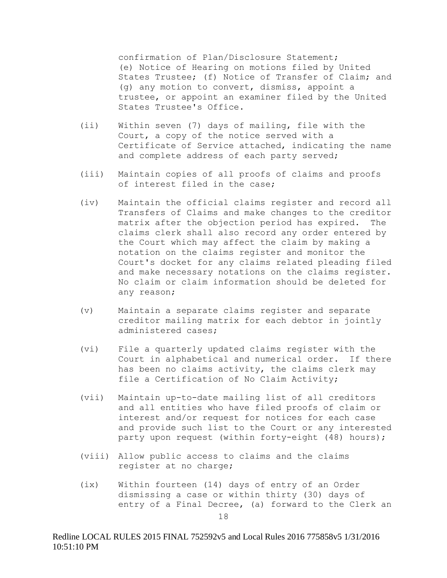confirmation of Plan/Disclosure Statement; (e) Notice of Hearing on motions filed by United States Trustee; (f) Notice of Transfer of Claim; and (g) any motion to convert, dismiss, appoint a trustee, or appoint an examiner filed by the United States Trustee's Office.

- (ii) Within seven (7) days of mailing, file with the Court, a copy of the notice served with a Certificate of Service attached, indicating the name and complete address of each party served;
- (iii) Maintain copies of all proofs of claims and proofs of interest filed in the case;
- (iv) Maintain the official claims register and record all Transfers of Claims and make changes to the creditor matrix after the objection period has expired. The claims clerk shall also record any order entered by the Court which may affect the claim by making a notation on the claims register and monitor the Court's docket for any claims related pleading filed and make necessary notations on the claims register. No claim or claim information should be deleted for any reason;
- (v) Maintain a separate claims register and separate creditor mailing matrix for each debtor in jointly administered cases;
- (vi) File a quarterly updated claims register with the Court in alphabetical and numerical order. If there has been no claims activity, the claims clerk may file a Certification of No Claim Activity;
- (vii) Maintain up-to-date mailing list of all creditors and all entities who have filed proofs of claim or interest and/or request for notices for each case and provide such list to the Court or any interested party upon request (within forty-eight (48) hours);
- (viii) Allow public access to claims and the claims register at no charge;
- (ix) Within fourteen (14) days of entry of an Order dismissing a case or within thirty (30) days of entry of a Final Decree, (a) forward to the Clerk an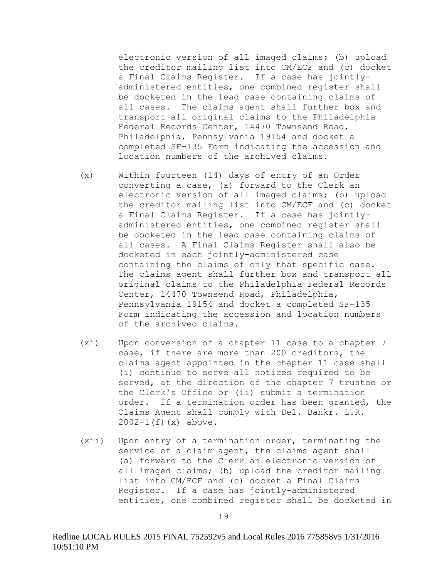electronic version of all imaged claims; (b) upload the creditor mailing list into CM/ECF and (c) docket a Final Claims Register. If a case has jointlyadministered entities, one combined register shall be docketed in the lead case containing claims of all cases. The claims agent shall further box and transport all original claims to the Philadelphia Federal Records Center, 14470 Townsend Road, Philadelphia, Pennsylvania 19154 and docket a completed SF-135 Form indicating the accession and location numbers of the archived claims.

- (x) Within fourteen (14) days of entry of an Order converting a case, (a) forward to the Clerk an electronic version of all imaged claims; (b) upload the creditor mailing list into CM/ECF and (c) docket a Final Claims Register. If a case has jointlyadministered entities, one combined register shall be docketed in the lead case containing claims of all cases. A Final Claims Register shall also be docketed in each jointly-administered case containing the claims of only that specific case. The claims agent shall further box and transport all original claims to the Philadelphia Federal Records Center, 14470 Townsend Road, Philadelphia, Pennsylvania 19154 and docket a completed SF-135 Form indicating the accession and location numbers of the archived claims.
- (xi) Upon conversion of a chapter 11 case to a chapter 7 case, if there are more than 200 creditors, the claims agent appointed in the chapter 11 case shall (i) continue to serve all notices required to be served, at the direction of the chapter 7 trustee or the Clerk's Office or (ii) submit a termination order. If a termination order has been granted, the Claims Agent shall comply with Del. Bankr. L.R. 2002-1(f)(x) above.
- (xii) Upon entry of a termination order, terminating the service of a claim agent, the claims agent shall (a) forward to the Clerk an electronic version of all imaged claims; (b) upload the creditor mailing list into CM/ECF and (c) docket a Final Claims Register. If a case has jointly-administered entities, one combined register shall be docketed in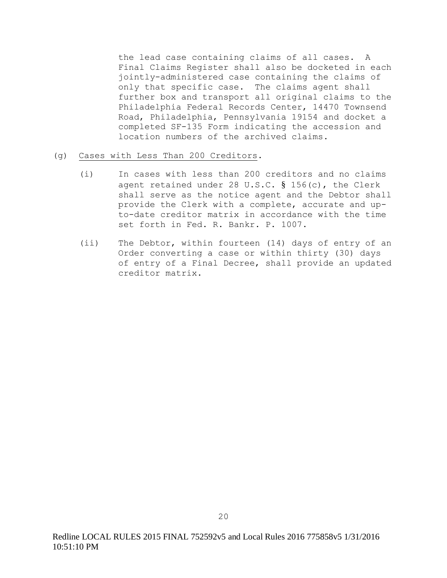the lead case containing claims of all cases. A Final Claims Register shall also be docketed in each jointly-administered case containing the claims of only that specific case. The claims agent shall further box and transport all original claims to the Philadelphia Federal Records Center, 14470 Townsend Road, Philadelphia, Pennsylvania 19154 and docket a completed SF-135 Form indicating the accession and location numbers of the archived claims.

#### (g) Cases with Less Than 200 Creditors.

- (i) In cases with less than 200 creditors and no claims agent retained under 28 U.S.C. § 156(c), the Clerk shall serve as the notice agent and the Debtor shall provide the Clerk with a complete, accurate and upto-date creditor matrix in accordance with the time set forth in Fed. R. Bankr. P. 1007.
- (ii) The Debtor, within fourteen (14) days of entry of an Order converting a case or within thirty (30) days of entry of a Final Decree, shall provide an updated creditor matrix.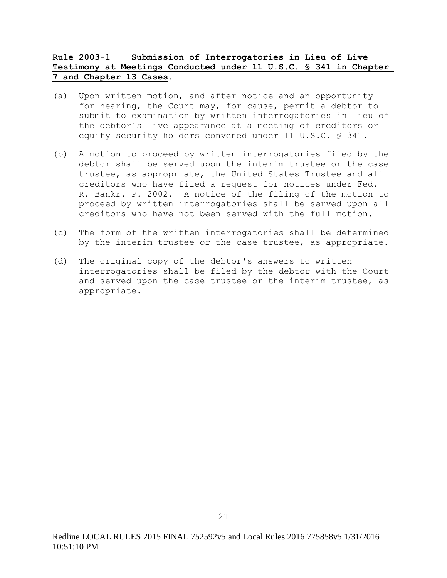## **Rule 2003-1 Submission of Interrogatories in Lieu of Live Testimony at Meetings Conducted under 11 U.S.C. § 341 in Chapter 7 and Chapter 13 Cases**.

- (a) Upon written motion, and after notice and an opportunity for hearing, the Court may, for cause, permit a debtor to submit to examination by written interrogatories in lieu of the debtor's live appearance at a meeting of creditors or equity security holders convened under 11 U.S.C. § 341.
- (b) A motion to proceed by written interrogatories filed by the debtor shall be served upon the interim trustee or the case trustee, as appropriate, the United States Trustee and all creditors who have filed a request for notices under Fed. R. Bankr. P. 2002. A notice of the filing of the motion to proceed by written interrogatories shall be served upon all creditors who have not been served with the full motion.
- (c) The form of the written interrogatories shall be determined by the interim trustee or the case trustee, as appropriate.
- (d) The original copy of the debtor's answers to written interrogatories shall be filed by the debtor with the Court and served upon the case trustee or the interim trustee, as appropriate.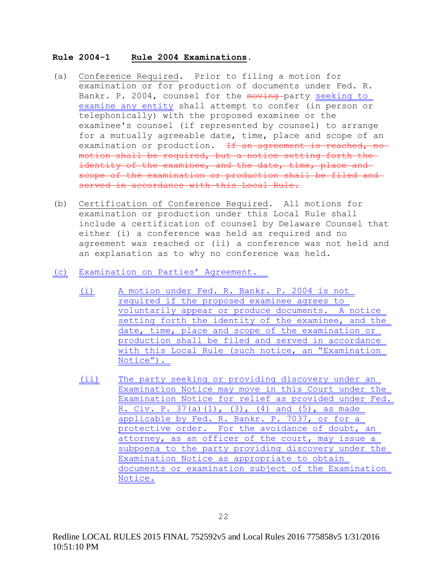#### **Rule 2004-1 Rule 2004 Examinations**.

- (a) Conference Required. Prior to filing a motion for examination or for production of documents under Fed. R. Bankr. P. 2004, counsel for the moving party seeking to examine any entity shall attempt to confer (in person or telephonically) with the proposed examinee or the examinee's counsel (if represented by counsel) to arrange for a mutually agreeable date, time, place and scope of an examination or production. If an agreement is reached, no motion shall be required, but a notice setting forth the identity of the examinee, and the date, time, place and scope of the examination or production shall be filed and served in accordance with this Local Rule.
- (b) Certification of Conference Required. All motions for examination or production under this Local Rule shall include a certification of counsel by Delaware Counsel that either (i) a conference was held as required and no agreement was reached or (ii) a conference was not held and an explanation as to why no conference was held.
- (c) Examination on Parties' Agreement.
	- (i) A motion under Fed. R. Bankr. P. 2004 is not required if the proposed examinee agrees to voluntarily appear or produce documents. A notice setting forth the identity of the examinee, and the date, time, place and scope of the examination or production shall be filed and served in accordance with this Local Rule (such notice, an "Examination Notice").
	- (ii) The party seeking or providing discovery under an Examination Notice may move in this Court under the Examination Notice for relief as provided under Fed. R. Civ. P. 37(a)(1), (3), (4) and (5), as made applicable by Fed. R. Bankr. P. 7037, or for a protective order. For the avoidance of doubt, an attorney, as an officer of the court, may issue a subpoena to the party providing discovery under the Examination Notice as appropriate to obtain documents or examination subject of the Examination Notice.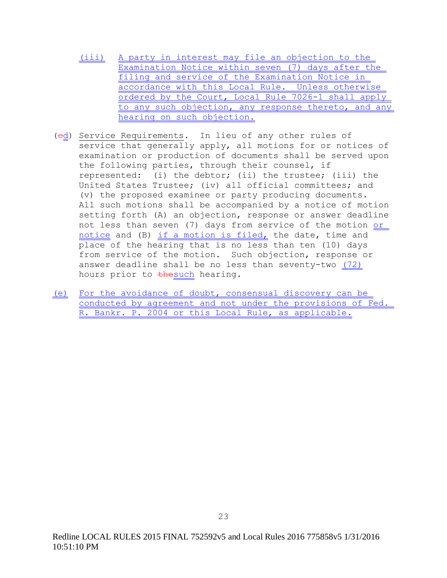- (iii) A party in interest may file an objection to the Examination Notice within seven (7) days after the filing and service of the Examination Notice in accordance with this Local Rule. Unless otherwise ordered by the Court, Local Rule 7026-1 shall apply to any such objection, any response thereto, and any hearing on such objection.
- (ed) Service Requirements. In lieu of any other rules of service that generally apply, all motions for or notices of examination or production of documents shall be served upon the following parties, through their counsel, if represented: (i) the debtor; (ii) the trustee; (iii) the United States Trustee; (iv) all official committees; and (v) the proposed examinee or party producing documents. All such motions shall be accompanied by a notice of motion setting forth (A) an objection, response or answer deadline not less than seven (7) days from service of the motion or notice and (B) if a motion is filed, the date, time and place of the hearing that is no less than ten (10) days from service of the motion. Such objection, response or answer deadline shall be no less than seventy-two (72) hours prior to thesuch hearing.
- (e) For the avoidance of doubt, consensual discovery can be conducted by agreement and not under the provisions of Fed. R. Bankr. P. 2004 or this Local Rule, as applicable.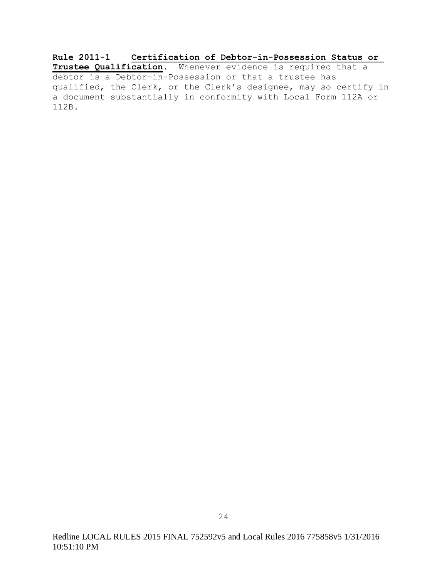**Rule 2011-1 Certification of Debtor-in-Possession Status or Trustee Qualification**. Whenever evidence is required that a debtor is a Debtor-in-Possession or that a trustee has qualified, the Clerk, or the Clerk's designee, may so certify in a document substantially in conformity with Local Form 112A or 112B.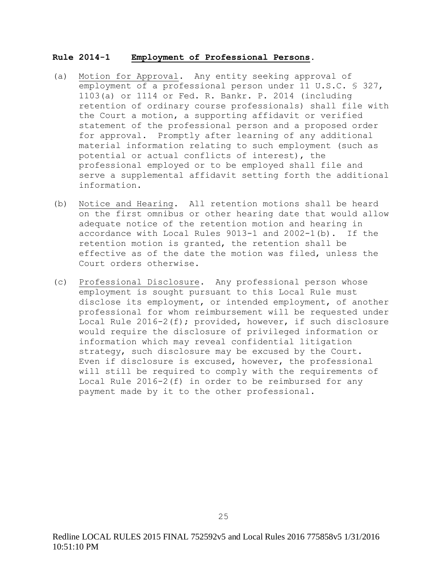#### **Rule 2014-1 Employment of Professional Persons**.

- (a) Motion for Approval. Any entity seeking approval of employment of a professional person under 11 U.S.C. § 327, 1103(a) or 1114 or Fed. R. Bankr. P. 2014 (including retention of ordinary course professionals) shall file with the Court a motion, a supporting affidavit or verified statement of the professional person and a proposed order for approval. Promptly after learning of any additional material information relating to such employment (such as potential or actual conflicts of interest), the professional employed or to be employed shall file and serve a supplemental affidavit setting forth the additional information.
- (b) Notice and Hearing. All retention motions shall be heard on the first omnibus or other hearing date that would allow adequate notice of the retention motion and hearing in accordance with Local Rules 9013-1 and 2002-1(b). If the retention motion is granted, the retention shall be effective as of the date the motion was filed, unless the Court orders otherwise.
- (c) Professional Disclosure. Any professional person whose employment is sought pursuant to this Local Rule must disclose its employment, or intended employment, of another professional for whom reimbursement will be requested under Local Rule 2016-2(f); provided, however, if such disclosure would require the disclosure of privileged information or information which may reveal confidential litigation strategy, such disclosure may be excused by the Court. Even if disclosure is excused, however, the professional will still be required to comply with the requirements of Local Rule 2016-2(f) in order to be reimbursed for any payment made by it to the other professional.

Redline LOCAL RULES 2015 FINAL 752592v5 and Local Rules 2016 775858v5 1/31/2016 10:51:10 PM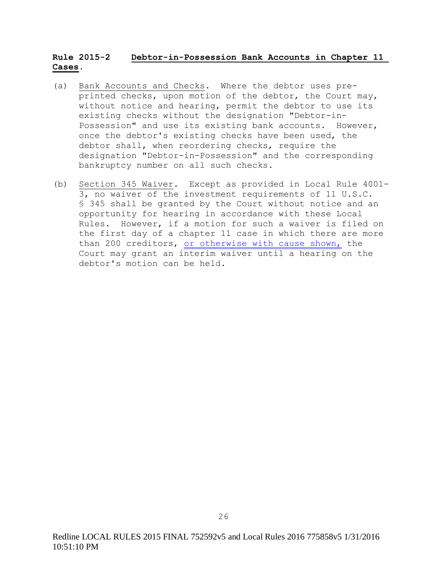## **Rule 2015-2 Debtor-in-Possession Bank Accounts in Chapter 11 Cases**.

- (a) Bank Accounts and Checks. Where the debtor uses preprinted checks, upon motion of the debtor, the Court may, without notice and hearing, permit the debtor to use its existing checks without the designation "Debtor-in-Possession" and use its existing bank accounts. However, once the debtor's existing checks have been used, the debtor shall, when reordering checks, require the designation "Debtor-in-Possession" and the corresponding bankruptcy number on all such checks.
- (b) Section 345 Waiver. Except as provided in Local Rule 4001- 3, no waiver of the investment requirements of 11 U.S.C. § 345 shall be granted by the Court without notice and an opportunity for hearing in accordance with these Local Rules. However, if a motion for such a waiver is filed on the first day of a chapter 11 case in which there are more than 200 creditors, or otherwise with cause shown, the Court may grant an interim waiver until a hearing on the debtor's motion can be held.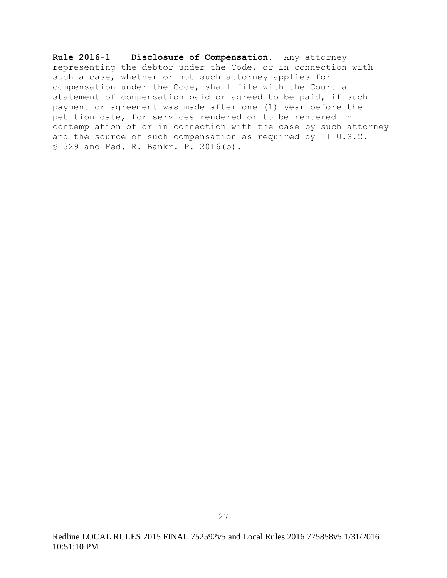**Rule 2016-1 Disclosure of Compensation**. Any attorney representing the debtor under the Code, or in connection with such a case, whether or not such attorney applies for compensation under the Code, shall file with the Court a statement of compensation paid or agreed to be paid, if such payment or agreement was made after one (1) year before the petition date, for services rendered or to be rendered in contemplation of or in connection with the case by such attorney and the source of such compensation as required by 11 U.S.C. § 329 and Fed. R. Bankr. P. 2016(b).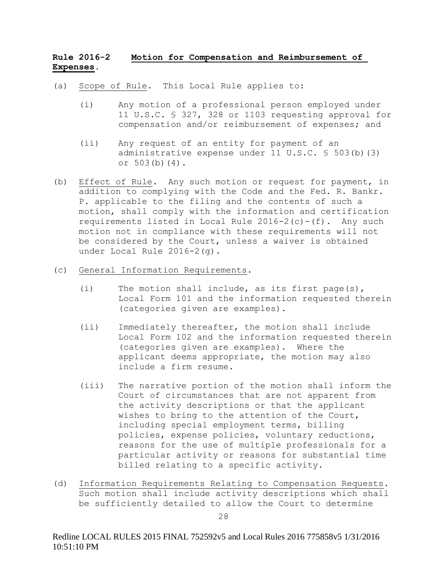# **Rule 2016-2 Motion for Compensation and Reimbursement of Expenses**.

- (a) Scope of Rule. This Local Rule applies to:
	- (i) Any motion of a professional person employed under 11 U.S.C. § 327, 328 or 1103 requesting approval for compensation and/or reimbursement of expenses; and
	- (ii) Any request of an entity for payment of an administrative expense under 11 U.S.C. § 503(b)(3) or 503(b)(4).
- (b) Effect of Rule. Any such motion or request for payment, in addition to complying with the Code and the Fed. R. Bankr. P. applicable to the filing and the contents of such a motion, shall comply with the information and certification requirements listed in Local Rule  $2016-2(c)-(f)$ . Any such motion not in compliance with these requirements will not be considered by the Court, unless a waiver is obtained under Local Rule 2016-2(g).
- (c) General Information Requirements.
	- (i) The motion shall include, as its first page(s), Local Form 101 and the information requested therein (categories given are examples).
	- (ii) Immediately thereafter, the motion shall include Local Form 102 and the information requested therein (categories given are examples). Where the applicant deems appropriate, the motion may also include a firm resume.
	- (iii) The narrative portion of the motion shall inform the Court of circumstances that are not apparent from the activity descriptions or that the applicant wishes to bring to the attention of the Court, including special employment terms, billing policies, expense policies, voluntary reductions, reasons for the use of multiple professionals for a particular activity or reasons for substantial time billed relating to a specific activity.
- (d) Information Requirements Relating to Compensation Requests. Such motion shall include activity descriptions which shall be sufficiently detailed to allow the Court to determine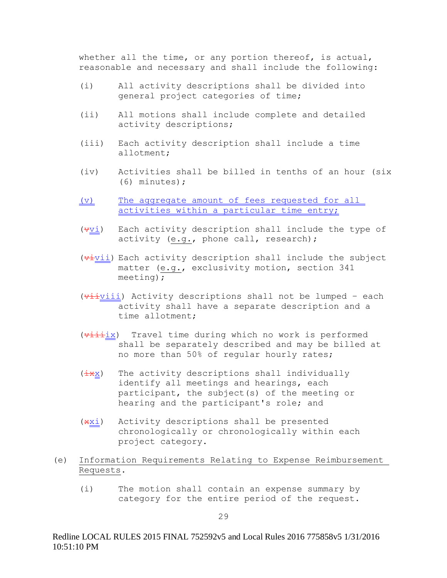whether all the time, or any portion thereof, is actual, reasonable and necessary and shall include the following:

- (i) All activity descriptions shall be divided into general project categories of time;
- (ii) All motions shall include complete and detailed activity descriptions;
- (iii) Each activity description shall include a time allotment;
- (iv) Activities shall be billed in tenths of an hour (six (6) minutes);
- (v) The aggregate amount of fees requested for all activities within a particular time entry;
- $(\texttt{wvi})$  Each activity description shall include the type of activity (e.g., phone call, research);
- $(\overline{\text{viv}})$  Each activity description shall include the subject matter (e.g., exclusivity motion, section 341 meeting);
- $(\overline{\text{within}})$  Activity descriptions shall not be lumped each activity shall have a separate description and a time allotment;
- $(\overrightarrow{v\pm\pm i}i x)$  Travel time during which no work is performed shall be separately described and may be billed at no more than 50% of regular hourly rates;
- $(\frac{1+x}{2})$  The activity descriptions shall individually identify all meetings and hearings, each participant, the subject(s) of the meeting or hearing and the participant's role; and
- (\*xi) Activity descriptions shall be presented chronologically or chronologically within each project category.
- (e) Information Requirements Relating to Expense Reimbursement Requests.
	- (i) The motion shall contain an expense summary by category for the entire period of the request.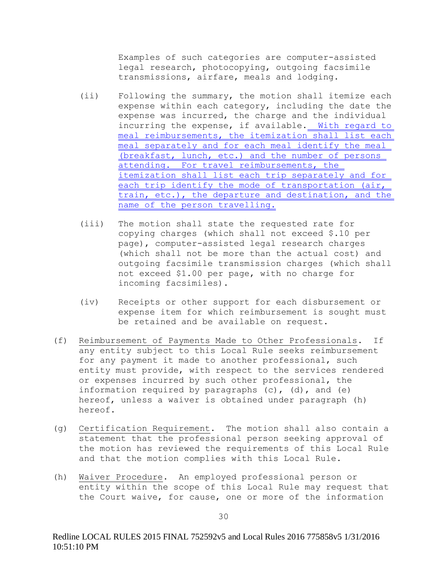Examples of such categories are computer-assisted legal research, photocopying, outgoing facsimile transmissions, airfare, meals and lodging.

- (ii) Following the summary, the motion shall itemize each expense within each category, including the date the expense was incurred, the charge and the individual incurring the expense, if available. With regard to meal reimbursements, the itemization shall list each meal separately and for each meal identify the meal (breakfast, lunch, etc.) and the number of persons attending. For travel reimbursements, the itemization shall list each trip separately and for each trip identify the mode of transportation (air, train, etc.), the departure and destination, and the name of the person travelling.
- (iii) The motion shall state the requested rate for copying charges (which shall not exceed \$.10 per page), computer-assisted legal research charges (which shall not be more than the actual cost) and outgoing facsimile transmission charges (which shall not exceed \$1.00 per page, with no charge for incoming facsimiles).
- (iv) Receipts or other support for each disbursement or expense item for which reimbursement is sought must be retained and be available on request.
- (f) Reimbursement of Payments Made to Other Professionals. If any entity subject to this Local Rule seeks reimbursement for any payment it made to another professional, such entity must provide, with respect to the services rendered or expenses incurred by such other professional, the information required by paragraphs  $(c)$ ,  $(d)$ , and  $(e)$ hereof, unless a waiver is obtained under paragraph (h) hereof.
- (g) Certification Requirement. The motion shall also contain a statement that the professional person seeking approval of the motion has reviewed the requirements of this Local Rule and that the motion complies with this Local Rule.
- (h) Waiver Procedure. An employed professional person or entity within the scope of this Local Rule may request that the Court waive, for cause, one or more of the information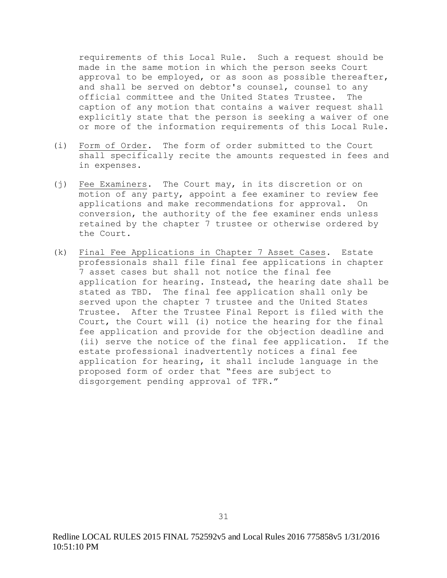requirements of this Local Rule. Such a request should be made in the same motion in which the person seeks Court approval to be employed, or as soon as possible thereafter, and shall be served on debtor's counsel, counsel to any official committee and the United States Trustee. The caption of any motion that contains a waiver request shall explicitly state that the person is seeking a waiver of one or more of the information requirements of this Local Rule.

- (i) Form of Order. The form of order submitted to the Court shall specifically recite the amounts requested in fees and in expenses.
- (j) Fee Examiners. The Court may, in its discretion or on motion of any party, appoint a fee examiner to review fee applications and make recommendations for approval. On conversion, the authority of the fee examiner ends unless retained by the chapter 7 trustee or otherwise ordered by the Court.
- (k) Final Fee Applications in Chapter 7 Asset Cases. Estate professionals shall file final fee applications in chapter 7 asset cases but shall not notice the final fee application for hearing. Instead, the hearing date shall be stated as TBD. The final fee application shall only be served upon the chapter 7 trustee and the United States Trustee. After the Trustee Final Report is filed with the Court, the Court will (i) notice the hearing for the final fee application and provide for the objection deadline and (ii) serve the notice of the final fee application. If the estate professional inadvertently notices a final fee application for hearing, it shall include language in the proposed form of order that "fees are subject to disgorgement pending approval of TFR."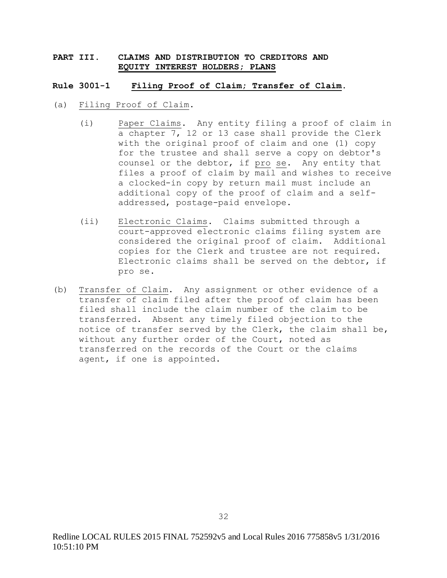## **PART III. CLAIMS AND DISTRIBUTION TO CREDITORS AND EQUITY INTEREST HOLDERS; PLANS**

#### **Rule 3001-1 Filing Proof of Claim; Transfer of Claim**.

- (a) Filing Proof of Claim.
	- (i) Paper Claims. Any entity filing a proof of claim in a chapter 7, 12 or 13 case shall provide the Clerk with the original proof of claim and one (1) copy for the trustee and shall serve a copy on debtor's counsel or the debtor, if pro se. Any entity that files a proof of claim by mail and wishes to receive a clocked-in copy by return mail must include an additional copy of the proof of claim and a selfaddressed, postage-paid envelope.
	- (ii) Electronic Claims. Claims submitted through a court-approved electronic claims filing system are considered the original proof of claim. Additional copies for the Clerk and trustee are not required. Electronic claims shall be served on the debtor, if pro se.
- (b) Transfer of Claim. Any assignment or other evidence of a transfer of claim filed after the proof of claim has been filed shall include the claim number of the claim to be transferred. Absent any timely filed objection to the notice of transfer served by the Clerk, the claim shall be, without any further order of the Court, noted as transferred on the records of the Court or the claims agent, if one is appointed.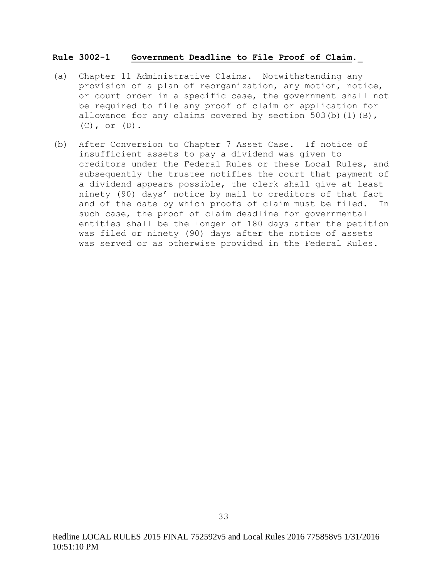# **Rule 3002-1 Government Deadline to File Proof of Claim.**

- (a) Chapter 11 Administrative Claims. Notwithstanding any provision of a plan of reorganization, any motion, notice, or court order in a specific case, the government shall not be required to file any proof of claim or application for allowance for any claims covered by section  $503(b)(1)(B)$ , (C), or (D).
- (b) After Conversion to Chapter 7 Asset Case. If notice of insufficient assets to pay a dividend was given to creditors under the Federal Rules or these Local Rules, and subsequently the trustee notifies the court that payment of a dividend appears possible, the clerk shall give at least ninety (90) days' notice by mail to creditors of that fact and of the date by which proofs of claim must be filed. In such case, the proof of claim deadline for governmental entities shall be the longer of 180 days after the petition was filed or ninety (90) days after the notice of assets was served or as otherwise provided in the Federal Rules.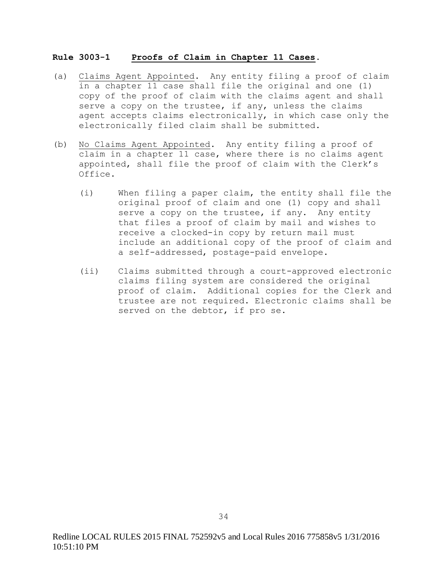# **Rule 3003-1 Proofs of Claim in Chapter 11 Cases**.

- (a) Claims Agent Appointed. Any entity filing a proof of claim in a chapter 11 case shall file the original and one (1) copy of the proof of claim with the claims agent and shall serve a copy on the trustee, if any, unless the claims agent accepts claims electronically, in which case only the electronically filed claim shall be submitted.
- (b) No Claims Agent Appointed. Any entity filing a proof of claim in a chapter 11 case, where there is no claims agent appointed, shall file the proof of claim with the Clerk's Office.
	- (i) When filing a paper claim, the entity shall file the original proof of claim and one (1) copy and shall serve a copy on the trustee, if any. Any entity that files a proof of claim by mail and wishes to receive a clocked-in copy by return mail must include an additional copy of the proof of claim and a self-addressed, postage-paid envelope.
	- (ii) Claims submitted through a court-approved electronic claims filing system are considered the original proof of claim. Additional copies for the Clerk and trustee are not required. Electronic claims shall be served on the debtor, if pro se.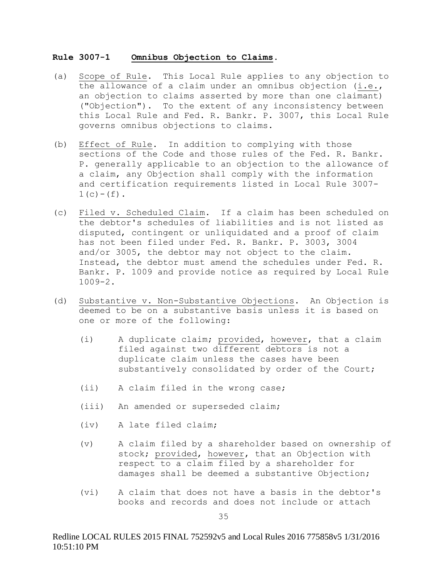#### **Rule 3007-1 Omnibus Objection to Claims**.

- (a) Scope of Rule. This Local Rule applies to any objection to the allowance of a claim under an omnibus objection (i.e., an objection to claims asserted by more than one claimant) ("Objection"). To the extent of any inconsistency between this Local Rule and Fed. R. Bankr. P. 3007, this Local Rule governs omnibus objections to claims.
- (b) Effect of Rule. In addition to complying with those sections of the Code and those rules of the Fed. R. Bankr. P. generally applicable to an objection to the allowance of a claim, any Objection shall comply with the information and certification requirements listed in Local Rule 3007-  $1(c) - (f)$ .
- (c) Filed v. Scheduled Claim. If a claim has been scheduled on the debtor's schedules of liabilities and is not listed as disputed, contingent or unliquidated and a proof of claim has not been filed under Fed. R. Bankr. P. 3003, 3004 and/or 3005, the debtor may not object to the claim. Instead, the debtor must amend the schedules under Fed. R. Bankr. P. 1009 and provide notice as required by Local Rule 1009-2.
- (d) Substantive v. Non-Substantive Objections. An Objection is deemed to be on a substantive basis unless it is based on one or more of the following:
	- (i) A duplicate claim; provided, however, that a claim filed against two different debtors is not a duplicate claim unless the cases have been substantively consolidated by order of the Court;
	- (ii) A claim filed in the wrong case;
	- (iii) An amended or superseded claim;
	- (iv) A late filed claim;
	- (v) A claim filed by a shareholder based on ownership of stock; provided, however, that an Objection with respect to a claim filed by a shareholder for damages shall be deemed a substantive Objection;
	- (vi) A claim that does not have a basis in the debtor's books and records and does not include or attach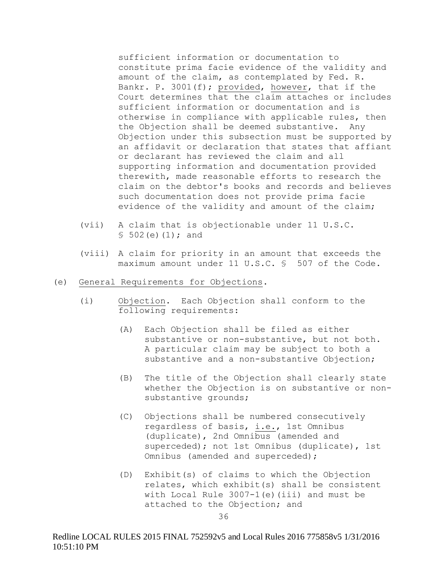sufficient information or documentation to constitute prima facie evidence of the validity and amount of the claim, as contemplated by Fed. R. Bankr. P. 3001(f); provided, however, that if the Court determines that the claim attaches or includes sufficient information or documentation and is otherwise in compliance with applicable rules, then the Objection shall be deemed substantive. Any Objection under this subsection must be supported by an affidavit or declaration that states that affiant or declarant has reviewed the claim and all supporting information and documentation provided therewith, made reasonable efforts to research the claim on the debtor's books and records and believes such documentation does not provide prima facie evidence of the validity and amount of the claim;

- (vii) A claim that is objectionable under 11 U.S.C.  $$502(e)(1);$  and
- (viii) A claim for priority in an amount that exceeds the maximum amount under 11 U.S.C. § 507 of the Code.
- (e) General Requirements for Objections.
	- (i) Objection. Each Objection shall conform to the following requirements:
		- (A) Each Objection shall be filed as either substantive or non-substantive, but not both. A particular claim may be subject to both a substantive and a non-substantive Objection;
		- (B) The title of the Objection shall clearly state whether the Objection is on substantive or nonsubstantive grounds;
		- (C) Objections shall be numbered consecutively regardless of basis, i.e., 1st Omnibus (duplicate), 2nd Omnibus (amended and superceded); not 1st Omnibus (duplicate), 1st Omnibus (amended and superceded);
		- (D) Exhibit(s) of claims to which the Objection relates, which exhibit(s) shall be consistent with Local Rule 3007-1(e)(iii) and must be attached to the Objection; and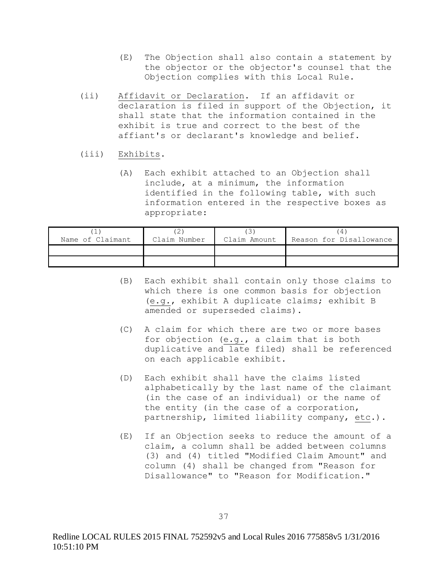- (E) The Objection shall also contain a statement by the objector or the objector's counsel that the Objection complies with this Local Rule.
- (ii) Affidavit or Declaration. If an affidavit or declaration is filed in support of the Objection, it shall state that the information contained in the exhibit is true and correct to the best of the affiant's or declarant's knowledge and belief.
- (iii) Exhibits.
	- (A) Each exhibit attached to an Objection shall include, at a minimum, the information identified in the following table, with such information entered in the respective boxes as appropriate:

| Name of Claimant | Claim Number | Claim Amount | Reason for Disallowance |
|------------------|--------------|--------------|-------------------------|
|                  |              |              |                         |
|                  |              |              |                         |

- (B) Each exhibit shall contain only those claims to which there is one common basis for objection (e.g*.*, exhibit A duplicate claims; exhibit B amended or superseded claims).
- (C) A claim for which there are two or more bases for objection (e.g., a claim that is both duplicative and late filed) shall be referenced on each applicable exhibit.
- (D) Each exhibit shall have the claims listed alphabetically by the last name of the claimant (in the case of an individual) or the name of the entity (in the case of a corporation, partnership, limited liability company, etc.).
- (E) If an Objection seeks to reduce the amount of a claim, a column shall be added between columns (3) and (4) titled "Modified Claim Amount" and column (4) shall be changed from "Reason for Disallowance" to "Reason for Modification."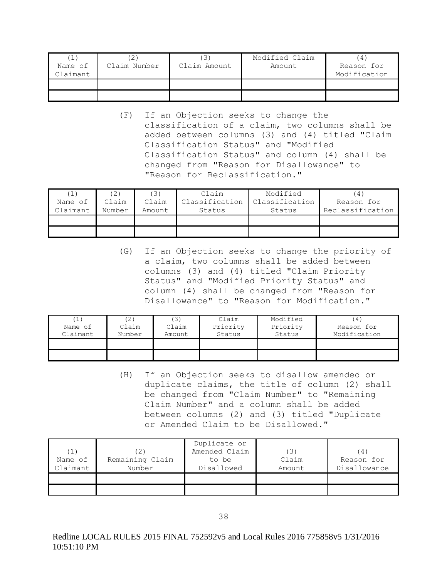| Name of<br>Claimant | 2<br>Claim Number | Claim Amount | Modified Claim<br>Amount | Reason for<br>Modification |
|---------------------|-------------------|--------------|--------------------------|----------------------------|
|                     |                   |              |                          |                            |
|                     |                   |              |                          |                            |

(F) If an Objection seeks to change the classification of a claim, two columns shall be added between columns (3) and (4) titled "Claim Classification Status" and "Modified Classification Status" and column (4) shall be changed from "Reason for Disallowance" to "Reason for Reclassification."

| (1)      | 〔2〕    | (3)    | Claim          | Modified       | (4               |
|----------|--------|--------|----------------|----------------|------------------|
| Name of  | Claim  | Claim  | Classification | Classification | Reason for       |
| Claimant | Number | Amount | Status         | Status         | Reclassification |
|          |        |        |                |                |                  |
|          |        |        |                |                |                  |

(G) If an Objection seeks to change the priority of a claim, two columns shall be added between columns (3) and (4) titled "Claim Priority Status" and "Modified Priority Status" and column (4) shall be changed from "Reason for Disallowance" to "Reason for Modification."

|          | (2)    | 3)     | Claim    | Modified | $\cdot$ 4 $\cdot$ |
|----------|--------|--------|----------|----------|-------------------|
| Name of  | Claim  | Claim  | Priority | Priority | Reason for        |
| Claimant | Number | Amount | Status   | Status   | Modification      |
|          |        |        |          |          |                   |
|          |        |        |          |          |                   |
|          |        |        |          |          |                   |

(H) If an Objection seeks to disallow amended or duplicate claims, the title of column (2) shall be changed from "Claim Number" to "Remaining Claim Number" and a column shall be added between columns (2) and (3) titled "Duplicate or Amended Claim to be Disallowed."

|          |                 | Duplicate or  |        |              |
|----------|-----------------|---------------|--------|--------------|
| (1)      |                 | Amended Claim | '3)    | $4^{\circ}$  |
| Name of  | Remaining Claim | to be         | Claim  | Reason for   |
| Claimant | Number          | Disallowed    | Amount | Disallowance |
|          |                 |               |        |              |
|          |                 |               |        |              |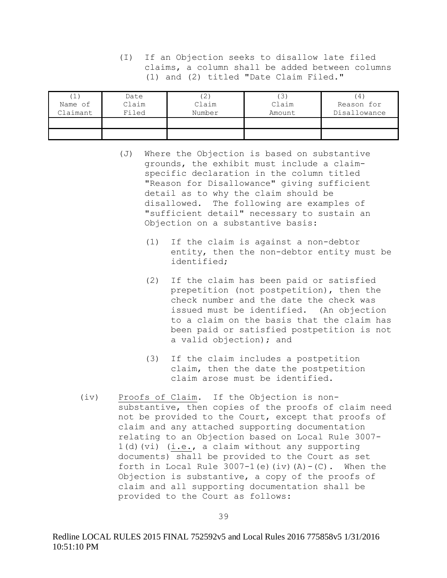(I) If an Objection seeks to disallow late filed claims, a column shall be added between columns (1) and (2) titled "Date Claim Filed."

| Name of  | Date<br>Claim | ∠<br>Claim | 3.<br>Claim | 4<br>Reason for |
|----------|---------------|------------|-------------|-----------------|
| Claimant | Filed         | Number     | Amount      | Disallowance    |
|          |               |            |             |                 |
|          |               |            |             |                 |

- (J) Where the Objection is based on substantive grounds, the exhibit must include a claimspecific declaration in the column titled "Reason for Disallowance" giving sufficient detail as to why the claim should be disallowed. The following are examples of "sufficient detail" necessary to sustain an Objection on a substantive basis:
	- (1) If the claim is against a non-debtor entity, then the non-debtor entity must be identified;
	- (2) If the claim has been paid or satisfied prepetition (not postpetition), then the check number and the date the check was issued must be identified. (An objection to a claim on the basis that the claim has been paid or satisfied postpetition is not a valid objection); and
	- (3) If the claim includes a postpetition claim, then the date the postpetition claim arose must be identified.
- (iv) Proofs of Claim. If the Objection is nonsubstantive, then copies of the proofs of claim need not be provided to the Court, except that proofs of claim and any attached supporting documentation relating to an Objection based on Local Rule 3007- 1(d)(vi) (i.e., a claim without any supporting documents) shall be provided to the Court as set forth in Local Rule  $3007-1$  (e) (iv)(A) - (C). When the Objection is substantive, a copy of the proofs of claim and all supporting documentation shall be provided to the Court as follows: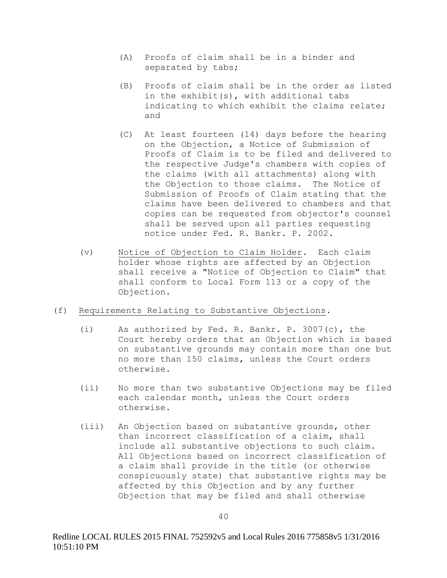- (A) Proofs of claim shall be in a binder and separated by tabs;
- (B) Proofs of claim shall be in the order as listed in the exhibit(s), with additional tabs indicating to which exhibit the claims relate; and
- (C) At least fourteen (14) days before the hearing on the Objection, a Notice of Submission of Proofs of Claim is to be filed and delivered to the respective Judge's chambers with copies of the claims (with all attachments) along with the Objection to those claims. The Notice of Submission of Proofs of Claim stating that the claims have been delivered to chambers and that copies can be requested from objector's counsel shall be served upon all parties requesting notice under Fed. R. Bankr. P. 2002.
- (v) Notice of Objection to Claim Holder. Each claim holder whose rights are affected by an Objection shall receive a "Notice of Objection to Claim" that shall conform to Local Form 113 or a copy of the Objection.
- (f) Requirements Relating to Substantive Objections.
	- (i) As authorized by Fed. R. Bankr. P. 3007(c), the Court hereby orders that an Objection which is based on substantive grounds may contain more than one but no more than 150 claims, unless the Court orders otherwise.
	- (ii) No more than two substantive Objections may be filed each calendar month, unless the Court orders otherwise.
	- (iii) An Objection based on substantive grounds, other than incorrect classification of a claim, shall include all substantive objections to such claim. All Objections based on incorrect classification of a claim shall provide in the title (or otherwise conspicuously state) that substantive rights may be affected by this Objection and by any further Objection that may be filed and shall otherwise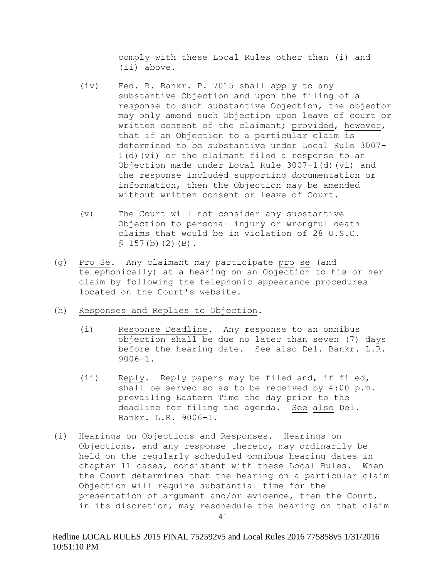comply with these Local Rules other than (i) and (ii) above.

- (iv) Fed. R. Bankr. P. 7015 shall apply to any substantive Objection and upon the filing of a response to such substantive Objection, the objector may only amend such Objection upon leave of court or written consent of the claimant; provided, however, that if an Objection to a particular claim is determined to be substantive under Local Rule 3007- 1(d)(vi) or the claimant filed a response to an Objection made under Local Rule 3007-1(d)(vi) and the response included supporting documentation or information, then the Objection may be amended without written consent or leave of Court.
- (v) The Court will not consider any substantive Objection to personal injury or wrongful death claims that would be in violation of 28 U.S.C.  $$157(b)(2)(B).$
- (g) Pro Se. Any claimant may participate pro se (and telephonically) at a hearing on an Objection to his or her claim by following the telephonic appearance procedures located on the Court's website.
- (h) Responses and Replies to Objection.
	- (i) Response Deadline. Any response to an omnibus objection shall be due no later than seven (7) days before the hearing date. See also Del. Bankr. L.R. 9006-1.
	- (ii) Reply. Reply papers may be filed and, if filed, shall be served so as to be received by 4:00 p.m. prevailing Eastern Time the day prior to the deadline for filing the agenda. See also Del. Bankr. L.R. 9006-1.
- (i) Hearings on Objections and Responses. Hearings on Objections, and any response thereto, may ordinarily be held on the regularly scheduled omnibus hearing dates in chapter 11 cases, consistent with these Local Rules. When the Court determines that the hearing on a particular claim Objection will require substantial time for the presentation of argument and/or evidence, then the Court, in its discretion, may reschedule the hearing on that claim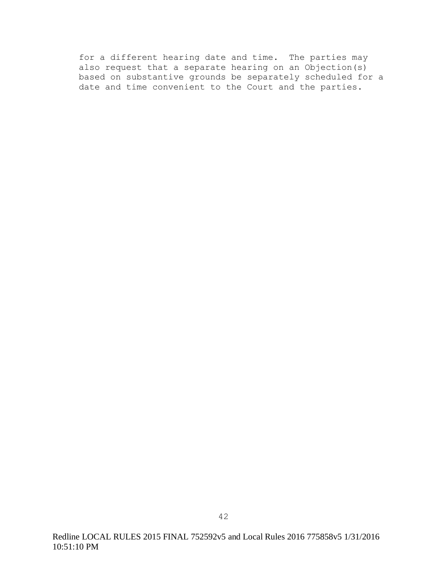for a different hearing date and time. The parties may also request that a separate hearing on an Objection(s) based on substantive grounds be separately scheduled for a date and time convenient to the Court and the parties.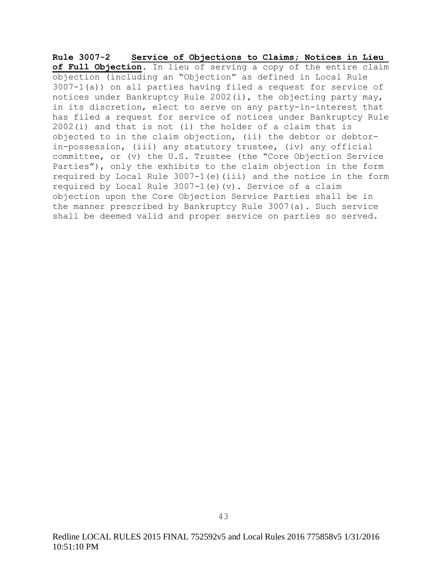**Rule 3007-2 Service of Objections to Claims; Notices in Lieu of Full Objection**. In lieu of serving a copy of the entire claim objection (including an "Objection" as defined in Local Rule 3007-1(a)) on all parties having filed a request for service of notices under Bankruptcy Rule 2002(i), the objecting party may, in its discretion, elect to serve on any party-in-interest that has filed a request for service of notices under Bankruptcy Rule 2002(i) and that is not (i) the holder of a claim that is objected to in the claim objection, (ii) the debtor or debtorin-possession, (iii) any statutory trustee, (iv) any official committee, or (v) the U.S. Trustee (the "Core Objection Service Parties"), only the exhibits to the claim objection in the form required by Local Rule 3007-1(e)(iii) and the notice in the form required by Local Rule 3007-1(e)(v). Service of a claim objection upon the Core Objection Service Parties shall be in the manner prescribed by Bankruptcy Rule 3007(a). Such service shall be deemed valid and proper service on parties so served.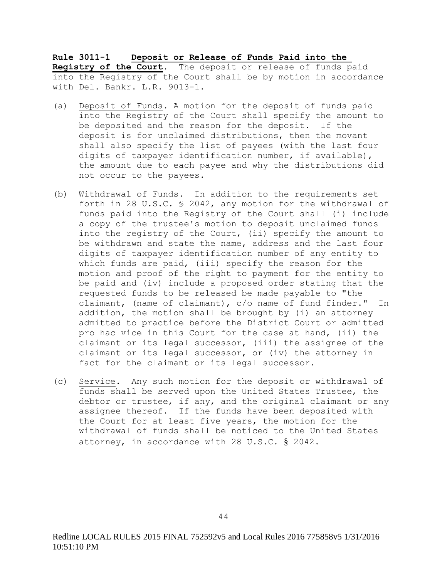**Rule 3011-1 Deposit or Release of Funds Paid into the Registry of the Court**. The deposit or release of funds paid into the Registry of the Court shall be by motion in accordance with Del. Bankr. L.R. 9013-1.

- (a) Deposit of Funds. A motion for the deposit of funds paid into the Registry of the Court shall specify the amount to be deposited and the reason for the deposit. If the deposit is for unclaimed distributions, then the movant shall also specify the list of payees (with the last four digits of taxpayer identification number, if available), the amount due to each payee and why the distributions did not occur to the payees.
- (b) Withdrawal of Funds. In addition to the requirements set forth in 28 U.S.C. § 2042, any motion for the withdrawal of funds paid into the Registry of the Court shall (i) include a copy of the trustee's motion to deposit unclaimed funds into the registry of the Court, (ii) specify the amount to be withdrawn and state the name, address and the last four digits of taxpayer identification number of any entity to which funds are paid, (iii) specify the reason for the motion and proof of the right to payment for the entity to be paid and (iv) include a proposed order stating that the requested funds to be released be made payable to "the claimant, (name of claimant), c/o name of fund finder." In addition, the motion shall be brought by (i) an attorney admitted to practice before the District Court or admitted pro hac vice in this Court for the case at hand, (ii) the claimant or its legal successor, (iii) the assignee of the claimant or its legal successor, or (iv) the attorney in fact for the claimant or its legal successor.
- (c) Service. Any such motion for the deposit or withdrawal of funds shall be served upon the United States Trustee, the debtor or trustee, if any, and the original claimant or any assignee thereof. If the funds have been deposited with the Court for at least five years, the motion for the withdrawal of funds shall be noticed to the United States attorney, in accordance with 28 U.S.C. § 2042.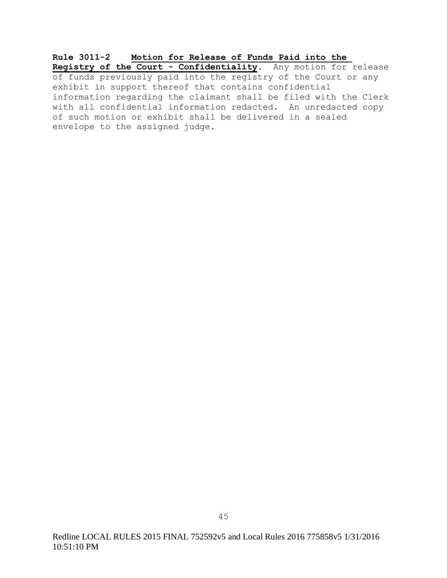**Rule 3011-2 Motion for Release of Funds Paid into the Registry of the Court - Confidentiality**. Any motion for release of funds previously paid into the registry of the Court or any exhibit in support thereof that contains confidential information regarding the claimant shall be filed with the Clerk with all confidential information redacted. An unredacted copy of such motion or exhibit shall be delivered in a sealed envelope to the assigned judge.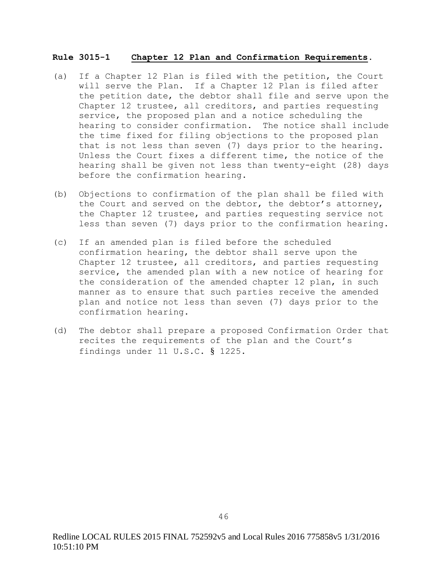#### **Rule 3015-1 Chapter 12 Plan and Confirmation Requirements**.

- (a) If a Chapter 12 Plan is filed with the petition, the Court will serve the Plan. If a Chapter 12 Plan is filed after the petition date, the debtor shall file and serve upon the Chapter 12 trustee, all creditors, and parties requesting service, the proposed plan and a notice scheduling the hearing to consider confirmation. The notice shall include the time fixed for filing objections to the proposed plan that is not less than seven (7) days prior to the hearing. Unless the Court fixes a different time, the notice of the hearing shall be given not less than twenty-eight (28) days before the confirmation hearing.
- (b) Objections to confirmation of the plan shall be filed with the Court and served on the debtor, the debtor's attorney, the Chapter 12 trustee, and parties requesting service not less than seven (7) days prior to the confirmation hearing.
- (c) If an amended plan is filed before the scheduled confirmation hearing, the debtor shall serve upon the Chapter 12 trustee, all creditors, and parties requesting service, the amended plan with a new notice of hearing for the consideration of the amended chapter 12 plan, in such manner as to ensure that such parties receive the amended plan and notice not less than seven (7) days prior to the confirmation hearing.
- (d) The debtor shall prepare a proposed Confirmation Order that recites the requirements of the plan and the Court's findings under 11 U.S.C. § 1225.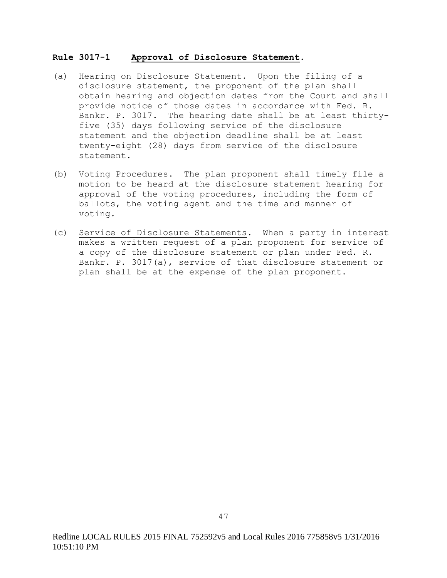## **Rule 3017-1 Approval of Disclosure Statement**.

- (a) Hearing on Disclosure Statement. Upon the filing of a disclosure statement, the proponent of the plan shall obtain hearing and objection dates from the Court and shall provide notice of those dates in accordance with Fed. R. Bankr. P. 3017. The hearing date shall be at least thirtyfive (35) days following service of the disclosure statement and the objection deadline shall be at least twenty-eight (28) days from service of the disclosure statement.
- (b) Voting Procedures. The plan proponent shall timely file a motion to be heard at the disclosure statement hearing for approval of the voting procedures, including the form of ballots, the voting agent and the time and manner of voting.
- (c) Service of Disclosure Statements. When a party in interest makes a written request of a plan proponent for service of a copy of the disclosure statement or plan under Fed. R. Bankr. P. 3017(a), service of that disclosure statement or plan shall be at the expense of the plan proponent.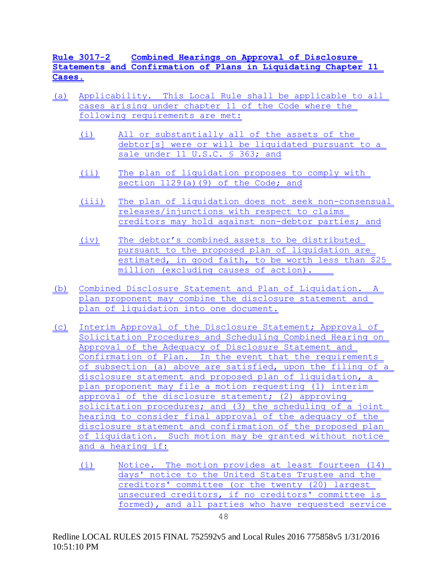**Rule 3017-2 Combined Hearings on Approval of Disclosure Statements and Confirmation of Plans in Liquidating Chapter 11 Cases.**

- (a) Applicability. This Local Rule shall be applicable to all cases arising under chapter 11 of the Code where the following requirements are met:
	- (i) All or substantially all of the assets of the debtor[s] were or will be liquidated pursuant to a sale under 11 U.S.C. § 363; and
	- (ii) The plan of liquidation proposes to comply with section 1129(a)(9) of the Code; and
	- (iii) The plan of liquidation does not seek non-consensual releases/injunctions with respect to claims creditors may hold against non-debtor parties; and
	- (iv) The debtor's combined assets to be distributed pursuant to the proposed plan of liquidation are estimated, in good faith, to be worth less than \$25 million (excluding causes of action).
- (b) Combined Disclosure Statement and Plan of Liquidation. A plan proponent may combine the disclosure statement and plan of liquidation into one document.
- (c) Interim Approval of the Disclosure Statement; Approval of Solicitation Procedures and Scheduling Combined Hearing on Approval of the Adequacy of Disclosure Statement and Confirmation of Plan. In the event that the requirements of subsection (a) above are satisfied, upon the filing of a disclosure statement and proposed plan of liquidation, a plan proponent may file a motion requesting (1) interim approval of the disclosure statement; (2) approving solicitation procedures; and (3) the scheduling of a joint hearing to consider final approval of the adequacy of the disclosure statement and confirmation of the proposed plan of liquidation. Such motion may be granted without notice and a hearing if:
	- (i) Notice. The motion provides at least fourteen (14) days' notice to the United States Trustee and the creditors' committee (or the twenty (20) largest unsecured creditors, if no creditors' committee is formed), and all parties who have requested service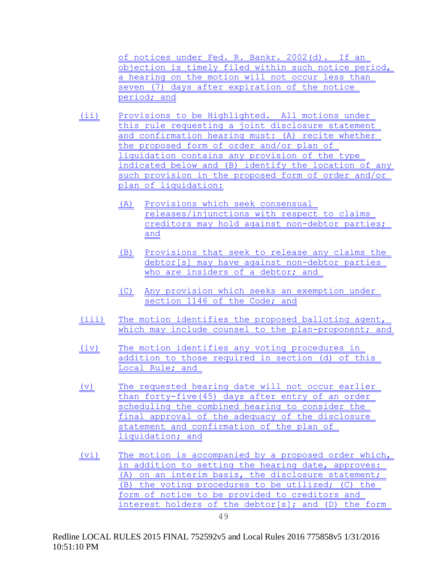of notices under Fed. R. Bankr. 2002(d). If an objection is timely filed within such notice period, a hearing on the motion will not occur less than seven (7) days after expiration of the notice period; and

- (ii) Provisions to be Highlighted. All motions under this rule requesting a joint disclosure statement and confirmation hearing must: (A) recite whether the proposed form of order and/or plan of liquidation contains any provision of the type indicated below and (B) identify the location of any such provision in the proposed form of order and/or plan of liquidation:
	- (A) Provisions which seek consensual releases/injunctions with respect to claims creditors may hold against non-debtor parties; and
	- (B) Provisions that seek to release any claims the debtor[s] may have against non-debtor parties who are insiders of a debtor; and
	- (C) Any provision which seeks an exemption under section 1146 of the Code; and
- (iii) The motion identifies the proposed balloting agent, which may include counsel to the plan-proponent; and
- (iv) The motion identifies any voting procedures in addition to those required in section (d) of this Local Rule; and
- (v) The requested hearing date will not occur earlier than forty-five(45) days after entry of an order scheduling the combined hearing to consider the final approval of the adequacy of the disclosure statement and confirmation of the plan of liquidation; and
- (vi) The motion is accompanied by a proposed order which, in addition to setting the hearing date, approves: (A) on an interim basis, the disclosure statement; (B) the voting procedures to be utilized; (C) the form of notice to be provided to creditors and interest holders of the debtor[s]; and (D) the form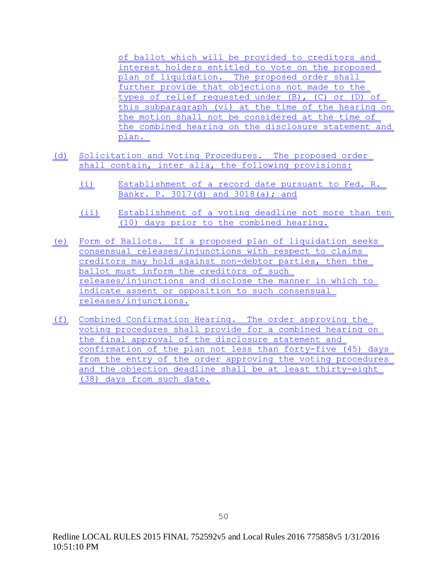of ballot which will be provided to creditors and interest holders entitled to vote on the proposed plan of liquidation. The proposed order shall further provide that objections not made to the types of relief requested under (B), (C) or (D) of this subparagraph (vi) at the time of the hearing on the motion shall not be considered at the time of the combined hearing on the disclosure statement and plan.

- (d) Solicitation and Voting Procedures. The proposed order shall contain, inter alia, the following provisions:
	- (i) Establishment of a record date pursuant to Fed. R. Bankr. P. 3017(d) and 3018(a); and
	- (ii) Establishment of a voting deadline not more than ten (10) days prior to the combined hearing.
- (e) Form of Ballots. If a proposed plan of liquidation seeks consensual releases/injunctions with respect to claims creditors may hold against non-debtor parties, then the ballot must inform the creditors of such releases/injunctions and disclose the manner in which to indicate assent or opposition to such consensual releases/injunctions.
- (f) Combined Confirmation Hearing. The order approving the voting procedures shall provide for a combined hearing on the final approval of the disclosure statement and confirmation of the plan not less than forty-five (45) days from the entry of the order approving the voting procedures and the objection deadline shall be at least thirty-eight (38) days from such date.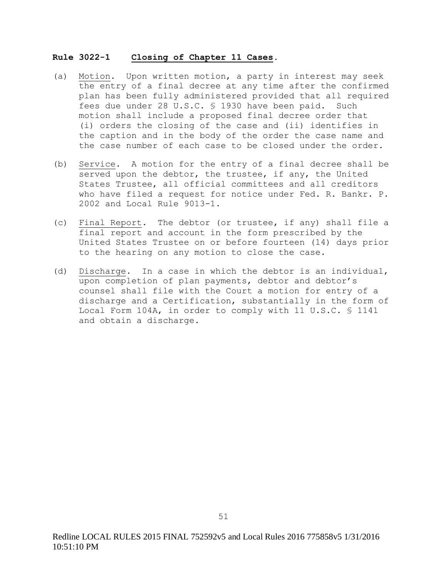#### **Rule 3022-1 Closing of Chapter 11 Cases**.

- (a) Motion. Upon written motion, a party in interest may seek the entry of a final decree at any time after the confirmed plan has been fully administered provided that all required fees due under 28 U.S.C. § 1930 have been paid. Such motion shall include a proposed final decree order that (i) orders the closing of the case and (ii) identifies in the caption and in the body of the order the case name and the case number of each case to be closed under the order.
- (b) Service. A motion for the entry of a final decree shall be served upon the debtor, the trustee, if any, the United States Trustee, all official committees and all creditors who have filed a request for notice under Fed. R. Bankr. P. 2002 and Local Rule 9013-1.
- (c) Final Report. The debtor (or trustee, if any) shall file a final report and account in the form prescribed by the United States Trustee on or before fourteen (14) days prior to the hearing on any motion to close the case.
- (d) Discharge. In a case in which the debtor is an individual, upon completion of plan payments, debtor and debtor's counsel shall file with the Court a motion for entry of a discharge and a Certification, substantially in the form of Local Form 104A, in order to comply with 11 U.S.C. § 1141 and obtain a discharge.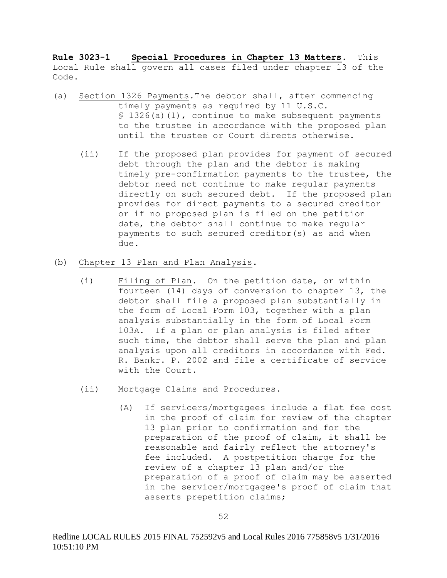**Rule 3023-1 Special Procedures in Chapter 13 Matters**. This Local Rule shall govern all cases filed under chapter 13 of the Code.

- (a) Section 1326 Payments.The debtor shall, after commencing timely payments as required by 11 U.S.C. § 1326(a)(1), continue to make subsequent payments to the trustee in accordance with the proposed plan until the trustee or Court directs otherwise.
	- (ii) If the proposed plan provides for payment of secured debt through the plan and the debtor is making timely pre-confirmation payments to the trustee, the debtor need not continue to make regular payments directly on such secured debt. If the proposed plan provides for direct payments to a secured creditor or if no proposed plan is filed on the petition date, the debtor shall continue to make regular payments to such secured creditor(s) as and when due.
- (b) Chapter 13 Plan and Plan Analysis.
	- (i) Filing of Plan. On the petition date, or within fourteen (14) days of conversion to chapter 13, the debtor shall file a proposed plan substantially in the form of Local Form 103, together with a plan analysis substantially in the form of Local Form 103A. If a plan or plan analysis is filed after such time, the debtor shall serve the plan and plan analysis upon all creditors in accordance with Fed. R. Bankr. P. 2002 and file a certificate of service with the Court.
	- (ii) Mortgage Claims and Procedures.
		- (A) If servicers/mortgagees include a flat fee cost in the proof of claim for review of the chapter 13 plan prior to confirmation and for the preparation of the proof of claim, it shall be reasonable and fairly reflect the attorney's fee included. A postpetition charge for the review of a chapter 13 plan and/or the preparation of a proof of claim may be asserted in the servicer/mortgagee's proof of claim that asserts prepetition claims;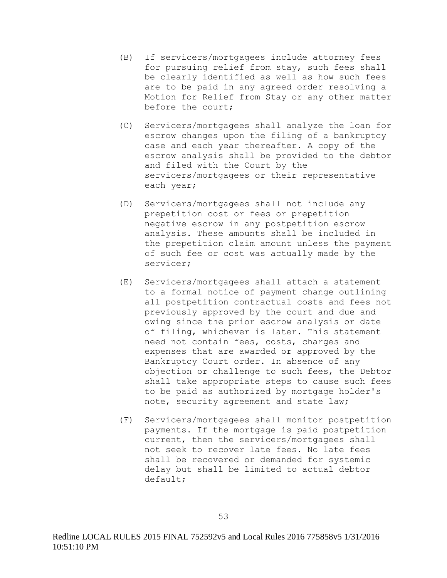- (B) If servicers/mortgagees include attorney fees for pursuing relief from stay, such fees shall be clearly identified as well as how such fees are to be paid in any agreed order resolving a Motion for Relief from Stay or any other matter before the court;
- (C) Servicers/mortgagees shall analyze the loan for escrow changes upon the filing of a bankruptcy case and each year thereafter. A copy of the escrow analysis shall be provided to the debtor and filed with the Court by the servicers/mortgagees or their representative each year;
- (D) Servicers/mortgagees shall not include any prepetition cost or fees or prepetition negative escrow in any postpetition escrow analysis. These amounts shall be included in the prepetition claim amount unless the payment of such fee or cost was actually made by the servicer;
- (E) Servicers/mortgagees shall attach a statement to a formal notice of payment change outlining all postpetition contractual costs and fees not previously approved by the court and due and owing since the prior escrow analysis or date of filing, whichever is later. This statement need not contain fees, costs, charges and expenses that are awarded or approved by the Bankruptcy Court order. In absence of any objection or challenge to such fees, the Debtor shall take appropriate steps to cause such fees to be paid as authorized by mortgage holder's note, security agreement and state law;
- (F) Servicers/mortgagees shall monitor postpetition payments. If the mortgage is paid postpetition current, then the servicers/mortgagees shall not seek to recover late fees. No late fees shall be recovered or demanded for systemic delay but shall be limited to actual debtor default;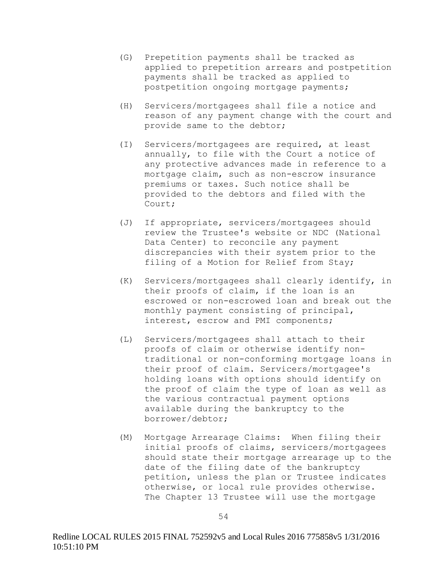- (G) Prepetition payments shall be tracked as applied to prepetition arrears and postpetition payments shall be tracked as applied to postpetition ongoing mortgage payments;
- (H) Servicers/mortgagees shall file a notice and reason of any payment change with the court and provide same to the debtor;
- (I) Servicers/mortgagees are required, at least annually, to file with the Court a notice of any protective advances made in reference to a mortgage claim, such as non-escrow insurance premiums or taxes. Such notice shall be provided to the debtors and filed with the Court;
- (J) If appropriate, servicers/mortgagees should review the Trustee's website or NDC (National Data Center) to reconcile any payment discrepancies with their system prior to the filing of a Motion for Relief from Stay;
- (K) Servicers/mortgagees shall clearly identify, in their proofs of claim, if the loan is an escrowed or non-escrowed loan and break out the monthly payment consisting of principal, interest, escrow and PMI components;
- (L) Servicers/mortgagees shall attach to their proofs of claim or otherwise identify nontraditional or non-conforming mortgage loans in their proof of claim. Servicers/mortgagee's holding loans with options should identify on the proof of claim the type of loan as well as the various contractual payment options available during the bankruptcy to the borrower/debtor;
- (M) Mortgage Arrearage Claims: When filing their initial proofs of claims, servicers/mortgagees should state their mortgage arrearage up to the date of the filing date of the bankruptcy petition, unless the plan or Trustee indicates otherwise, or local rule provides otherwise. The Chapter 13 Trustee will use the mortgage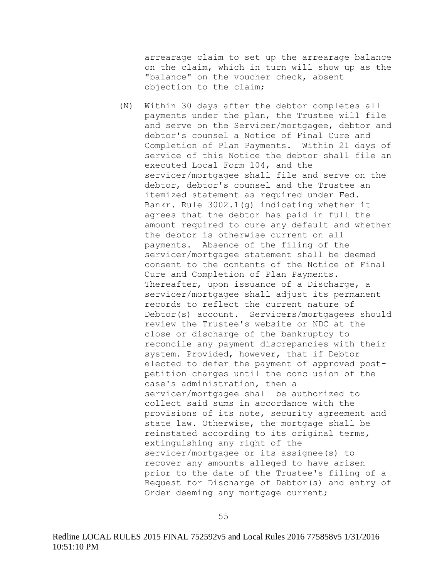arrearage claim to set up the arrearage balance on the claim, which in turn will show up as the "balance" on the voucher check, absent objection to the claim;

(N) Within 30 days after the debtor completes all payments under the plan, the Trustee will file and serve on the Servicer/mortgagee, debtor and debtor's counsel a Notice of Final Cure and Completion of Plan Payments. Within 21 days of service of this Notice the debtor shall file an executed Local Form 104, and the servicer/mortgagee shall file and serve on the debtor, debtor's counsel and the Trustee an itemized statement as required under Fed. Bankr. Rule 3002.1(g) indicating whether it agrees that the debtor has paid in full the amount required to cure any default and whether the debtor is otherwise current on all payments. Absence of the filing of the servicer/mortgagee statement shall be deemed consent to the contents of the Notice of Final Cure and Completion of Plan Payments. Thereafter, upon issuance of a Discharge, a servicer/mortgagee shall adjust its permanent records to reflect the current nature of Debtor(s) account. Servicers/mortgagees should review the Trustee's website or NDC at the close or discharge of the bankruptcy to reconcile any payment discrepancies with their system. Provided, however, that if Debtor elected to defer the payment of approved postpetition charges until the conclusion of the case's administration, then a servicer/mortgagee shall be authorized to collect said sums in accordance with the provisions of its note, security agreement and state law. Otherwise, the mortgage shall be reinstated according to its original terms, extinguishing any right of the servicer/mortgagee or its assignee(s) to recover any amounts alleged to have arisen prior to the date of the Trustee's filing of a Request for Discharge of Debtor(s) and entry of Order deeming any mortgage current;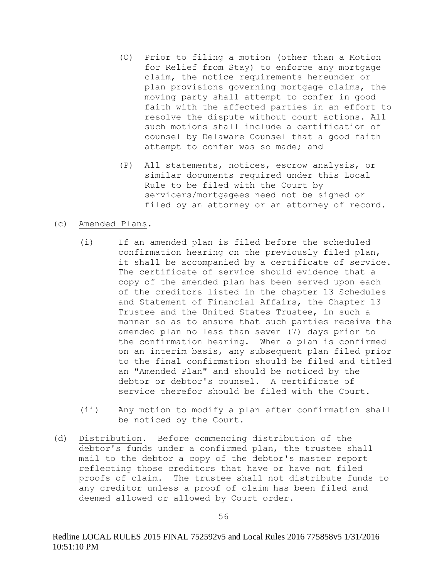- (O) Prior to filing a motion (other than a Motion for Relief from Stay) to enforce any mortgage claim, the notice requirements hereunder or plan provisions governing mortgage claims, the moving party shall attempt to confer in good faith with the affected parties in an effort to resolve the dispute without court actions. All such motions shall include a certification of counsel by Delaware Counsel that a good faith attempt to confer was so made; and
- (P) All statements, notices, escrow analysis, or similar documents required under this Local Rule to be filed with the Court by servicers/mortgagees need not be signed or filed by an attorney or an attorney of record.

## (c) Amended Plans.

- (i) If an amended plan is filed before the scheduled confirmation hearing on the previously filed plan, it shall be accompanied by a certificate of service. The certificate of service should evidence that a copy of the amended plan has been served upon each of the creditors listed in the chapter 13 Schedules and Statement of Financial Affairs, the Chapter 13 Trustee and the United States Trustee, in such a manner so as to ensure that such parties receive the amended plan no less than seven (7) days prior to the confirmation hearing. When a plan is confirmed on an interim basis, any subsequent plan filed prior to the final confirmation should be filed and titled an "Amended Plan" and should be noticed by the debtor or debtor's counsel. A certificate of service therefor should be filed with the Court.
- (ii) Any motion to modify a plan after confirmation shall be noticed by the Court.
- (d) Distribution. Before commencing distribution of the debtor's funds under a confirmed plan, the trustee shall mail to the debtor a copy of the debtor's master report reflecting those creditors that have or have not filed proofs of claim. The trustee shall not distribute funds to any creditor unless a proof of claim has been filed and deemed allowed or allowed by Court order.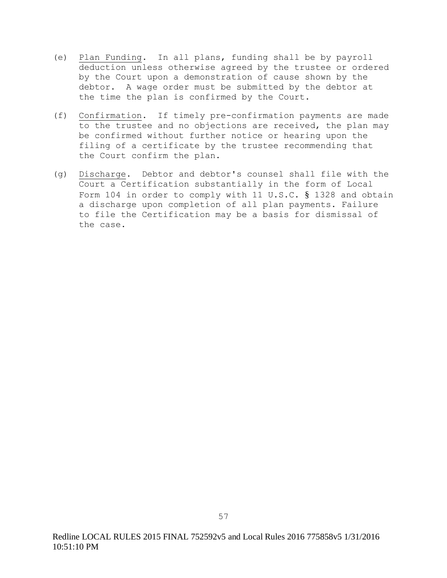- (e) Plan Funding. In all plans, funding shall be by payroll deduction unless otherwise agreed by the trustee or ordered by the Court upon a demonstration of cause shown by the debtor. A wage order must be submitted by the debtor at the time the plan is confirmed by the Court.
- (f) Confirmation. If timely pre-confirmation payments are made to the trustee and no objections are received, the plan may be confirmed without further notice or hearing upon the filing of a certificate by the trustee recommending that the Court confirm the plan.
- (g) Discharge. Debtor and debtor's counsel shall file with the Court a Certification substantially in the form of Local Form 104 in order to comply with 11 U.S.C. § 1328 and obtain a discharge upon completion of all plan payments. Failure to file the Certification may be a basis for dismissal of the case.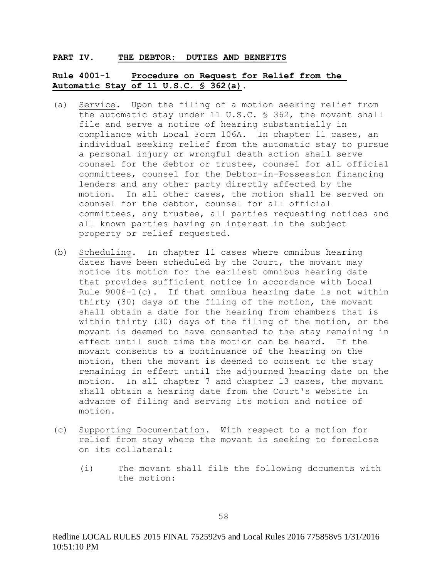#### **PART IV. THE DEBTOR: DUTIES AND BENEFITS**

# **Rule 4001-1 Procedure on Request for Relief from the Automatic Stay of 11 U.S.C. § 362(a)**.

- (a) Service. Upon the filing of a motion seeking relief from the automatic stay under 11 U.S.C. § 362, the movant shall file and serve a notice of hearing substantially in compliance with Local Form 106A. In chapter 11 cases, an individual seeking relief from the automatic stay to pursue a personal injury or wrongful death action shall serve counsel for the debtor or trustee, counsel for all official committees, counsel for the Debtor-in-Possession financing lenders and any other party directly affected by the motion. In all other cases, the motion shall be served on counsel for the debtor, counsel for all official committees, any trustee, all parties requesting notices and all known parties having an interest in the subject property or relief requested.
- (b) Scheduling. In chapter 11 cases where omnibus hearing dates have been scheduled by the Court, the movant may notice its motion for the earliest omnibus hearing date that provides sufficient notice in accordance with Local Rule  $9006-1(c)$ . If that omnibus hearing date is not within thirty (30) days of the filing of the motion, the movant shall obtain a date for the hearing from chambers that is within thirty (30) days of the filing of the motion, or the movant is deemed to have consented to the stay remaining in effect until such time the motion can be heard. If the movant consents to a continuance of the hearing on the motion, then the movant is deemed to consent to the stay remaining in effect until the adjourned hearing date on the motion. In all chapter 7 and chapter 13 cases, the movant shall obtain a hearing date from the Court's website in advance of filing and serving its motion and notice of motion.
- (c) Supporting Documentation. With respect to a motion for relief from stay where the movant is seeking to foreclose on its collateral:
	- (i) The movant shall file the following documents with the motion:

58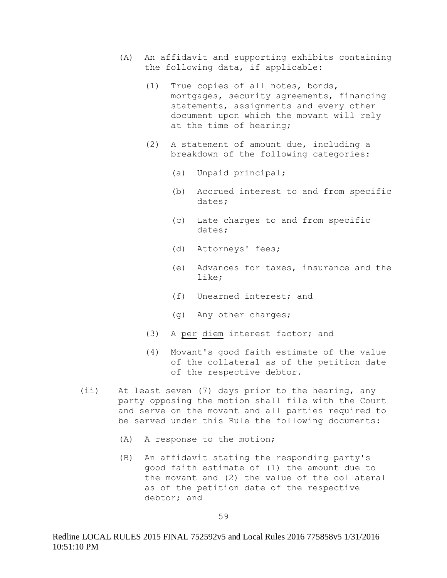- (A) An affidavit and supporting exhibits containing the following data, if applicable:
	- (1) True copies of all notes, bonds, mortgages, security agreements, financing statements, assignments and every other document upon which the movant will rely at the time of hearing;
	- (2) A statement of amount due, including a breakdown of the following categories:
		- (a) Unpaid principal;
		- (b) Accrued interest to and from specific dates;
		- (c) Late charges to and from specific dates;
		- (d) Attorneys' fees;
		- (e) Advances for taxes, insurance and the like;
		- (f) Unearned interest; and
		- (g) Any other charges;
	- (3) A per diem interest factor; and
	- (4) Movant's good faith estimate of the value of the collateral as of the petition date of the respective debtor.
- (ii) At least seven (7) days prior to the hearing, any party opposing the motion shall file with the Court and serve on the movant and all parties required to be served under this Rule the following documents:
	- (A) A response to the motion;
	- (B) An affidavit stating the responding party's good faith estimate of (1) the amount due to the movant and (2) the value of the collateral as of the petition date of the respective debtor; and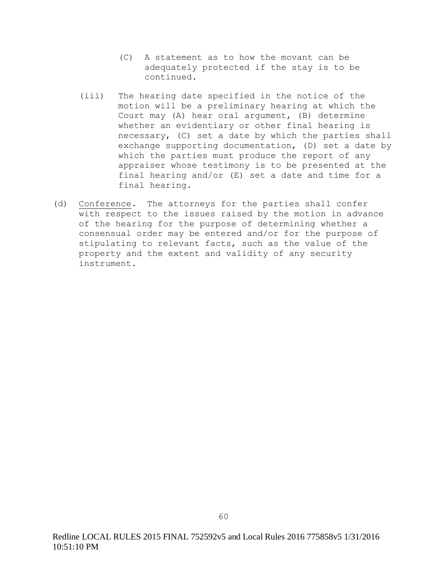- (C) A statement as to how the movant can be adequately protected if the stay is to be continued.
- (iii) The hearing date specified in the notice of the motion will be a preliminary hearing at which the Court may (A) hear oral argument, (B) determine whether an evidentiary or other final hearing is necessary, (C) set a date by which the parties shall exchange supporting documentation, (D) set a date by which the parties must produce the report of any appraiser whose testimony is to be presented at the final hearing and/or (E) set a date and time for a final hearing.
- (d) Conference. The attorneys for the parties shall confer with respect to the issues raised by the motion in advance of the hearing for the purpose of determining whether a consensual order may be entered and/or for the purpose of stipulating to relevant facts, such as the value of the property and the extent and validity of any security instrument.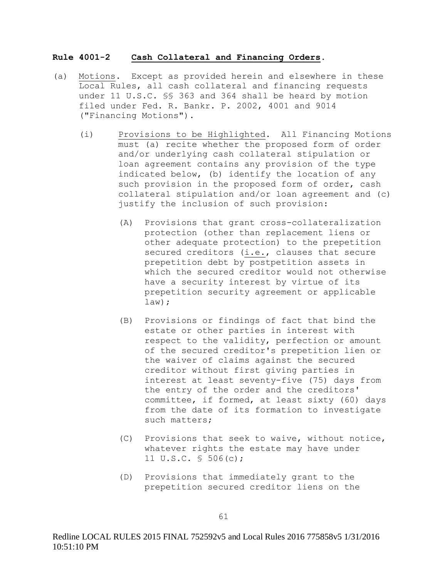## **Rule 4001-2 Cash Collateral and Financing Orders**.

- (a) Motions. Except as provided herein and elsewhere in these Local Rules, all cash collateral and financing requests under 11 U.S.C. §§ 363 and 364 shall be heard by motion filed under Fed. R. Bankr. P. 2002, 4001 and 9014 ("Financing Motions").
	- (i) Provisions to be Highlighted. All Financing Motions must (a) recite whether the proposed form of order and/or underlying cash collateral stipulation or loan agreement contains any provision of the type indicated below, (b) identify the location of any such provision in the proposed form of order, cash collateral stipulation and/or loan agreement and (c) justify the inclusion of such provision:
		- (A) Provisions that grant cross-collateralization protection (other than replacement liens or other adequate protection) to the prepetition secured creditors (i.e., clauses that secure prepetition debt by postpetition assets in which the secured creditor would not otherwise have a security interest by virtue of its prepetition security agreement or applicable law);
		- (B) Provisions or findings of fact that bind the estate or other parties in interest with respect to the validity, perfection or amount of the secured creditor's prepetition lien or the waiver of claims against the secured creditor without first giving parties in interest at least seventy-five (75) days from the entry of the order and the creditors' committee, if formed, at least sixty (60) days from the date of its formation to investigate such matters;
		- (C) Provisions that seek to waive, without notice, whatever rights the estate may have under 11 U.S.C. § 506(c);
		- (D) Provisions that immediately grant to the prepetition secured creditor liens on the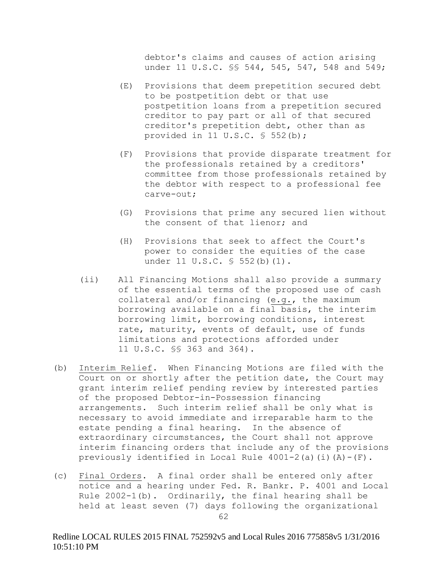debtor's claims and causes of action arising under 11 U.S.C. §§ 544, 545, 547, 548 and 549;

- (E) Provisions that deem prepetition secured debt to be postpetition debt or that use postpetition loans from a prepetition secured creditor to pay part or all of that secured creditor's prepetition debt, other than as provided in 11 U.S.C. § 552(b);
- (F) Provisions that provide disparate treatment for the professionals retained by a creditors' committee from those professionals retained by the debtor with respect to a professional fee carve-out;
- (G) Provisions that prime any secured lien without the consent of that lienor; and
- (H) Provisions that seek to affect the Court's power to consider the equities of the case under 11 U.S.C. § 552(b)(1).
- (ii) All Financing Motions shall also provide a summary of the essential terms of the proposed use of cash collateral and/or financing (e.g., the maximum borrowing available on a final basis, the interim borrowing limit, borrowing conditions, interest rate, maturity, events of default, use of funds limitations and protections afforded under 11 U.S.C. §§ 363 and 364).
- (b) Interim Relief. When Financing Motions are filed with the Court on or shortly after the petition date, the Court may grant interim relief pending review by interested parties of the proposed Debtor-in-Possession financing arrangements. Such interim relief shall be only what is necessary to avoid immediate and irreparable harm to the estate pending a final hearing. In the absence of extraordinary circumstances, the Court shall not approve interim financing orders that include any of the provisions previously identified in Local Rule  $4001-2$  (a)(i)(A)-(F).
- (c) Final Orders. A final order shall be entered only after notice and a hearing under Fed. R. Bankr. P. 4001 and Local Rule  $2002-1$  (b). Ordinarily, the final hearing shall be held at least seven (7) days following the organizational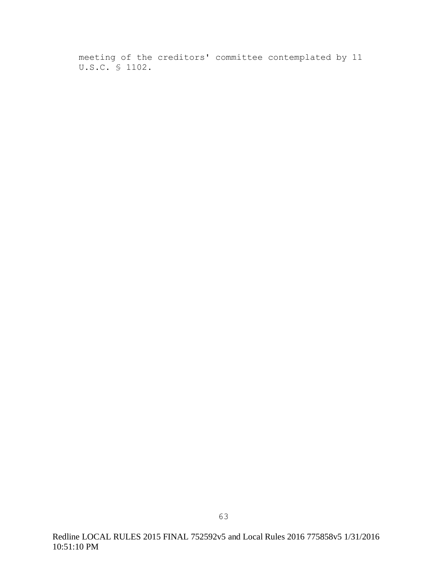meeting of the creditors' committee contemplated by 11 U.S.C. § 1102.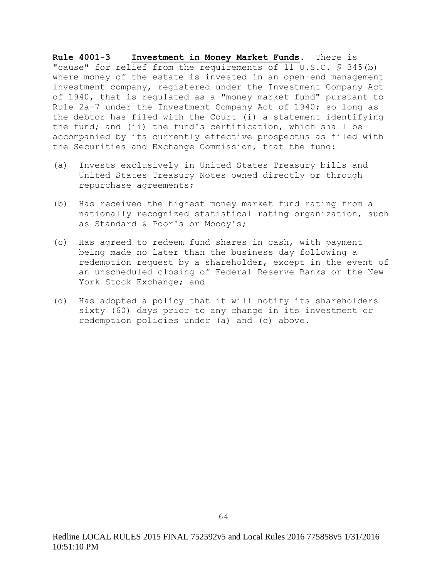**Rule 4001-3 Investment in Money Market Funds**. There is "cause" for relief from the requirements of 11 U.S.C. § 345(b) where money of the estate is invested in an open-end management investment company, registered under the Investment Company Act of 1940, that is regulated as a "money market fund" pursuant to Rule 2a-7 under the Investment Company Act of 1940; so long as the debtor has filed with the Court (i) a statement identifying the fund; and (ii) the fund's certification, which shall be accompanied by its currently effective prospectus as filed with the Securities and Exchange Commission, that the fund:

- (a) Invests exclusively in United States Treasury bills and United States Treasury Notes owned directly or through repurchase agreements;
- (b) Has received the highest money market fund rating from a nationally recognized statistical rating organization, such as Standard & Poor's or Moody's;
- (c) Has agreed to redeem fund shares in cash, with payment being made no later than the business day following a redemption request by a shareholder, except in the event of an unscheduled closing of Federal Reserve Banks or the New York Stock Exchange; and
- (d) Has adopted a policy that it will notify its shareholders sixty (60) days prior to any change in its investment or redemption policies under (a) and (c) above.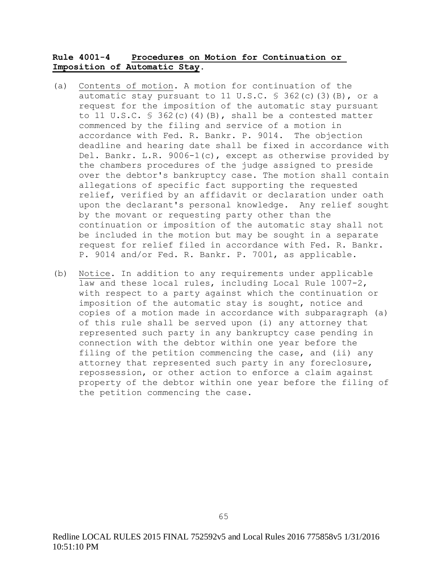# **Rule 4001-4 Procedures on Motion for Continuation or Imposition of Automatic Stay**.

- (a) Contents of motion. A motion for continuation of the automatic stay pursuant to 11 U.S.C. § 362(c)(3)(B), or a request for the imposition of the automatic stay pursuant to 11 U.S.C.  $\frac{1}{5}$  362(c)(4)(B), shall be a contested matter commenced by the filing and service of a motion in accordance with Fed. R. Bankr. P. 9014. The objection deadline and hearing date shall be fixed in accordance with Del. Bankr. L.R. 9006-1(c), except as otherwise provided by the chambers procedures of the judge assigned to preside over the debtor's bankruptcy case. The motion shall contain allegations of specific fact supporting the requested relief, verified by an affidavit or declaration under oath upon the declarant's personal knowledge. Any relief sought by the movant or requesting party other than the continuation or imposition of the automatic stay shall not be included in the motion but may be sought in a separate request for relief filed in accordance with Fed. R. Bankr. P. 9014 and/or Fed. R. Bankr. P. 7001, as applicable.
- (b) Notice. In addition to any requirements under applicable law and these local rules, including Local Rule 1007-2, with respect to a party against which the continuation or imposition of the automatic stay is sought, notice and copies of a motion made in accordance with subparagraph (a) of this rule shall be served upon (i) any attorney that represented such party in any bankruptcy case pending in connection with the debtor within one year before the filing of the petition commencing the case, and (ii) any attorney that represented such party in any foreclosure, repossession, or other action to enforce a claim against property of the debtor within one year before the filing of the petition commencing the case.

Redline LOCAL RULES 2015 FINAL 752592v5 and Local Rules 2016 775858v5 1/31/2016 10:51:10 PM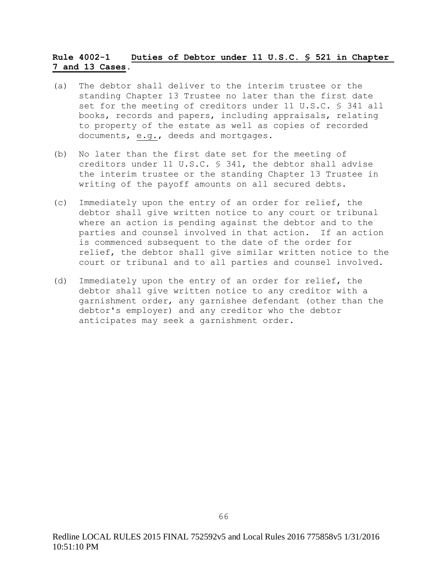# **Rule 4002-1 Duties of Debtor under 11 U.S.C. § 521 in Chapter 7 and 13 Cases**.

- (a) The debtor shall deliver to the interim trustee or the standing Chapter 13 Trustee no later than the first date set for the meeting of creditors under 11 U.S.C. § 341 all books, records and papers, including appraisals, relating to property of the estate as well as copies of recorded documents, e.g., deeds and mortgages.
- (b) No later than the first date set for the meeting of creditors under 11 U.S.C. § 341, the debtor shall advise the interim trustee or the standing Chapter 13 Trustee in writing of the payoff amounts on all secured debts.
- (c) Immediately upon the entry of an order for relief, the debtor shall give written notice to any court or tribunal where an action is pending against the debtor and to the parties and counsel involved in that action. If an action is commenced subsequent to the date of the order for relief, the debtor shall give similar written notice to the court or tribunal and to all parties and counsel involved.
- (d) Immediately upon the entry of an order for relief, the debtor shall give written notice to any creditor with a garnishment order, any garnishee defendant (other than the debtor's employer) and any creditor who the debtor anticipates may seek a garnishment order.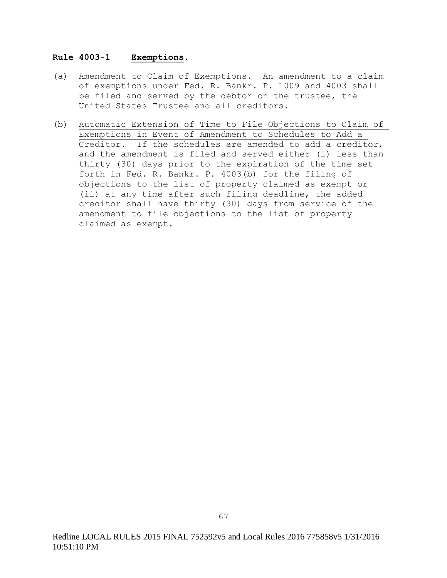## **Rule 4003-1 Exemptions**.

- (a) Amendment to Claim of Exemptions. An amendment to a claim of exemptions under Fed. R. Bankr. P. 1009 and 4003 shall be filed and served by the debtor on the trustee, the United States Trustee and all creditors.
- (b) Automatic Extension of Time to File Objections to Claim of Exemptions in Event of Amendment to Schedules to Add a Creditor. If the schedules are amended to add a creditor, and the amendment is filed and served either (i) less than thirty (30) days prior to the expiration of the time set forth in Fed. R. Bankr. P. 4003(b) for the filing of objections to the list of property claimed as exempt or (ii) at any time after such filing deadline, the added creditor shall have thirty (30) days from service of the amendment to file objections to the list of property claimed as exempt.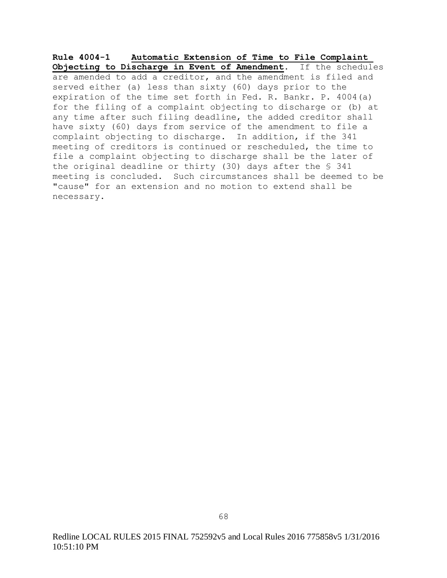**Rule 4004-1 Automatic Extension of Time to File Complaint Objecting to Discharge in Event of Amendment**. If the schedules are amended to add a creditor, and the amendment is filed and served either (a) less than sixty (60) days prior to the expiration of the time set forth in Fed. R. Bankr. P. 4004(a) for the filing of a complaint objecting to discharge or (b) at any time after such filing deadline, the added creditor shall have sixty (60) days from service of the amendment to file a complaint objecting to discharge. In addition, if the 341 meeting of creditors is continued or rescheduled, the time to file a complaint objecting to discharge shall be the later of the original deadline or thirty (30) days after the § 341 meeting is concluded. Such circumstances shall be deemed to be "cause" for an extension and no motion to extend shall be necessary.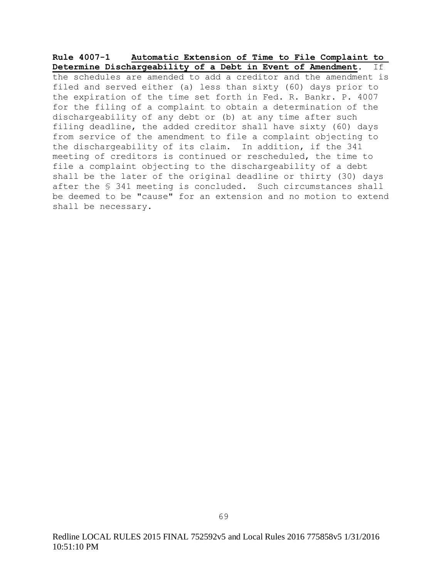## **Rule 4007-1 Automatic Extension of Time to File Complaint to Determine Dischargeability of a Debt in Event of Amendment**. If

the schedules are amended to add a creditor and the amendment is filed and served either (a) less than sixty (60) days prior to the expiration of the time set forth in Fed. R. Bankr. P. 4007 for the filing of a complaint to obtain a determination of the dischargeability of any debt or (b) at any time after such filing deadline, the added creditor shall have sixty (60) days from service of the amendment to file a complaint objecting to the dischargeability of its claim. In addition, if the 341 meeting of creditors is continued or rescheduled, the time to file a complaint objecting to the dischargeability of a debt shall be the later of the original deadline or thirty (30) days after the § 341 meeting is concluded. Such circumstances shall be deemed to be "cause" for an extension and no motion to extend shall be necessary.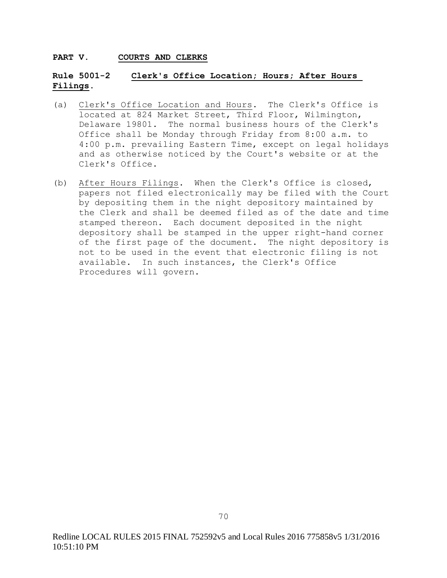#### **PART V. COURTS AND CLERKS**

# **Rule 5001-2 Clerk's Office Location; Hours; After Hours Filings**.

- (a) Clerk's Office Location and Hours. The Clerk's Office is located at 824 Market Street, Third Floor, Wilmington, Delaware 19801. The normal business hours of the Clerk's Office shall be Monday through Friday from 8:00 a.m. to 4:00 p.m. prevailing Eastern Time, except on legal holidays and as otherwise noticed by the Court's website or at the Clerk's Office.
- (b) After Hours Filings. When the Clerk's Office is closed, papers not filed electronically may be filed with the Court by depositing them in the night depository maintained by the Clerk and shall be deemed filed as of the date and time stamped thereon. Each document deposited in the night depository shall be stamped in the upper right-hand corner of the first page of the document. The night depository is not to be used in the event that electronic filing is not available. In such instances, the Clerk's Office Procedures will govern.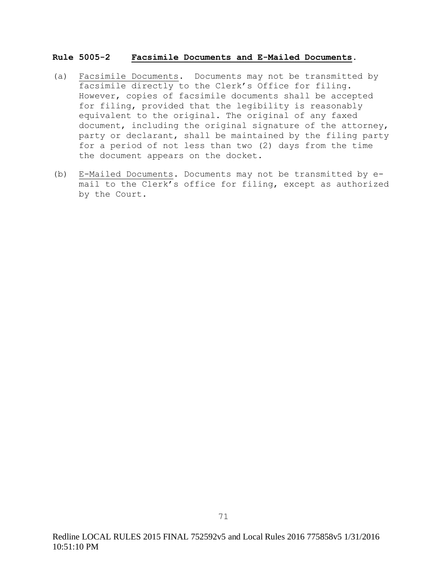### **Rule 5005-2 Facsimile Documents and E-Mailed Documents**.

- (a) Facsimile Documents. Documents may not be transmitted by facsimile directly to the Clerk's Office for filing. However, copies of facsimile documents shall be accepted for filing, provided that the legibility is reasonably equivalent to the original. The original of any faxed document, including the original signature of the attorney, party or declarant, shall be maintained by the filing party for a period of not less than two (2) days from the time the document appears on the docket.
- (b) E-Mailed Documents. Documents may not be transmitted by email to the Clerk's office for filing, except as authorized by the Court.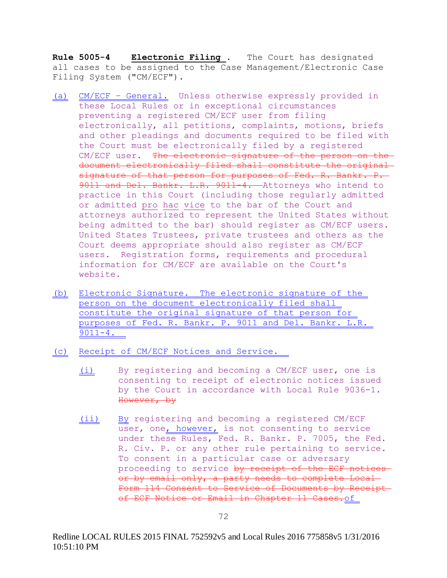**Rule 5005-4 Electronic Filing** . The Court has designated all cases to be assigned to the Case Management/Electronic Case Filing System ("CM/ECF").

- (a) CM/ECF General. Unless otherwise expressly provided in these Local Rules or in exceptional circumstances preventing a registered CM/ECF user from filing electronically, all petitions, complaints, motions, briefs and other pleadings and documents required to be filed with the Court must be electronically filed by a registered CM/ECF user. The electronic signature of the person on the document electronically filed shall constitute the original signature of that person for purposes of Fed. R. Bankr. P. 9011 and Del. Bankr. L.R. 9011-4. Attorneys who intend to practice in this Court (including those regularly admitted or admitted pro hac vice to the bar of the Court and attorneys authorized to represent the United States without being admitted to the bar) should register as CM/ECF users. United States Trustees, private trustees and others as the Court deems appropriate should also register as CM/ECF users. Registration forms, requirements and procedural information for CM/ECF are available on the Court's website.
- (b) Electronic Signature. The electronic signature of the person on the document electronically filed shall constitute the original signature of that person for purposes of Fed. R. Bankr. P. 9011 and Del. Bankr. L.R.  $9011-4.$
- (c) Receipt of CM/ECF Notices and Service.
	- (i) By registering and becoming a CM/ECF user, one is consenting to receipt of electronic notices issued by the Court in accordance with Local Rule 9036-1. However, by
	- (ii) By registering and becoming a registered CM/ECF user, one, however, is not consenting to service under these Rules, Fed. R. Bankr. P. 7005, the Fed. R. Civ. P. or any other rule pertaining to service. To consent in a particular case or adversary proceeding to service by receipt of the ECF notices or by email only, a party needs to complete Local Form 114 Consent to Service of Documents by Receipt of ECF Notice or Email in Chapter 11 Cases.of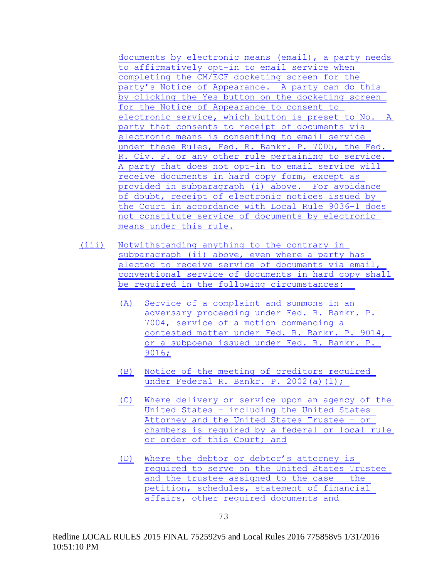documents by electronic means (email), a party needs to affirmatively opt-in to email service when completing the CM/ECF docketing screen for the party's Notice of Appearance. A party can do this by clicking the Yes button on the docketing screen for the Notice of Appearance to consent to electronic service, which button is preset to No. A party that consents to receipt of documents via electronic means is consenting to email service under these Rules, Fed. R. Bankr. P. 7005, the Fed. R. Civ. P. or any other rule pertaining to service. A party that does not opt-in to email service will receive documents in hard copy form, except as provided in subparagraph (i) above. For avoidance of doubt, receipt of electronic notices issued by the Court in accordance with Local Rule 9036-1 does not constitute service of documents by electronic means under this rule.

- (iii) Notwithstanding anything to the contrary in subparagraph (ii) above, even where a party has elected to receive service of documents via email, conventional service of documents in hard copy shall be required in the following circumstances:
	- (A) Service of a complaint and summons in an adversary proceeding under Fed. R. Bankr. P. 7004, service of a motion commencing a contested matter under Fed. R. Bankr. P. 9014, or a subpoena issued under Fed. R. Bankr. P. 9016;
	- (B) Notice of the meeting of creditors required under Federal R. Bankr. P. 2002(a)(1);
	- (C) Where delivery or service upon an agency of the United States – including the United States Attorney and the United States Trustee – or chambers is required by a federal or local rule or order of this Court; and
	- (D) Where the debtor or debtor's attorney is required to serve on the United States Trustee and the trustee assigned to the case – the petition, schedules, statement of financial affairs, other required documents and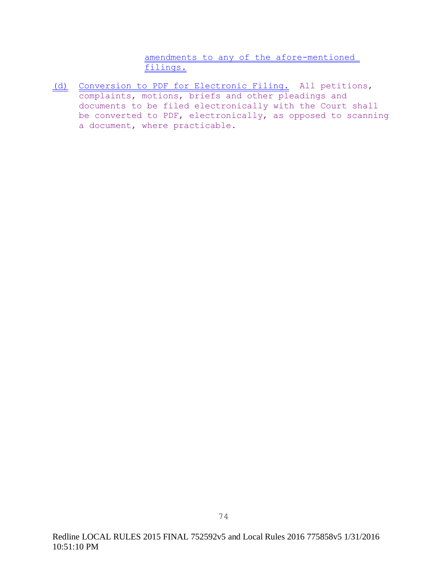amendments to any of the afore-mentioned filings.

(d) Conversion to PDF for Electronic Filing. All petitions, complaints, motions, briefs and other pleadings and documents to be filed electronically with the Court shall be converted to PDF, electronically, as opposed to scanning a document, where practicable.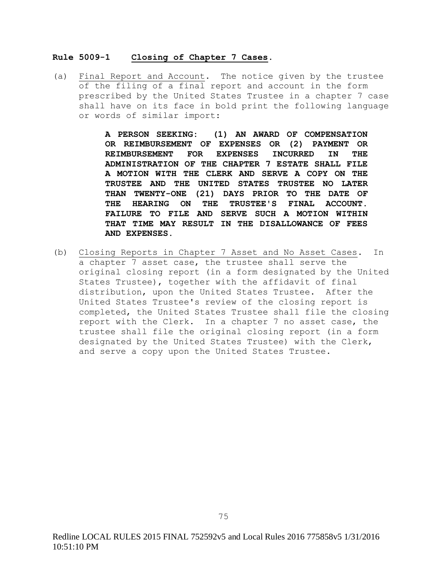#### **Rule 5009-1 Closing of Chapter 7 Cases**.

(a) Final Report and Account. The notice given by the trustee of the filing of a final report and account in the form prescribed by the United States Trustee in a chapter 7 case shall have on its face in bold print the following language or words of similar import:

> **A PERSON SEEKING: (1) AN AWARD OF COMPENSATION OR REIMBURSEMENT OF EXPENSES OR (2) PAYMENT OR REIMBURSEMENT FOR EXPENSES INCURRED IN THE ADMINISTRATION OF THE CHAPTER 7 ESTATE SHALL FILE A MOTION WITH THE CLERK AND SERVE A COPY ON THE TRUSTEE AND THE UNITED STATES TRUSTEE NO LATER THAN TWENTY-ONE (21) DAYS PRIOR TO THE DATE OF THE HEARING ON THE TRUSTEE'S FINAL ACCOUNT. FAILURE TO FILE AND SERVE SUCH A MOTION WITHIN THAT TIME MAY RESULT IN THE DISALLOWANCE OF FEES AND EXPENSES.**

(b) Closing Reports in Chapter 7 Asset and No Asset Cases. In a chapter 7 asset case, the trustee shall serve the original closing report (in a form designated by the United States Trustee), together with the affidavit of final distribution, upon the United States Trustee. After the United States Trustee's review of the closing report is completed, the United States Trustee shall file the closing report with the Clerk. In a chapter 7 no asset case, the trustee shall file the original closing report (in a form designated by the United States Trustee) with the Clerk, and serve a copy upon the United States Trustee.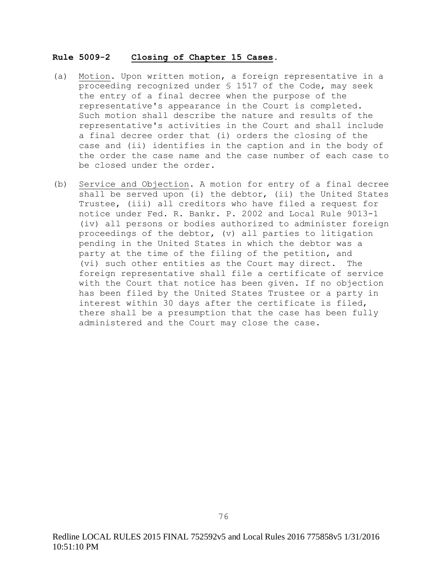## **Rule 5009-2 Closing of Chapter 15 Cases**.

- (a) Motion. Upon written motion, a foreign representative in a proceeding recognized under § 1517 of the Code, may seek the entry of a final decree when the purpose of the representative's appearance in the Court is completed. Such motion shall describe the nature and results of the representative's activities in the Court and shall include a final decree order that (i) orders the closing of the case and (ii) identifies in the caption and in the body of the order the case name and the case number of each case to be closed under the order.
- (b) Service and Objection. A motion for entry of a final decree shall be served upon (i) the debtor, (ii) the United States Trustee, (iii) all creditors who have filed a request for notice under Fed. R. Bankr. P. 2002 and Local Rule 9013-1 (iv) all persons or bodies authorized to administer foreign proceedings of the debtor, (v) all parties to litigation pending in the United States in which the debtor was a party at the time of the filing of the petition, and (vi) such other entities as the Court may direct. The foreign representative shall file a certificate of service with the Court that notice has been given. If no objection has been filed by the United States Trustee or a party in interest within 30 days after the certificate is filed, there shall be a presumption that the case has been fully administered and the Court may close the case.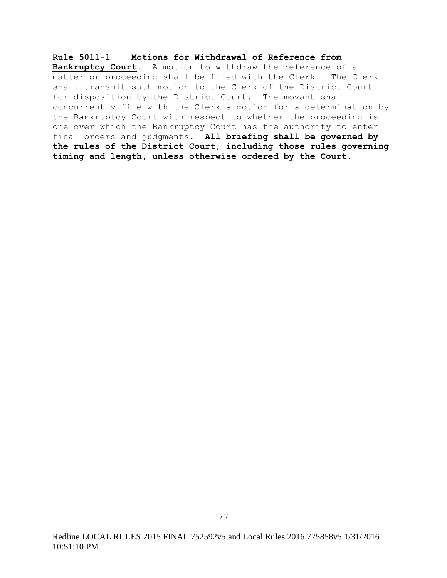## **Rule 5011-1 Motions for Withdrawal of Reference from**

**Bankruptcy Court**. A motion to withdraw the reference of a matter or proceeding shall be filed with the Clerk. The Clerk shall transmit such motion to the Clerk of the District Court for disposition by the District Court. The movant shall concurrently file with the Clerk a motion for a determination by the Bankruptcy Court with respect to whether the proceeding is one over which the Bankruptcy Court has the authority to enter final orders and judgments. **All briefing shall be governed by the rules of the District Court, including those rules governing timing and length, unless otherwise ordered by the Court.**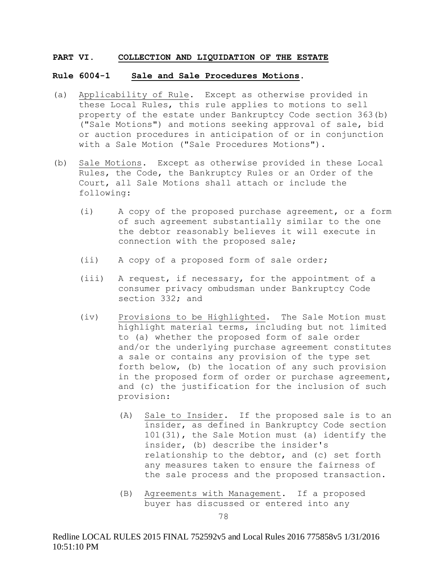#### **PART VI. COLLECTION AND LIQUIDATION OF THE ESTATE**

#### **Rule 6004-1 Sale and Sale Procedures Motions**.

- (a) Applicability of Rule. Except as otherwise provided in these Local Rules, this rule applies to motions to sell property of the estate under Bankruptcy Code section 363(b) ("Sale Motions") and motions seeking approval of sale, bid or auction procedures in anticipation of or in conjunction with a Sale Motion ("Sale Procedures Motions").
- (b) Sale Motions. Except as otherwise provided in these Local Rules, the Code, the Bankruptcy Rules or an Order of the Court, all Sale Motions shall attach or include the following:
	- (i) A copy of the proposed purchase agreement, or a form of such agreement substantially similar to the one the debtor reasonably believes it will execute in connection with the proposed sale;
	- (ii) A copy of a proposed form of sale order;
	- (iii) A request, if necessary, for the appointment of a consumer privacy ombudsman under Bankruptcy Code section 332; and
	- (iv) Provisions to be Highlighted. The Sale Motion must highlight material terms, including but not limited to (a) whether the proposed form of sale order and/or the underlying purchase agreement constitutes a sale or contains any provision of the type set forth below, (b) the location of any such provision in the proposed form of order or purchase agreement, and (c) the justification for the inclusion of such provision:
		- (A) Sale to Insider. If the proposed sale is to an insider, as defined in Bankruptcy Code section 101(31), the Sale Motion must (a) identify the insider, (b) describe the insider's relationship to the debtor, and (c) set forth any measures taken to ensure the fairness of the sale process and the proposed transaction.
		- (B) Agreements with Management. If a proposed buyer has discussed or entered into any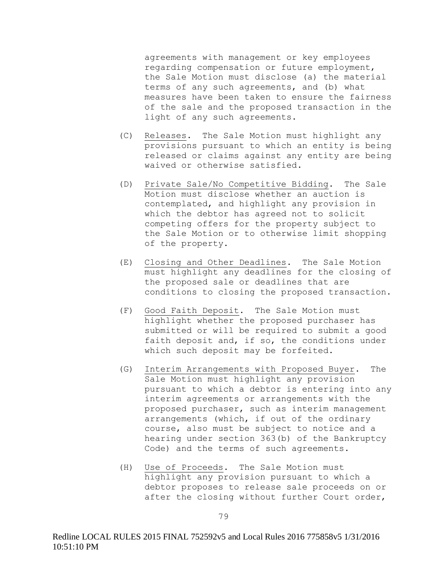agreements with management or key employees regarding compensation or future employment, the Sale Motion must disclose (a) the material terms of any such agreements, and (b) what measures have been taken to ensure the fairness of the sale and the proposed transaction in the light of any such agreements.

- (C) Releases. The Sale Motion must highlight any provisions pursuant to which an entity is being released or claims against any entity are being waived or otherwise satisfied.
- (D) Private Sale/No Competitive Bidding. The Sale Motion must disclose whether an auction is contemplated, and highlight any provision in which the debtor has agreed not to solicit competing offers for the property subject to the Sale Motion or to otherwise limit shopping of the property.
- (E) Closing and Other Deadlines. The Sale Motion must highlight any deadlines for the closing of the proposed sale or deadlines that are conditions to closing the proposed transaction.
- (F) Good Faith Deposit. The Sale Motion must highlight whether the proposed purchaser has submitted or will be required to submit a good faith deposit and, if so, the conditions under which such deposit may be forfeited.
- (G) Interim Arrangements with Proposed Buyer. The Sale Motion must highlight any provision pursuant to which a debtor is entering into any interim agreements or arrangements with the proposed purchaser, such as interim management arrangements (which, if out of the ordinary course, also must be subject to notice and a hearing under section 363(b) of the Bankruptcy Code) and the terms of such agreements.
- (H) Use of Proceeds. The Sale Motion must highlight any provision pursuant to which a debtor proposes to release sale proceeds on or after the closing without further Court order,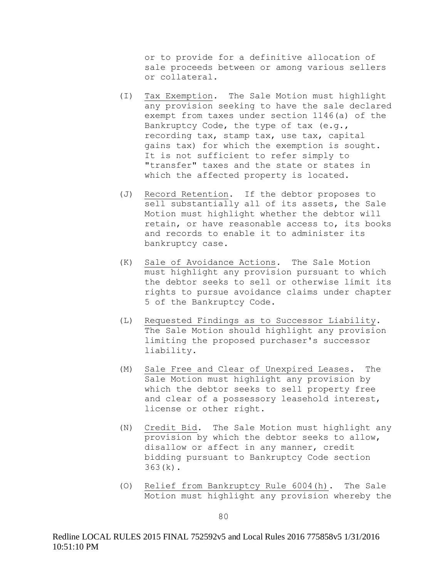or to provide for a definitive allocation of sale proceeds between or among various sellers or collateral.

- (I) Tax Exemption. The Sale Motion must highlight any provision seeking to have the sale declared exempt from taxes under section 1146(a) of the Bankruptcy Code, the type of tax (e.g., recording tax, stamp tax, use tax, capital gains tax) for which the exemption is sought. It is not sufficient to refer simply to "transfer" taxes and the state or states in which the affected property is located.
- (J) Record Retention. If the debtor proposes to sell substantially all of its assets, the Sale Motion must highlight whether the debtor will retain, or have reasonable access to, its books and records to enable it to administer its bankruptcy case.
- (K) Sale of Avoidance Actions. The Sale Motion must highlight any provision pursuant to which the debtor seeks to sell or otherwise limit its rights to pursue avoidance claims under chapter 5 of the Bankruptcy Code.
- (L) Requested Findings as to Successor Liability. The Sale Motion should highlight any provision limiting the proposed purchaser's successor liability.
- (M) Sale Free and Clear of Unexpired Leases. The Sale Motion must highlight any provision by which the debtor seeks to sell property free and clear of a possessory leasehold interest, license or other right.
- (N) Credit Bid. The Sale Motion must highlight any provision by which the debtor seeks to allow, disallow or affect in any manner, credit bidding pursuant to Bankruptcy Code section 363(k).
- (O) Relief from Bankruptcy Rule 6004(h). The Sale Motion must highlight any provision whereby the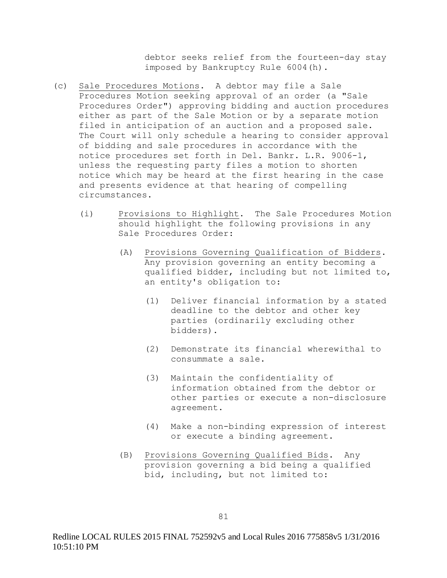debtor seeks relief from the fourteen-day stay imposed by Bankruptcy Rule 6004(h).

- (c) Sale Procedures Motions. A debtor may file a Sale Procedures Motion seeking approval of an order (a "Sale Procedures Order") approving bidding and auction procedures either as part of the Sale Motion or by a separate motion filed in anticipation of an auction and a proposed sale. The Court will only schedule a hearing to consider approval of bidding and sale procedures in accordance with the notice procedures set forth in Del. Bankr. L.R. 9006-1, unless the requesting party files a motion to shorten notice which may be heard at the first hearing in the case and presents evidence at that hearing of compelling circumstances.
	- (i) Provisions to Highlight. The Sale Procedures Motion should highlight the following provisions in any Sale Procedures Order:
		- (A) Provisions Governing Qualification of Bidders. Any provision governing an entity becoming a qualified bidder, including but not limited to, an entity's obligation to:
			- (1) Deliver financial information by a stated deadline to the debtor and other key parties (ordinarily excluding other bidders).
			- (2) Demonstrate its financial wherewithal to consummate a sale.
			- (3) Maintain the confidentiality of information obtained from the debtor or other parties or execute a non-disclosure agreement.
			- (4) Make a non-binding expression of interest or execute a binding agreement.
		- (B) Provisions Governing Qualified Bids. Any provision governing a bid being a qualified bid, including, but not limited to: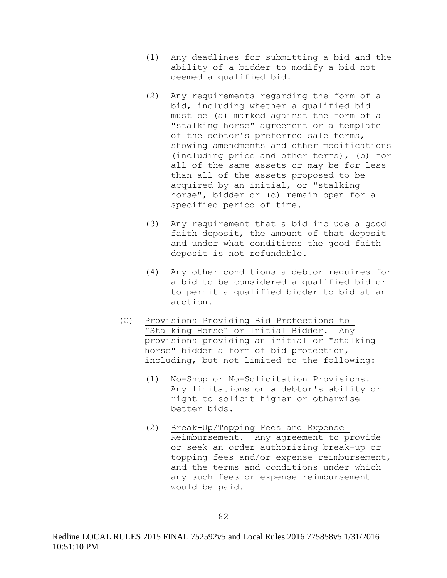- (1) Any deadlines for submitting a bid and the ability of a bidder to modify a bid not deemed a qualified bid.
- (2) Any requirements regarding the form of a bid, including whether a qualified bid must be (a) marked against the form of a "stalking horse" agreement or a template of the debtor's preferred sale terms, showing amendments and other modifications (including price and other terms), (b) for all of the same assets or may be for less than all of the assets proposed to be acquired by an initial, or "stalking horse", bidder or (c) remain open for a specified period of time.
- (3) Any requirement that a bid include a good faith deposit, the amount of that deposit and under what conditions the good faith deposit is not refundable.
- (4) Any other conditions a debtor requires for a bid to be considered a qualified bid or to permit a qualified bidder to bid at an auction.
- (C) Provisions Providing Bid Protections to "Stalking Horse" or Initial Bidder. Any provisions providing an initial or "stalking horse" bidder a form of bid protection, including, but not limited to the following:
	- (1) No-Shop or No-Solicitation Provisions. Any limitations on a debtor's ability or right to solicit higher or otherwise better bids.
	- (2) Break-Up/Topping Fees and Expense Reimbursement. Any agreement to provide or seek an order authorizing break-up or topping fees and/or expense reimbursement, and the terms and conditions under which any such fees or expense reimbursement would be paid.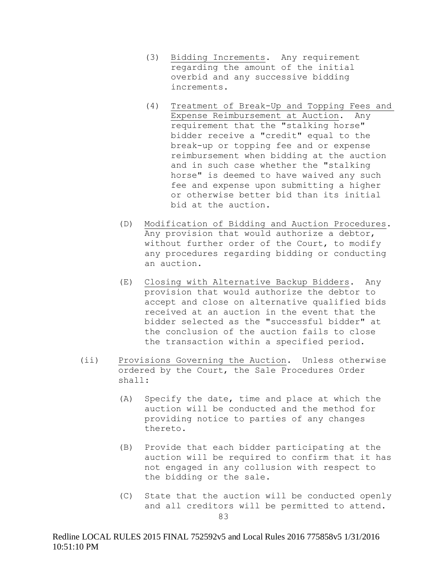- (3) Bidding Increments. Any requirement regarding the amount of the initial overbid and any successive bidding increments.
- (4) Treatment of Break-Up and Topping Fees and Expense Reimbursement at Auction. Any requirement that the "stalking horse" bidder receive a "credit" equal to the break-up or topping fee and or expense reimbursement when bidding at the auction and in such case whether the "stalking horse" is deemed to have waived any such fee and expense upon submitting a higher or otherwise better bid than its initial bid at the auction.
- (D) Modification of Bidding and Auction Procedures. Any provision that would authorize a debtor, without further order of the Court, to modify any procedures regarding bidding or conducting an auction.
- (E) Closing with Alternative Backup Bidders. Any provision that would authorize the debtor to accept and close on alternative qualified bids received at an auction in the event that the bidder selected as the "successful bidder" at the conclusion of the auction fails to close the transaction within a specified period.
- (ii) Provisions Governing the Auction. Unless otherwise ordered by the Court, the Sale Procedures Order shall:
	- (A) Specify the date, time and place at which the auction will be conducted and the method for providing notice to parties of any changes thereto.
	- (B) Provide that each bidder participating at the auction will be required to confirm that it has not engaged in any collusion with respect to the bidding or the sale.
	- (C) State that the auction will be conducted openly and all creditors will be permitted to attend.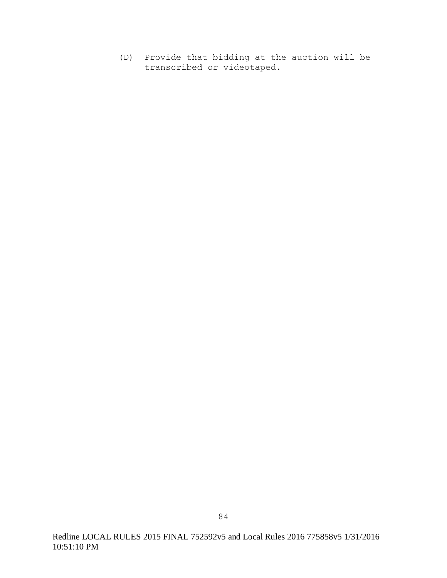(D) Provide that bidding at the auction will be transcribed or videotaped.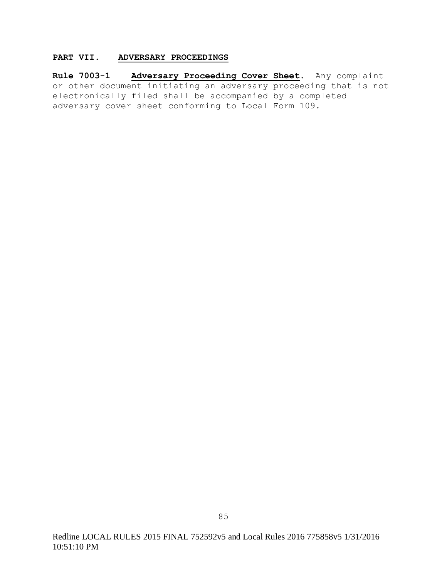## **PART VII. ADVERSARY PROCEEDINGS**

**Rule 7003-1 Adversary Proceeding Cover Sheet**. Any complaint or other document initiating an adversary proceeding that is not electronically filed shall be accompanied by a completed adversary cover sheet conforming to Local Form 109.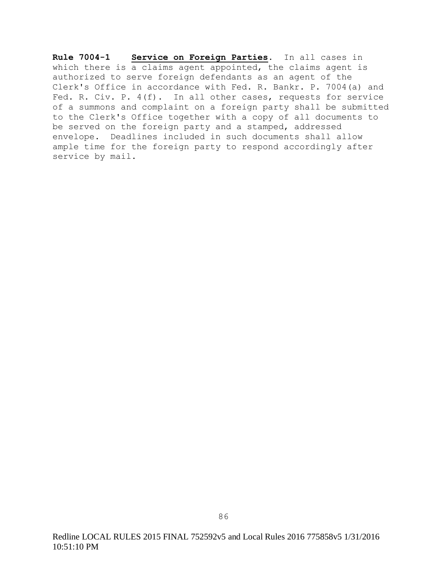**Rule 7004-1 Service on Foreign Parties**. In all cases in which there is a claims agent appointed, the claims agent is authorized to serve foreign defendants as an agent of the Clerk's Office in accordance with Fed. R. Bankr. P. 7004(a) and Fed. R. Civ. P. 4(f). In all other cases, requests for service of a summons and complaint on a foreign party shall be submitted to the Clerk's Office together with a copy of all documents to be served on the foreign party and a stamped, addressed envelope. Deadlines included in such documents shall allow ample time for the foreign party to respond accordingly after service by mail.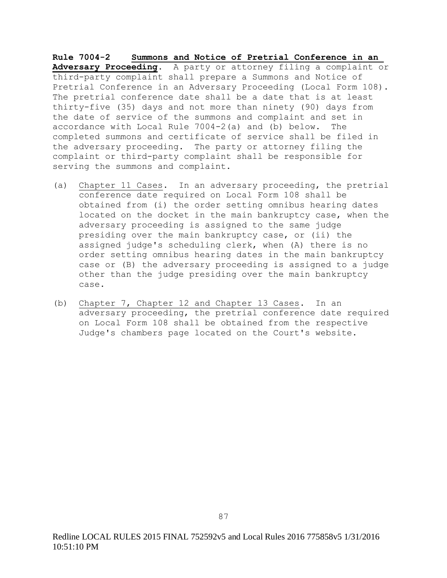**Rule 7004-2 Summons and Notice of Pretrial Conference in an Adversary Proceeding**. A party or attorney filing a complaint or third-party complaint shall prepare a Summons and Notice of Pretrial Conference in an Adversary Proceeding (Local Form 108). The pretrial conference date shall be a date that is at least thirty-five (35) days and not more than ninety (90) days from the date of service of the summons and complaint and set in accordance with Local Rule 7004-2(a) and (b) below. The completed summons and certificate of service shall be filed in the adversary proceeding. The party or attorney filing the complaint or third-party complaint shall be responsible for serving the summons and complaint.

- (a) Chapter 11 Cases. In an adversary proceeding, the pretrial conference date required on Local Form 108 shall be obtained from (i) the order setting omnibus hearing dates located on the docket in the main bankruptcy case, when the adversary proceeding is assigned to the same judge presiding over the main bankruptcy case, or (ii) the assigned judge's scheduling clerk, when (A) there is no order setting omnibus hearing dates in the main bankruptcy case or (B) the adversary proceeding is assigned to a judge other than the judge presiding over the main bankruptcy case.
- (b) Chapter 7, Chapter 12 and Chapter 13 Cases. In an adversary proceeding, the pretrial conference date required on Local Form 108 shall be obtained from the respective Judge's chambers page located on the Court's website.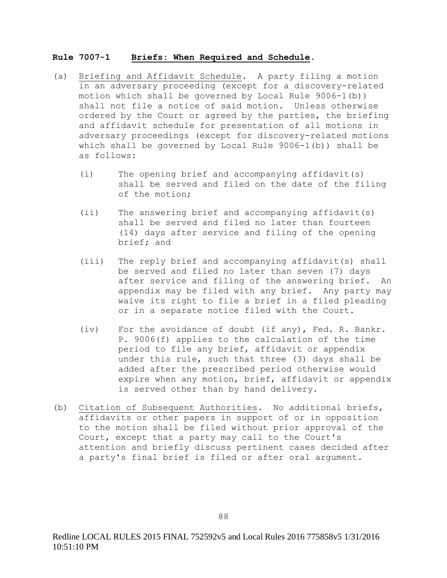## **Rule 7007-1 Briefs: When Required and Schedule**.

- (a) Briefing and Affidavit Schedule. A party filing a motion in an adversary proceeding (except for a discovery-related motion which shall be governed by Local Rule 9006-1(b)) shall not file a notice of said motion. Unless otherwise ordered by the Court or agreed by the parties, the briefing and affidavit schedule for presentation of all motions in adversary proceedings (except for discovery-related motions which shall be governed by Local Rule 9006-1(b)) shall be as follows:
	- (i) The opening brief and accompanying affidavit(s) shall be served and filed on the date of the filing of the motion;
	- (ii) The answering brief and accompanying affidavit(s) shall be served and filed no later than fourteen (14) days after service and filing of the opening brief; and
	- (iii) The reply brief and accompanying affidavit(s) shall be served and filed no later than seven (7) days after service and filing of the answering brief. An appendix may be filed with any brief. Any party may waive its right to file a brief in a filed pleading or in a separate notice filed with the Court.
	- (iv) For the avoidance of doubt (if any), Fed. R. Bankr. P. 9006(f) applies to the calculation of the time period to file any brief, affidavit or appendix under this rule, such that three (3) days shall be added after the prescribed period otherwise would expire when any motion, brief, affidavit or appendix is served other than by hand delivery.
- (b) Citation of Subsequent Authorities. No additional briefs, affidavits or other papers in support of or in opposition to the motion shall be filed without prior approval of the Court, except that a party may call to the Court's attention and briefly discuss pertinent cases decided after a party's final brief is filed or after oral argument.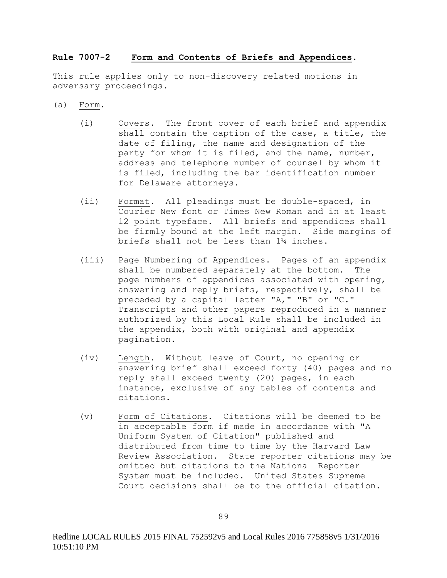## **Rule 7007-2 Form and Contents of Briefs and Appendices**.

This rule applies only to non-discovery related motions in adversary proceedings.

- (a) Form.
	- (i) Covers. The front cover of each brief and appendix shall contain the caption of the case, a title, the date of filing, the name and designation of the party for whom it is filed, and the name, number, address and telephone number of counsel by whom it is filed, including the bar identification number for Delaware attorneys.
	- (ii) Format. All pleadings must be double-spaced, in Courier New font or Times New Roman and in at least 12 point typeface. All briefs and appendices shall be firmly bound at the left margin. Side margins of briefs shall not be less than 1¼ inches.
	- (iii) Page Numbering of Appendices. Pages of an appendix shall be numbered separately at the bottom. The page numbers of appendices associated with opening, answering and reply briefs, respectively, shall be preceded by a capital letter "A," "B" or "C." Transcripts and other papers reproduced in a manner authorized by this Local Rule shall be included in the appendix, both with original and appendix pagination.
	- (iv) Length. Without leave of Court, no opening or answering brief shall exceed forty (40) pages and no reply shall exceed twenty (20) pages, in each instance, exclusive of any tables of contents and citations.
	- (v) Form of Citations. Citations will be deemed to be in acceptable form if made in accordance with "A Uniform System of Citation" published and distributed from time to time by the Harvard Law Review Association. State reporter citations may be omitted but citations to the National Reporter System must be included. United States Supreme Court decisions shall be to the official citation.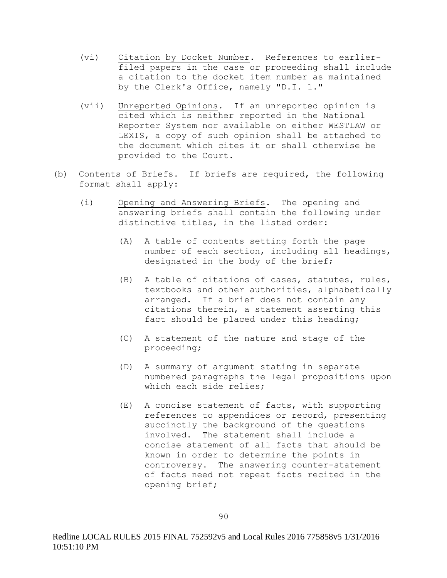- (vi) Citation by Docket Number. References to earlierfiled papers in the case or proceeding shall include a citation to the docket item number as maintained by the Clerk's Office, namely "D.I. 1."
- (vii) Unreported Opinions. If an unreported opinion is cited which is neither reported in the National Reporter System nor available on either WESTLAW or LEXIS, a copy of such opinion shall be attached to the document which cites it or shall otherwise be provided to the Court.
- (b) Contents of Briefs. If briefs are required, the following format shall apply:
	- (i) Opening and Answering Briefs. The opening and answering briefs shall contain the following under distinctive titles, in the listed order:
		- (A) A table of contents setting forth the page number of each section, including all headings, designated in the body of the brief;
		- (B) A table of citations of cases, statutes, rules, textbooks and other authorities, alphabetically arranged. If a brief does not contain any citations therein, a statement asserting this fact should be placed under this heading;
		- (C) A statement of the nature and stage of the proceeding;
		- (D) A summary of argument stating in separate numbered paragraphs the legal propositions upon which each side relies;
		- (E) A concise statement of facts, with supporting references to appendices or record, presenting succinctly the background of the questions involved. The statement shall include a concise statement of all facts that should be known in order to determine the points in controversy. The answering counter-statement of facts need not repeat facts recited in the opening brief;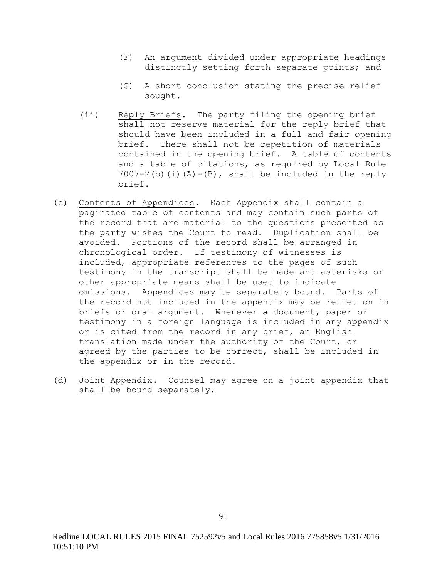- (F) An argument divided under appropriate headings distinctly setting forth separate points; and
- (G) A short conclusion stating the precise relief sought.
- (ii) Reply Briefs. The party filing the opening brief shall not reserve material for the reply brief that should have been included in a full and fair opening brief. There shall not be repetition of materials contained in the opening brief. A table of contents and a table of citations, as required by Local Rule 7007-2(b)(i)(A)-(B), shall be included in the reply brief.
- (c) Contents of Appendices. Each Appendix shall contain a paginated table of contents and may contain such parts of the record that are material to the questions presented as the party wishes the Court to read. Duplication shall be avoided. Portions of the record shall be arranged in chronological order. If testimony of witnesses is included, appropriate references to the pages of such testimony in the transcript shall be made and asterisks or other appropriate means shall be used to indicate omissions. Appendices may be separately bound. Parts of the record not included in the appendix may be relied on in briefs or oral argument. Whenever a document, paper or testimony in a foreign language is included in any appendix or is cited from the record in any brief, an English translation made under the authority of the Court, or agreed by the parties to be correct, shall be included in the appendix or in the record.
- (d) Joint Appendix. Counsel may agree on a joint appendix that shall be bound separately.

Redline LOCAL RULES 2015 FINAL 752592v5 and Local Rules 2016 775858v5 1/31/2016 10:51:10 PM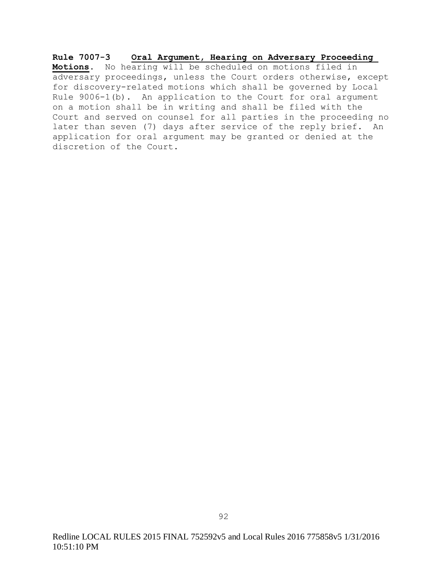**Rule 7007-3 Oral Argument, Hearing on Adversary Proceeding Motions**. No hearing will be scheduled on motions filed in adversary proceedings, unless the Court orders otherwise, except for discovery-related motions which shall be governed by Local Rule 9006-1(b). An application to the Court for oral argument on a motion shall be in writing and shall be filed with the Court and served on counsel for all parties in the proceeding no later than seven (7) days after service of the reply brief. An application for oral argument may be granted or denied at the discretion of the Court.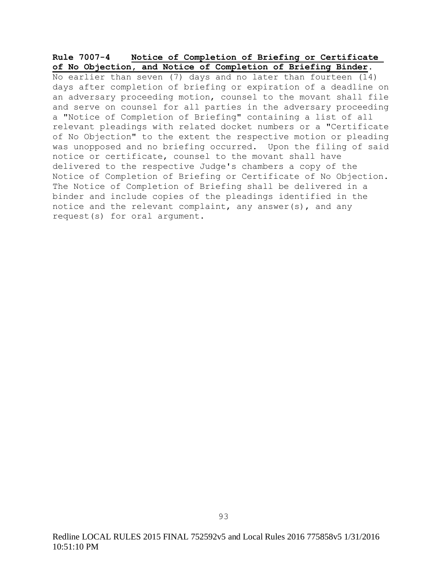## **Rule 7007-4 Notice of Completion of Briefing or Certificate of No Objection, and Notice of Completion of Briefing Binder**.

No earlier than seven (7) days and no later than fourteen  $(14)$ days after completion of briefing or expiration of a deadline on an adversary proceeding motion, counsel to the movant shall file and serve on counsel for all parties in the adversary proceeding a "Notice of Completion of Briefing" containing a list of all relevant pleadings with related docket numbers or a "Certificate of No Objection" to the extent the respective motion or pleading was unopposed and no briefing occurred. Upon the filing of said notice or certificate, counsel to the movant shall have delivered to the respective Judge's chambers a copy of the Notice of Completion of Briefing or Certificate of No Objection. The Notice of Completion of Briefing shall be delivered in a binder and include copies of the pleadings identified in the notice and the relevant complaint, any answer(s), and any request(s) for oral argument.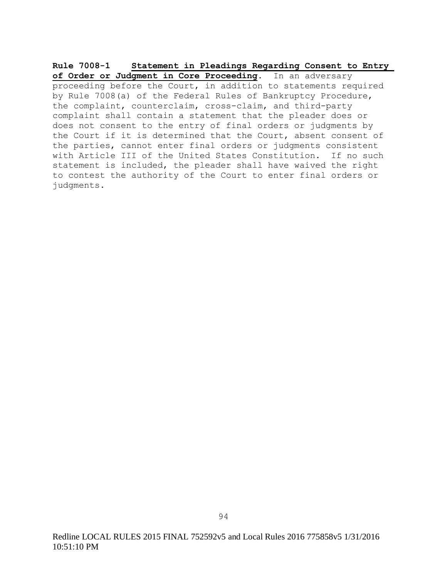**Rule 7008-1 Statement in Pleadings Regarding Consent to Entry of Order or Judgment in Core Proceeding**. In an adversary proceeding before the Court, in addition to statements required by Rule 7008(a) of the Federal Rules of Bankruptcy Procedure, the complaint, counterclaim, cross-claim, and third-party complaint shall contain a statement that the pleader does or does not consent to the entry of final orders or judgments by the Court if it is determined that the Court, absent consent of the parties, cannot enter final orders or judgments consistent with Article III of the United States Constitution. If no such statement is included, the pleader shall have waived the right to contest the authority of the Court to enter final orders or judgments.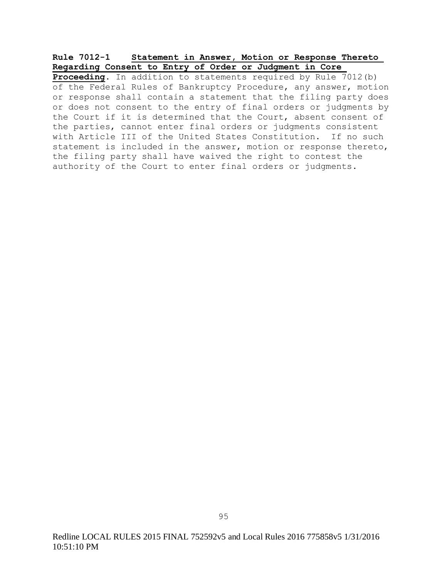# **Rule 7012-1 Statement in Answer, Motion or Response Thereto Regarding Consent to Entry of Order or Judgment in Core**

**Proceeding.** In addition to statements required by Rule 7012(b) of the Federal Rules of Bankruptcy Procedure, any answer, motion or response shall contain a statement that the filing party does or does not consent to the entry of final orders or judgments by the Court if it is determined that the Court, absent consent of the parties, cannot enter final orders or judgments consistent with Article III of the United States Constitution. If no such statement is included in the answer, motion or response thereto, the filing party shall have waived the right to contest the authority of the Court to enter final orders or judgments.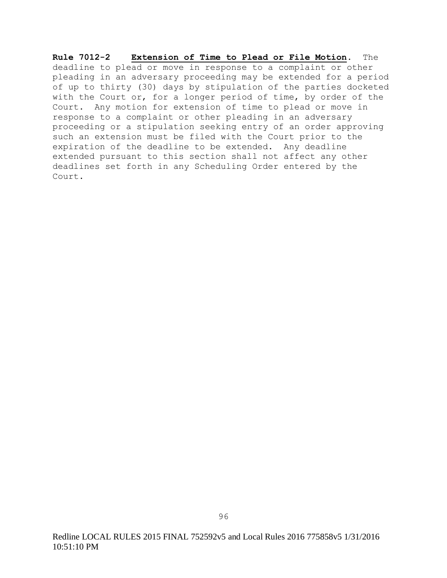**Rule 7012-2 Extension of Time to Plead or File Motion**. The deadline to plead or move in response to a complaint or other pleading in an adversary proceeding may be extended for a period of up to thirty (30) days by stipulation of the parties docketed with the Court or, for a longer period of time, by order of the Court. Any motion for extension of time to plead or move in response to a complaint or other pleading in an adversary proceeding or a stipulation seeking entry of an order approving such an extension must be filed with the Court prior to the expiration of the deadline to be extended. Any deadline extended pursuant to this section shall not affect any other deadlines set forth in any Scheduling Order entered by the Court.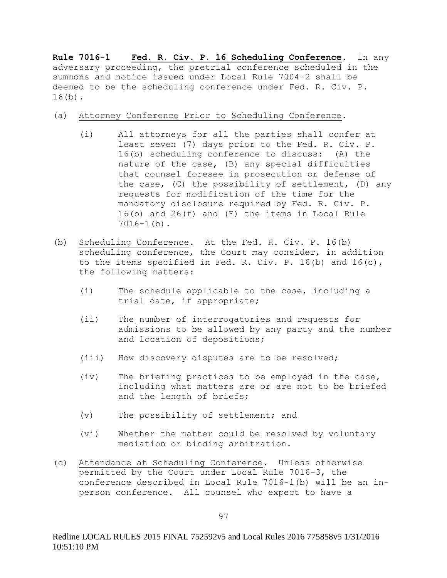**Rule 7016-1 Fed. R. Civ. P. 16 Scheduling Conference**. In any adversary proceeding, the pretrial conference scheduled in the summons and notice issued under Local Rule 7004-2 shall be deemed to be the scheduling conference under Fed. R. Civ. P. 16(b).

- (a) Attorney Conference Prior to Scheduling Conference.
	- (i) All attorneys for all the parties shall confer at least seven (7) days prior to the Fed. R. Civ. P. 16(b) scheduling conference to discuss: (A) the nature of the case, (B) any special difficulties that counsel foresee in prosecution or defense of the case, (C) the possibility of settlement, (D) any requests for modification of the time for the mandatory disclosure required by Fed. R. Civ. P. 16(b) and 26(f) and (E) the items in Local Rule  $7016 - 1$  (b).
- (b) Scheduling Conference. At the Fed. R. Civ. P. 16(b) scheduling conference, the Court may consider, in addition to the items specified in Fed. R. Civ. P. 16(b) and 16(c), the following matters:
	- (i) The schedule applicable to the case, including a trial date, if appropriate;
	- (ii) The number of interrogatories and requests for admissions to be allowed by any party and the number and location of depositions;
	- (iii) How discovery disputes are to be resolved;
	- (iv) The briefing practices to be employed in the case, including what matters are or are not to be briefed and the length of briefs;
	- (v) The possibility of settlement; and
	- (vi) Whether the matter could be resolved by voluntary mediation or binding arbitration.
- (c) Attendance at Scheduling Conference. Unless otherwise permitted by the Court under Local Rule 7016-3, the conference described in Local Rule 7016-1(b) will be an inperson conference. All counsel who expect to have a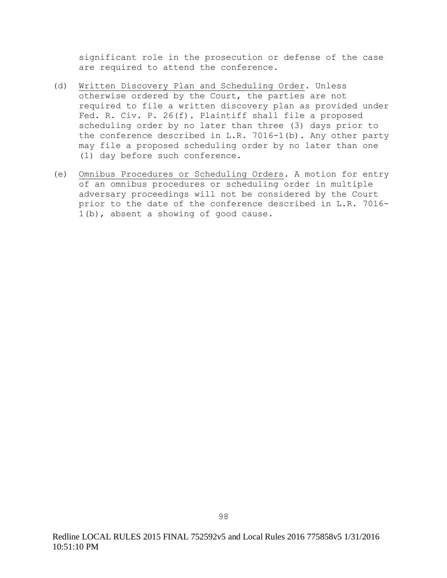significant role in the prosecution or defense of the case are required to attend the conference.

- (d) Written Discovery Plan and Scheduling Order. Unless otherwise ordered by the Court, the parties are not required to file a written discovery plan as provided under Fed. R. Civ. P. 26(f). Plaintiff shall file a proposed scheduling order by no later than three (3) days prior to the conference described in L.R. 7016-1(b). Any other party may file a proposed scheduling order by no later than one (1) day before such conference.
- (e) Omnibus Procedures or Scheduling Orders. A motion for entry of an omnibus procedures or scheduling order in multiple adversary proceedings will not be considered by the Court prior to the date of the conference described in L.R. 7016- 1(b), absent a showing of good cause.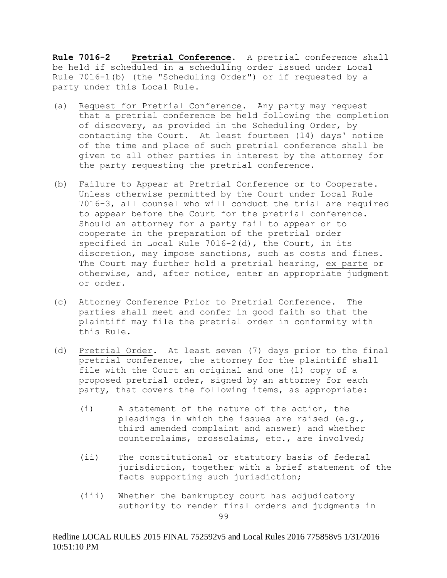**Rule 7016-2 Pretrial Conference**. A pretrial conference shall be held if scheduled in a scheduling order issued under Local Rule 7016-1(b) (the "Scheduling Order") or if requested by a party under this Local Rule.

- (a) Request for Pretrial Conference. Any party may request that a pretrial conference be held following the completion of discovery, as provided in the Scheduling Order, by contacting the Court. At least fourteen (14) days' notice of the time and place of such pretrial conference shall be given to all other parties in interest by the attorney for the party requesting the pretrial conference.
- (b) Failure to Appear at Pretrial Conference or to Cooperate. Unless otherwise permitted by the Court under Local Rule 7016-3, all counsel who will conduct the trial are required to appear before the Court for the pretrial conference. Should an attorney for a party fail to appear or to cooperate in the preparation of the pretrial order specified in Local Rule 7016-2(d), the Court, in its discretion, may impose sanctions, such as costs and fines. The Court may further hold a pretrial hearing, ex parte or otherwise, and, after notice, enter an appropriate judgment or order.
- (c) Attorney Conference Prior to Pretrial Conference. The parties shall meet and confer in good faith so that the plaintiff may file the pretrial order in conformity with this Rule.
- (d) Pretrial Order. At least seven (7) days prior to the final pretrial conference, the attorney for the plaintiff shall file with the Court an original and one (1) copy of a proposed pretrial order, signed by an attorney for each party, that covers the following items, as appropriate:
	- (i) A statement of the nature of the action, the pleadings in which the issues are raised (e.g., third amended complaint and answer) and whether counterclaims, crossclaims, etc., are involved;
	- (ii) The constitutional or statutory basis of federal jurisdiction, together with a brief statement of the facts supporting such jurisdiction;
	- 99 (iii) Whether the bankruptcy court has adjudicatory authority to render final orders and judgments in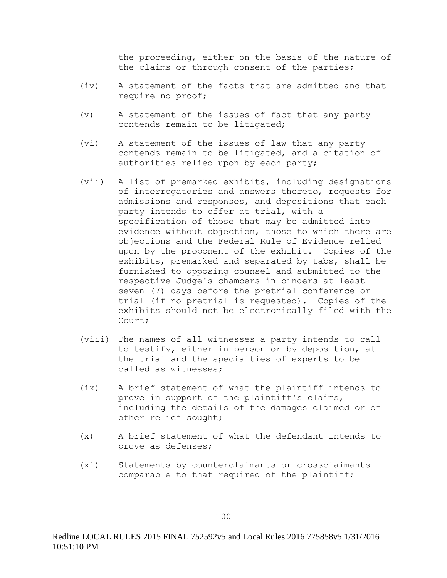the proceeding, either on the basis of the nature of the claims or through consent of the parties;

- (iv) A statement of the facts that are admitted and that require no proof;
- (v) A statement of the issues of fact that any party contends remain to be litigated;
- (vi) A statement of the issues of law that any party contends remain to be litigated, and a citation of authorities relied upon by each party;
- (vii) A list of premarked exhibits, including designations of interrogatories and answers thereto, requests for admissions and responses, and depositions that each party intends to offer at trial, with a specification of those that may be admitted into evidence without objection, those to which there are objections and the Federal Rule of Evidence relied upon by the proponent of the exhibit. Copies of the exhibits, premarked and separated by tabs, shall be furnished to opposing counsel and submitted to the respective Judge's chambers in binders at least seven (7) days before the pretrial conference or trial (if no pretrial is requested). Copies of the exhibits should not be electronically filed with the Court;
- (viii) The names of all witnesses a party intends to call to testify, either in person or by deposition, at the trial and the specialties of experts to be called as witnesses;
- (ix) A brief statement of what the plaintiff intends to prove in support of the plaintiff's claims, including the details of the damages claimed or of other relief sought;
- (x) A brief statement of what the defendant intends to prove as defenses;
- (xi) Statements by counterclaimants or crossclaimants comparable to that required of the plaintiff;

100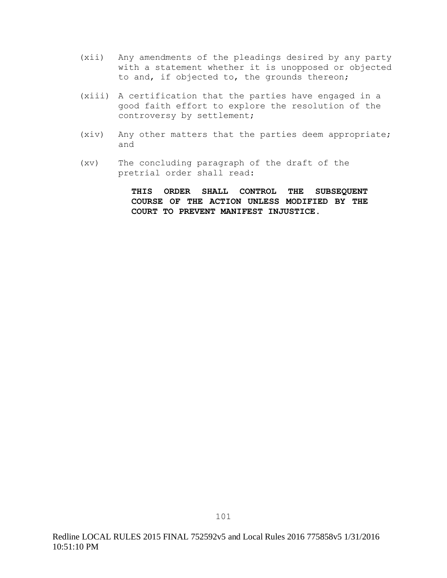- (xii) Any amendments of the pleadings desired by any party with a statement whether it is unopposed or objected to and, if objected to, the grounds thereon;
- (xiii) A certification that the parties have engaged in a good faith effort to explore the resolution of the controversy by settlement;
- (xiv) Any other matters that the parties deem appropriate; and
- (xv) The concluding paragraph of the draft of the pretrial order shall read:

**THIS ORDER SHALL CONTROL THE SUBSEQUENT COURSE OF THE ACTION UNLESS MODIFIED BY THE COURT TO PREVENT MANIFEST INJUSTICE.**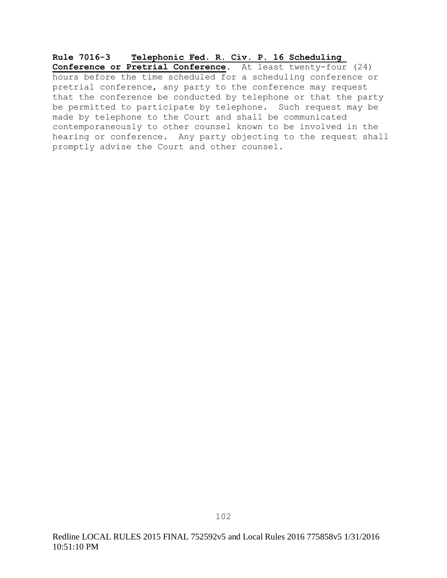**Rule 7016-3 Telephonic Fed. R. Civ. P. 16 Scheduling Conference or Pretrial Conference**. At least twenty-four (24) hours before the time scheduled for a scheduling conference or pretrial conference, any party to the conference may request that the conference be conducted by telephone or that the party be permitted to participate by telephone. Such request may be made by telephone to the Court and shall be communicated contemporaneously to other counsel known to be involved in the hearing or conference. Any party objecting to the request shall promptly advise the Court and other counsel.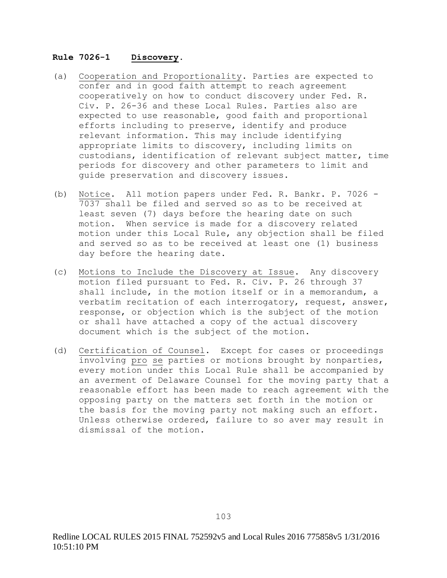#### **Rule 7026-1 Discovery**.

- (a) Cooperation and Proportionality. Parties are expected to confer and in good faith attempt to reach agreement cooperatively on how to conduct discovery under Fed. R. Civ. P. 26-36 and these Local Rules. Parties also are expected to use reasonable, good faith and proportional efforts including to preserve, identify and produce relevant information. This may include identifying appropriate limits to discovery, including limits on custodians, identification of relevant subject matter, time periods for discovery and other parameters to limit and guide preservation and discovery issues.
- (b) Notice. All motion papers under Fed. R. Bankr. P. 7026 7037 shall be filed and served so as to be received at least seven (7) days before the hearing date on such motion. When service is made for a discovery related motion under this Local Rule, any objection shall be filed and served so as to be received at least one (1) business day before the hearing date.
- (c) Motions to Include the Discovery at Issue. Any discovery motion filed pursuant to Fed. R. Civ. P. 26 through 37 shall include, in the motion itself or in a memorandum, a verbatim recitation of each interrogatory, request, answer, response, or objection which is the subject of the motion or shall have attached a copy of the actual discovery document which is the subject of the motion.
- (d) Certification of Counsel. Except for cases or proceedings involving pro se parties or motions brought by nonparties, every motion under this Local Rule shall be accompanied by an averment of Delaware Counsel for the moving party that a reasonable effort has been made to reach agreement with the opposing party on the matters set forth in the motion or the basis for the moving party not making such an effort. Unless otherwise ordered, failure to so aver may result in dismissal of the motion.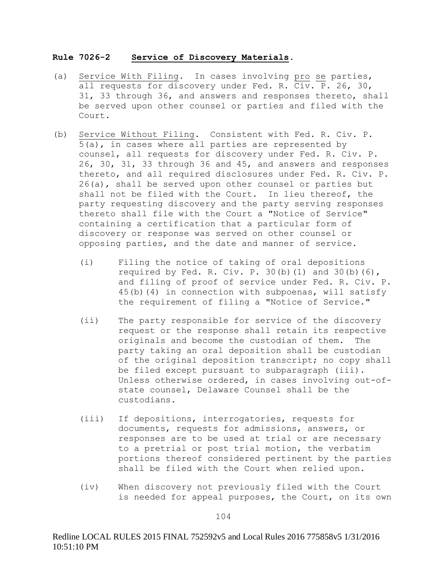#### **Rule 7026-2 Service of Discovery Materials**.

- (a) Service With Filing. In cases involving pro se parties, all requests for discovery under Fed. R. Civ. P. 26, 30, 31, 33 through 36, and answers and responses thereto, shall be served upon other counsel or parties and filed with the Court.
- (b) Service Without Filing. Consistent with Fed. R. Civ. P. 5(a), in cases where all parties are represented by counsel, all requests for discovery under Fed. R. Civ. P. 26, 30, 31, 33 through 36 and 45, and answers and responses thereto, and all required disclosures under Fed. R. Civ. P. 26(a), shall be served upon other counsel or parties but shall not be filed with the Court. In lieu thereof, the party requesting discovery and the party serving responses thereto shall file with the Court a "Notice of Service" containing a certification that a particular form of discovery or response was served on other counsel or opposing parties, and the date and manner of service.
	- (i) Filing the notice of taking of oral depositions required by Fed. R. Civ. P.  $30(b)(1)$  and  $30(b)(6)$ , and filing of proof of service under Fed. R. Civ. P. 45(b)(4) in connection with subpoenas, will satisfy the requirement of filing a "Notice of Service."
	- (ii) The party responsible for service of the discovery request or the response shall retain its respective originals and become the custodian of them. The party taking an oral deposition shall be custodian of the original deposition transcript; no copy shall be filed except pursuant to subparagraph (iii). Unless otherwise ordered, in cases involving out-ofstate counsel, Delaware Counsel shall be the custodians.
	- (iii) If depositions, interrogatories, requests for documents, requests for admissions, answers, or responses are to be used at trial or are necessary to a pretrial or post trial motion, the verbatim portions thereof considered pertinent by the parties shall be filed with the Court when relied upon.
	- (iv) When discovery not previously filed with the Court is needed for appeal purposes, the Court, on its own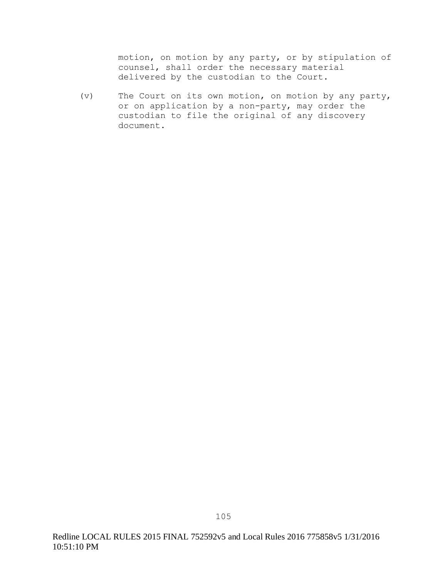motion, on motion by any party, or by stipulation of counsel, shall order the necessary material delivered by the custodian to the Court.

(v) The Court on its own motion, on motion by any party, or on application by a non-party, may order the custodian to file the original of any discovery document.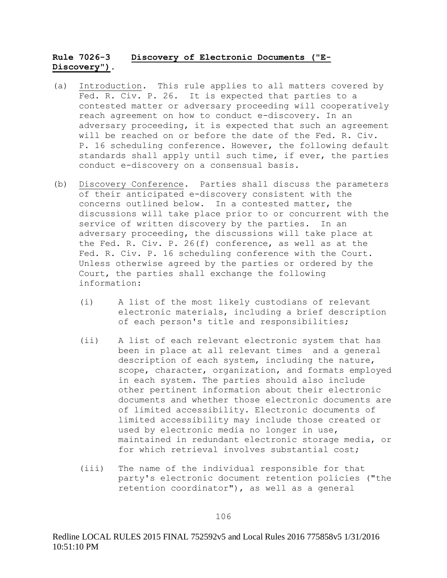# **Rule 7026-3 Discovery of Electronic Documents ("E-Discovery")**.

- (a) Introduction. This rule applies to all matters covered by Fed. R. Civ. P. 26. It is expected that parties to a contested matter or adversary proceeding will cooperatively reach agreement on how to conduct e-discovery. In an adversary proceeding, it is expected that such an agreement will be reached on or before the date of the Fed. R. Civ. P. 16 scheduling conference. However, the following default standards shall apply until such time, if ever, the parties conduct e-discovery on a consensual basis.
- (b) Discovery Conference. Parties shall discuss the parameters of their anticipated e-discovery consistent with the concerns outlined below. In a contested matter, the discussions will take place prior to or concurrent with the service of written discovery by the parties. In an adversary proceeding, the discussions will take place at the Fed. R. Civ. P. 26(f) conference, as well as at the Fed. R. Civ. P. 16 scheduling conference with the Court. Unless otherwise agreed by the parties or ordered by the Court, the parties shall exchange the following information:
	- (i) A list of the most likely custodians of relevant electronic materials, including a brief description of each person's title and responsibilities;
	- (ii) A list of each relevant electronic system that has been in place at all relevant times and a general description of each system, including the nature, scope, character, organization, and formats employed in each system. The parties should also include other pertinent information about their electronic documents and whether those electronic documents are of limited accessibility. Electronic documents of limited accessibility may include those created or used by electronic media no longer in use, maintained in redundant electronic storage media, or for which retrieval involves substantial cost;
	- (iii) The name of the individual responsible for that party's electronic document retention policies ("the retention coordinator"), as well as a general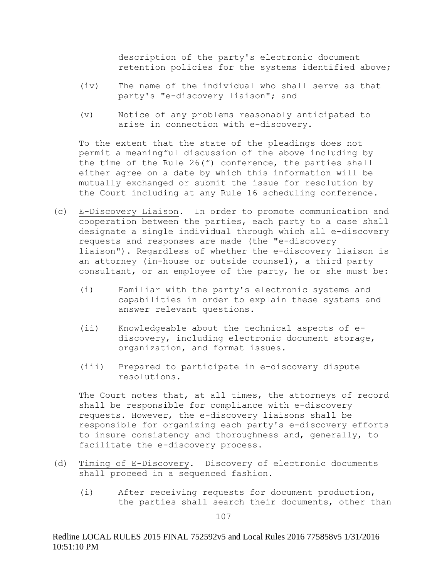description of the party's electronic document retention policies for the systems identified above;

- (iv) The name of the individual who shall serve as that party's "e-discovery liaison"; and
- (v) Notice of any problems reasonably anticipated to arise in connection with e-discovery.

To the extent that the state of the pleadings does not permit a meaningful discussion of the above including by the time of the Rule 26(f) conference, the parties shall either agree on a date by which this information will be mutually exchanged or submit the issue for resolution by the Court including at any Rule 16 scheduling conference.

- (c) E-Discovery Liaison. In order to promote communication and cooperation between the parties, each party to a case shall designate a single individual through which all e-discovery requests and responses are made (the "e-discovery liaison"). Regardless of whether the e-discovery liaison is an attorney (in-house or outside counsel), a third party consultant, or an employee of the party, he or she must be:
	- (i) Familiar with the party's electronic systems and capabilities in order to explain these systems and answer relevant questions.
	- (ii) Knowledgeable about the technical aspects of ediscovery, including electronic document storage, organization, and format issues.
	- (iii) Prepared to participate in e-discovery dispute resolutions.

The Court notes that, at all times, the attorneys of record shall be responsible for compliance with e-discovery requests. However, the e-discovery liaisons shall be responsible for organizing each party's e-discovery efforts to insure consistency and thoroughness and, generally, to facilitate the e-discovery process.

- (d) Timing of E-Discovery. Discovery of electronic documents shall proceed in a sequenced fashion.
	- (i) After receiving requests for document production, the parties shall search their documents, other than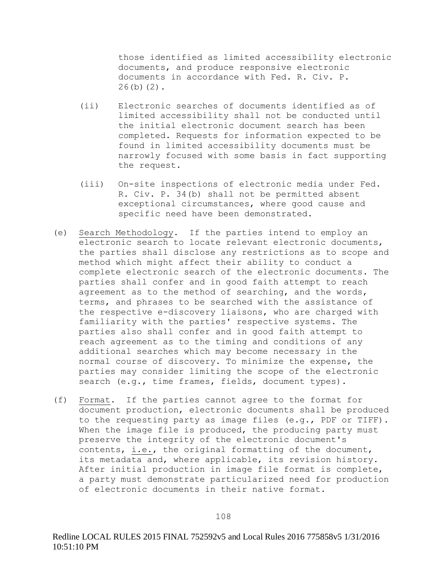those identified as limited accessibility electronic documents, and produce responsive electronic documents in accordance with Fed. R. Civ. P.  $26(b)(2)$ .

- (ii) Electronic searches of documents identified as of limited accessibility shall not be conducted until the initial electronic document search has been completed. Requests for information expected to be found in limited accessibility documents must be narrowly focused with some basis in fact supporting the request.
- (iii) On-site inspections of electronic media under Fed. R. Civ. P. 34(b) shall not be permitted absent exceptional circumstances, where good cause and specific need have been demonstrated.
- (e) Search Methodology. If the parties intend to employ an electronic search to locate relevant electronic documents, the parties shall disclose any restrictions as to scope and method which might affect their ability to conduct a complete electronic search of the electronic documents. The parties shall confer and in good faith attempt to reach agreement as to the method of searching, and the words, terms, and phrases to be searched with the assistance of the respective e-discovery liaisons, who are charged with familiarity with the parties' respective systems. The parties also shall confer and in good faith attempt to reach agreement as to the timing and conditions of any additional searches which may become necessary in the normal course of discovery. To minimize the expense, the parties may consider limiting the scope of the electronic search (e.g., time frames, fields, document types).
- (f) Format. If the parties cannot agree to the format for document production, electronic documents shall be produced to the requesting party as image files (e.g., PDF or TIFF). When the image file is produced, the producing party must preserve the integrity of the electronic document's contents, i.e., the original formatting of the document, its metadata and, where applicable, its revision history. After initial production in image file format is complete, a party must demonstrate particularized need for production of electronic documents in their native format.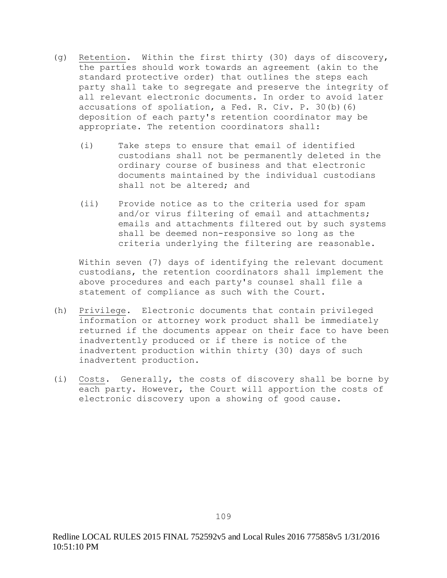- (g) Retention. Within the first thirty (30) days of discovery, the parties should work towards an agreement (akin to the standard protective order) that outlines the steps each party shall take to segregate and preserve the integrity of all relevant electronic documents. In order to avoid later accusations of spoliation, a Fed. R. Civ. P. 30(b)(6) deposition of each party's retention coordinator may be appropriate. The retention coordinators shall:
	- (i) Take steps to ensure that email of identified custodians shall not be permanently deleted in the ordinary course of business and that electronic documents maintained by the individual custodians shall not be altered; and
	- (ii) Provide notice as to the criteria used for spam and/or virus filtering of email and attachments; emails and attachments filtered out by such systems shall be deemed non-responsive so long as the criteria underlying the filtering are reasonable.

Within seven (7) days of identifying the relevant document custodians, the retention coordinators shall implement the above procedures and each party's counsel shall file a statement of compliance as such with the Court.

- (h) Privilege. Electronic documents that contain privileged information or attorney work product shall be immediately returned if the documents appear on their face to have been inadvertently produced or if there is notice of the inadvertent production within thirty (30) days of such inadvertent production.
- (i) Costs. Generally, the costs of discovery shall be borne by each party. However, the Court will apportion the costs of electronic discovery upon a showing of good cause.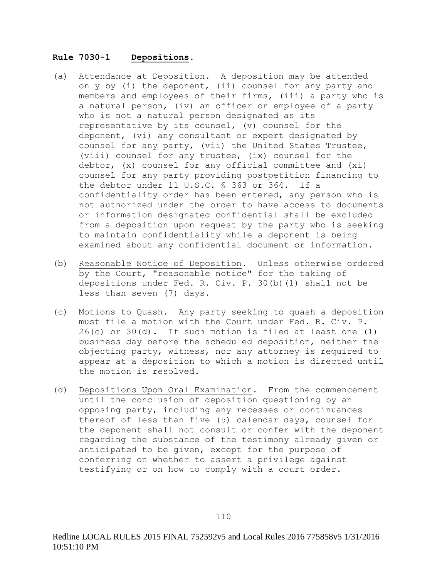#### **Rule 7030-1 Depositions.**

- (a) Attendance at Deposition. A deposition may be attended only by (i) the deponent, (ii) counsel for any party and members and employees of their firms, (iii) a party who is a natural person, (iv) an officer or employee of a party who is not a natural person designated as its representative by its counsel, (v) counsel for the deponent, (vi) any consultant or expert designated by counsel for any party, (vii) the United States Trustee, (viii) counsel for any trustee, (ix) counsel for the debtor, (x) counsel for any official committee and (xi) counsel for any party providing postpetition financing to the debtor under 11 U.S.C. § 363 or 364. If a confidentiality order has been entered, any person who is not authorized under the order to have access to documents or information designated confidential shall be excluded from a deposition upon request by the party who is seeking to maintain confidentiality while a deponent is being examined about any confidential document or information.
- (b) Reasonable Notice of Deposition. Unless otherwise ordered by the Court, "reasonable notice" for the taking of depositions under Fed. R. Civ. P. 30(b)(1) shall not be less than seven (7) days.
- (c) Motions to Quash. Any party seeking to quash a deposition must file a motion with the Court under Fed. R. Civ. P. 26(c) or 30(d). If such motion is filed at least one (1) business day before the scheduled deposition, neither the objecting party, witness, nor any attorney is required to appear at a deposition to which a motion is directed until the motion is resolved.
- (d) Depositions Upon Oral Examination. From the commencement until the conclusion of deposition questioning by an opposing party, including any recesses or continuances thereof of less than five (5) calendar days, counsel for the deponent shall not consult or confer with the deponent regarding the substance of the testimony already given or anticipated to be given, except for the purpose of conferring on whether to assert a privilege against testifying or on how to comply with a court order.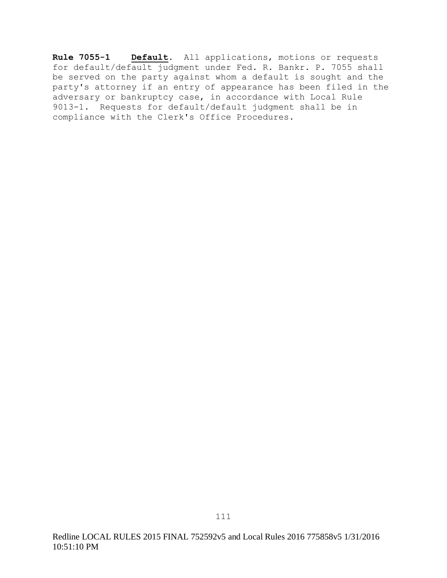**Rule 7055-1 Default**. All applications, motions or requests for default/default judgment under Fed. R. Bankr. P. 7055 shall be served on the party against whom a default is sought and the party's attorney if an entry of appearance has been filed in the adversary or bankruptcy case, in accordance with Local Rule 9013-1. Requests for default/default judgment shall be in compliance with the Clerk's Office Procedures.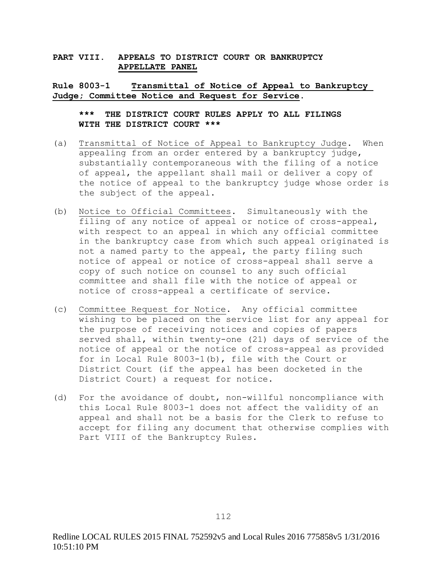### **PART VIII. APPEALS TO DISTRICT COURT OR BANKRUPTCY APPELLATE PANEL**

## **Rule 8003-1 Transmittal of Notice of Appeal to Bankruptcy Judge; Committee Notice and Request for Service**.

### **\*\*\* THE DISTRICT COURT RULES APPLY TO ALL FILINGS WITH THE DISTRICT COURT \*\*\***

- (a) Transmittal of Notice of Appeal to Bankruptcy Judge. When appealing from an order entered by a bankruptcy judge, substantially contemporaneous with the filing of a notice of appeal, the appellant shall mail or deliver a copy of the notice of appeal to the bankruptcy judge whose order is the subject of the appeal.
- (b) Notice to Official Committees. Simultaneously with the filing of any notice of appeal or notice of cross-appeal, with respect to an appeal in which any official committee in the bankruptcy case from which such appeal originated is not a named party to the appeal, the party filing such notice of appeal or notice of cross-appeal shall serve a copy of such notice on counsel to any such official committee and shall file with the notice of appeal or notice of cross-appeal a certificate of service.
- (c) Committee Request for Notice. Any official committee wishing to be placed on the service list for any appeal for the purpose of receiving notices and copies of papers served shall, within twenty-one (21) days of service of the notice of appeal or the notice of cross-appeal as provided for in Local Rule 8003-1(b), file with the Court or District Court (if the appeal has been docketed in the District Court) a request for notice.
- (d) For the avoidance of doubt, non-willful noncompliance with this Local Rule 8003-1 does not affect the validity of an appeal and shall not be a basis for the Clerk to refuse to accept for filing any document that otherwise complies with Part VIII of the Bankruptcy Rules.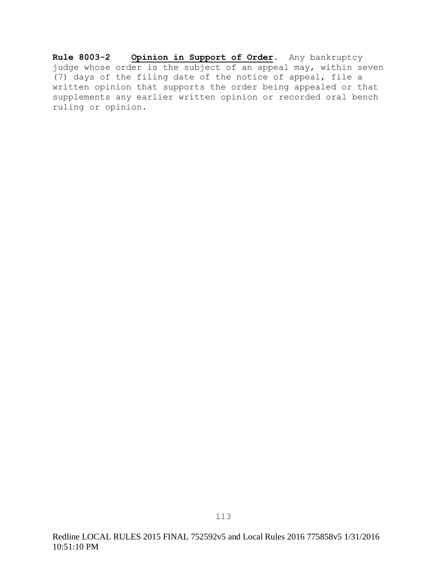**Rule 8003-2 Opinion in Support of Order**. Any bankruptcy judge whose order is the subject of an appeal may, within seven (7) days of the filing date of the notice of appeal, file a written opinion that supports the order being appealed or that supplements any earlier written opinion or recorded oral bench ruling or opinion.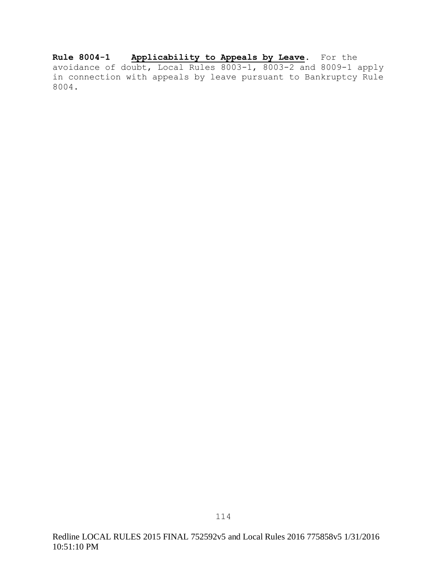**Rule 8004-1 Applicability to Appeals by Leave**. For the avoidance of doubt, Local Rules 8003-1, 8003-2 and 8009-1 apply in connection with appeals by leave pursuant to Bankruptcy Rule 8004.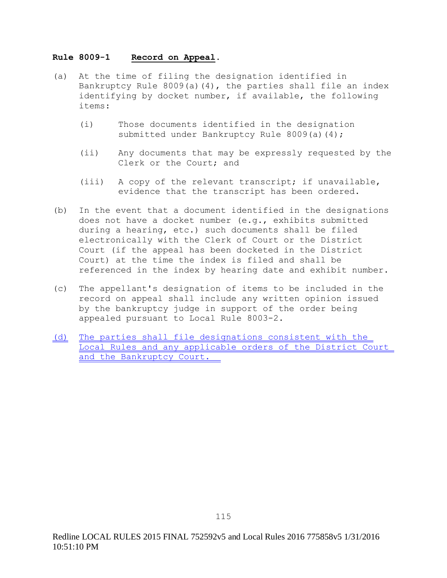### **Rule 8009-1 Record on Appeal**.

- (a) At the time of filing the designation identified in Bankruptcy Rule  $8009(a)(4)$ , the parties shall file an index identifying by docket number, if available, the following items:
	- (i) Those documents identified in the designation submitted under Bankruptcy Rule 8009(a)(4);
	- (ii) Any documents that may be expressly requested by the Clerk or the Court; and
	- (iii) A copy of the relevant transcript; if unavailable, evidence that the transcript has been ordered.
- (b) In the event that a document identified in the designations does not have a docket number (e.g., exhibits submitted during a hearing, etc.) such documents shall be filed electronically with the Clerk of Court or the District Court (if the appeal has been docketed in the District Court) at the time the index is filed and shall be referenced in the index by hearing date and exhibit number.
- (c) The appellant's designation of items to be included in the record on appeal shall include any written opinion issued by the bankruptcy judge in support of the order being appealed pursuant to Local Rule 8003-2.
- (d) The parties shall file designations consistent with the Local Rules and any applicable orders of the District Court and the Bankruptcy Court.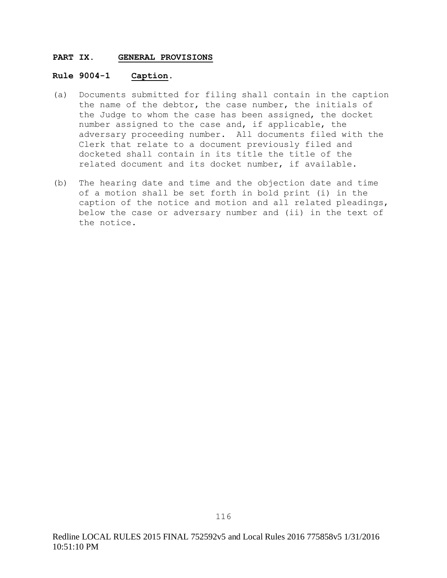#### **PART IX. GENERAL PROVISIONS**

### **Rule 9004-1 Caption**.

- (a) Documents submitted for filing shall contain in the caption the name of the debtor, the case number, the initials of the Judge to whom the case has been assigned, the docket number assigned to the case and, if applicable, the adversary proceeding number. All documents filed with the Clerk that relate to a document previously filed and docketed shall contain in its title the title of the related document and its docket number, if available.
- (b) The hearing date and time and the objection date and time of a motion shall be set forth in bold print (i) in the caption of the notice and motion and all related pleadings, below the case or adversary number and (ii) in the text of the notice.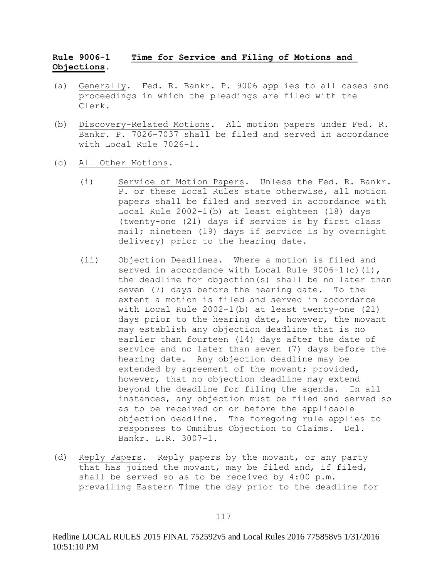## **Rule 9006-1 Time for Service and Filing of Motions and Objections**.

- (a) Generally. Fed. R. Bankr. P. 9006 applies to all cases and proceedings in which the pleadings are filed with the Clerk.
- (b) Discovery-Related Motions. All motion papers under Fed. R. Bankr. P. 7026-7037 shall be filed and served in accordance with Local Rule 7026-1.
- (c) All Other Motions.
	- (i) Service of Motion Papers. Unless the Fed. R. Bankr. P. or these Local Rules state otherwise, all motion papers shall be filed and served in accordance with Local Rule 2002-1(b) at least eighteen (18) days (twenty-one (21) days if service is by first class mail; nineteen (19) days if service is by overnight delivery) prior to the hearing date.
	- (ii) Objection Deadlines. Where a motion is filed and served in accordance with Local Rule  $9006-1(c)(i)$ , the deadline for objection(s) shall be no later than seven (7) days before the hearing date. To the extent a motion is filed and served in accordance with Local Rule 2002-1(b) at least twenty-one (21) days prior to the hearing date, however, the movant may establish any objection deadline that is no earlier than fourteen (14) days after the date of service and no later than seven (7) days before the hearing date. Any objection deadline may be extended by agreement of the movant; provided, however, that no objection deadline may extend beyond the deadline for filing the agenda. In all instances, any objection must be filed and served so as to be received on or before the applicable objection deadline. The foregoing rule applies to responses to Omnibus Objection to Claims. Del. Bankr. L.R. 3007-1.
- (d) Reply Papers. Reply papers by the movant, or any party that has joined the movant, may be filed and, if filed, shall be served so as to be received by 4:00 p.m. prevailing Eastern Time the day prior to the deadline for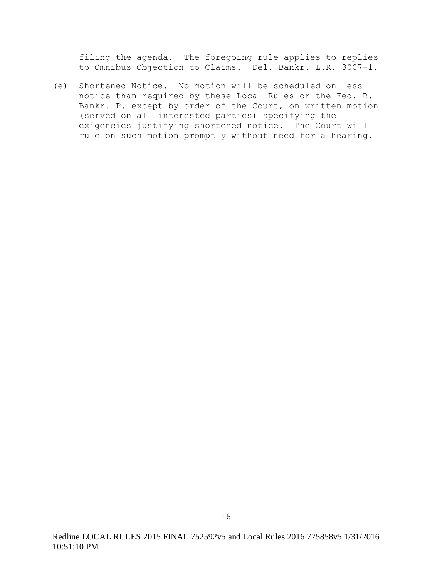filing the agenda. The foregoing rule applies to replies to Omnibus Objection to Claims. Del. Bankr. L.R. 3007-1.

(e) Shortened Notice. No motion will be scheduled on less notice than required by these Local Rules or the Fed. R. Bankr. P. except by order of the Court, on written motion (served on all interested parties) specifying the exigencies justifying shortened notice. The Court will rule on such motion promptly without need for a hearing.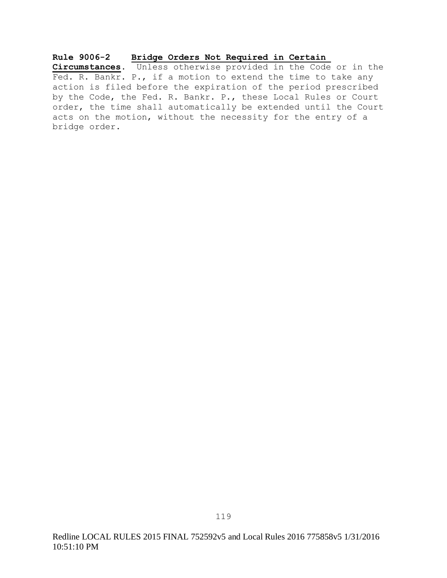**Rule 9006-2 Bridge Orders Not Required in Certain Circumstances**. Unless otherwise provided in the Code or in the Fed. R. Bankr. P., if a motion to extend the time to take any action is filed before the expiration of the period prescribed by the Code, the Fed. R. Bankr. P., these Local Rules or Court order, the time shall automatically be extended until the Court acts on the motion, without the necessity for the entry of a bridge order.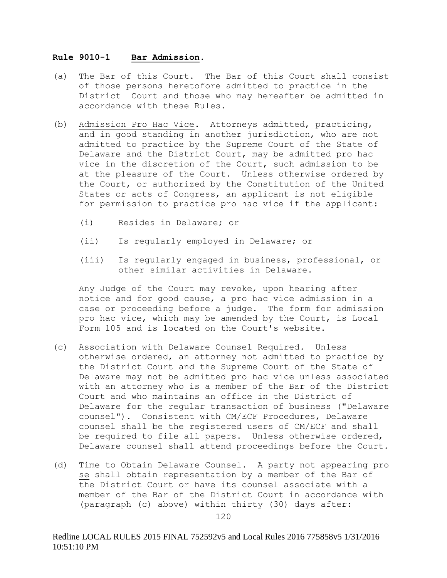#### **Rule 9010-1 Bar Admission**.

- (a) The Bar of this Court. The Bar of this Court shall consist of those persons heretofore admitted to practice in the District Court and those who may hereafter be admitted in accordance with these Rules.
- (b) Admission Pro Hac Vice. Attorneys admitted, practicing, and in good standing in another jurisdiction, who are not admitted to practice by the Supreme Court of the State of Delaware and the District Court, may be admitted pro hac vice in the discretion of the Court, such admission to be at the pleasure of the Court. Unless otherwise ordered by the Court, or authorized by the Constitution of the United States or acts of Congress, an applicant is not eligible for permission to practice pro hac vice if the applicant:
	- (i) Resides in Delaware; or
	- (ii) Is regularly employed in Delaware; or
	- (iii) Is regularly engaged in business, professional, or other similar activities in Delaware.

Any Judge of the Court may revoke, upon hearing after notice and for good cause, a pro hac vice admission in a case or proceeding before a judge. The form for admission pro hac vice, which may be amended by the Court, is Local Form 105 and is located on the Court's website.

- (c) Association with Delaware Counsel Required. Unless otherwise ordered, an attorney not admitted to practice by the District Court and the Supreme Court of the State of Delaware may not be admitted pro hac vice unless associated with an attorney who is a member of the Bar of the District Court and who maintains an office in the District of Delaware for the regular transaction of business ("Delaware counsel"). Consistent with CM/ECF Procedures, Delaware counsel shall be the registered users of CM/ECF and shall be required to file all papers. Unless otherwise ordered, Delaware counsel shall attend proceedings before the Court.
- (d) Time to Obtain Delaware Counsel. A party not appearing pro se shall obtain representation by a member of the Bar of the District Court or have its counsel associate with a member of the Bar of the District Court in accordance with (paragraph (c) above) within thirty (30) days after: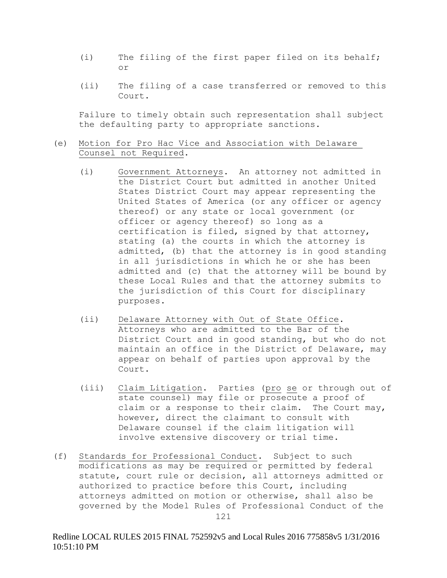- (i) The filing of the first paper filed on its behalf; or
- (ii) The filing of a case transferred or removed to this Court.

Failure to timely obtain such representation shall subject the defaulting party to appropriate sanctions.

## (e) Motion for Pro Hac Vice and Association with Delaware Counsel not Required.

- (i) Government Attorneys. An attorney not admitted in the District Court but admitted in another United States District Court may appear representing the United States of America (or any officer or agency thereof) or any state or local government (or officer or agency thereof) so long as a certification is filed, signed by that attorney, stating (a) the courts in which the attorney is admitted, (b) that the attorney is in good standing in all jurisdictions in which he or she has been admitted and (c) that the attorney will be bound by these Local Rules and that the attorney submits to the jurisdiction of this Court for disciplinary purposes.
- (ii) Delaware Attorney with Out of State Office. Attorneys who are admitted to the Bar of the District Court and in good standing, but who do not maintain an office in the District of Delaware, may appear on behalf of parties upon approval by the Court.
- (iii) Claim Litigation. Parties (pro se or through out of state counsel) may file or prosecute a proof of claim or a response to their claim. The Court may, however, direct the claimant to consult with Delaware counsel if the claim litigation will involve extensive discovery or trial time.
- 121 (f) Standards for Professional Conduct. Subject to such modifications as may be required or permitted by federal statute, court rule or decision, all attorneys admitted or authorized to practice before this Court, including attorneys admitted on motion or otherwise, shall also be governed by the Model Rules of Professional Conduct of the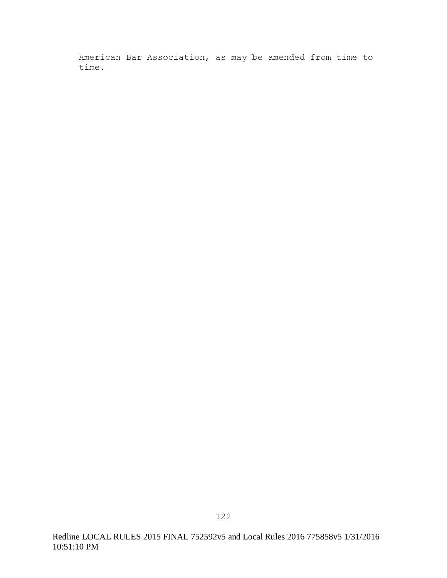American Bar Association, as may be amended from time to time.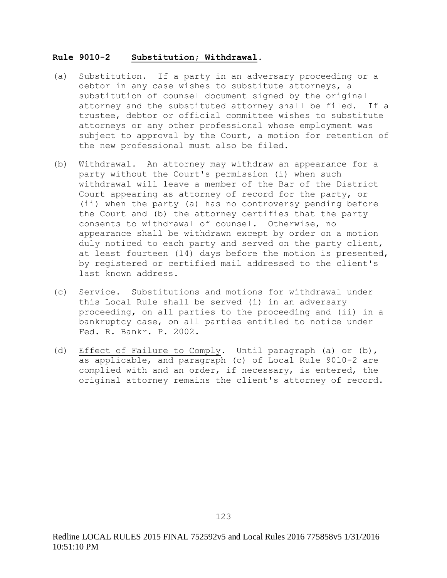#### **Rule 9010-2 Substitution; Withdrawal**.

- (a) Substitution. If a party in an adversary proceeding or a debtor in any case wishes to substitute attorneys, a substitution of counsel document signed by the original attorney and the substituted attorney shall be filed. If a trustee, debtor or official committee wishes to substitute attorneys or any other professional whose employment was subject to approval by the Court, a motion for retention of the new professional must also be filed.
- (b) Withdrawal. An attorney may withdraw an appearance for a party without the Court's permission (i) when such withdrawal will leave a member of the Bar of the District Court appearing as attorney of record for the party, or (ii) when the party (a) has no controversy pending before the Court and (b) the attorney certifies that the party consents to withdrawal of counsel. Otherwise, no appearance shall be withdrawn except by order on a motion duly noticed to each party and served on the party client, at least fourteen (14) days before the motion is presented, by registered or certified mail addressed to the client's last known address.
- (c) Service. Substitutions and motions for withdrawal under this Local Rule shall be served (i) in an adversary proceeding, on all parties to the proceeding and (ii) in a bankruptcy case, on all parties entitled to notice under Fed. R. Bankr. P. 2002.
- (d) Effect of Failure to Comply. Until paragraph (a) or (b), as applicable, and paragraph (c) of Local Rule 9010-2 are complied with and an order, if necessary, is entered, the original attorney remains the client's attorney of record.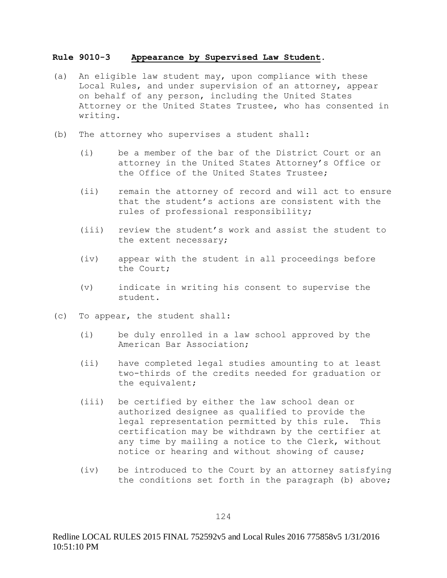#### **Rule 9010-3 Appearance by Supervised Law Student**.

- (a) An eligible law student may, upon compliance with these Local Rules, and under supervision of an attorney, appear on behalf of any person, including the United States Attorney or the United States Trustee, who has consented in writing.
- (b) The attorney who supervises a student shall:
	- (i) be a member of the bar of the District Court or an attorney in the United States Attorney's Office or the Office of the United States Trustee;
	- (ii) remain the attorney of record and will act to ensure that the student's actions are consistent with the rules of professional responsibility;
	- (iii) review the student's work and assist the student to the extent necessary;
	- (iv) appear with the student in all proceedings before the Court;
	- (v) indicate in writing his consent to supervise the student.
- (c) To appear, the student shall:
	- (i) be duly enrolled in a law school approved by the American Bar Association;
	- (ii) have completed legal studies amounting to at least two-thirds of the credits needed for graduation or the equivalent;
	- (iii) be certified by either the law school dean or authorized designee as qualified to provide the legal representation permitted by this rule. This certification may be withdrawn by the certifier at any time by mailing a notice to the Clerk, without notice or hearing and without showing of cause;
	- (iv) be introduced to the Court by an attorney satisfying the conditions set forth in the paragraph (b) above;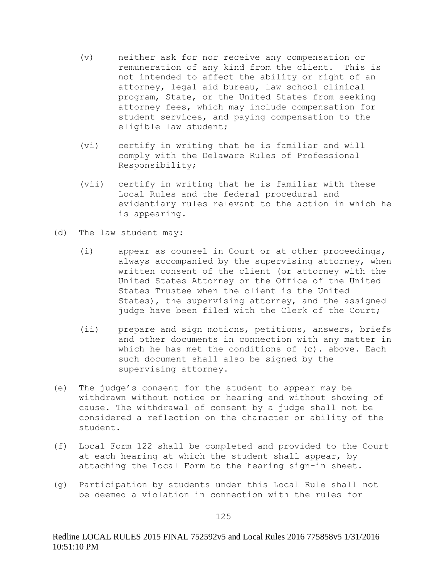- (v) neither ask for nor receive any compensation or remuneration of any kind from the client. This is not intended to affect the ability or right of an attorney, legal aid bureau, law school clinical program, State, or the United States from seeking attorney fees, which may include compensation for student services, and paying compensation to the eligible law student;
- (vi) certify in writing that he is familiar and will comply with the Delaware Rules of Professional Responsibility;
- (vii) certify in writing that he is familiar with these Local Rules and the federal procedural and evidentiary rules relevant to the action in which he is appearing.
- (d) The law student may:
	- (i) appear as counsel in Court or at other proceedings, always accompanied by the supervising attorney, when written consent of the client (or attorney with the United States Attorney or the Office of the United States Trustee when the client is the United States), the supervising attorney, and the assigned judge have been filed with the Clerk of the Court;
	- (ii) prepare and sign motions, petitions, answers, briefs and other documents in connection with any matter in which he has met the conditions of (c). above. Each such document shall also be signed by the supervising attorney.
- (e) The judge's consent for the student to appear may be withdrawn without notice or hearing and without showing of cause. The withdrawal of consent by a judge shall not be considered a reflection on the character or ability of the student.
- (f) Local Form 122 shall be completed and provided to the Court at each hearing at which the student shall appear, by attaching the Local Form to the hearing sign-in sheet.
- (g) Participation by students under this Local Rule shall not be deemed a violation in connection with the rules for

125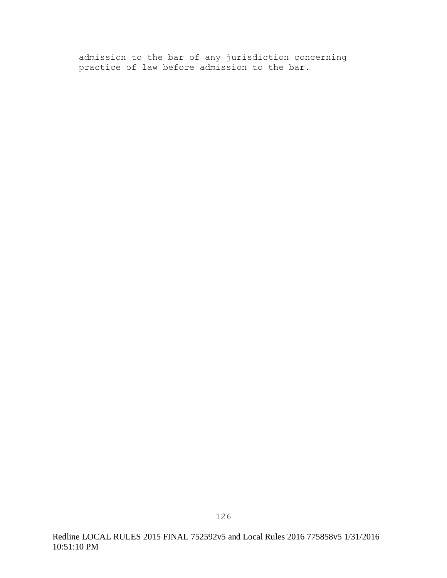admission to the bar of any jurisdiction concerning practice of law before admission to the bar.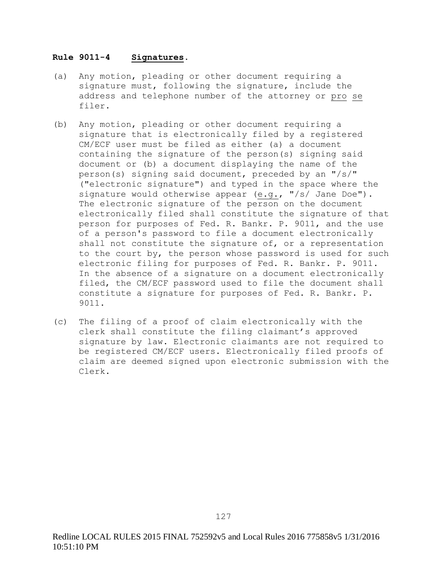#### **Rule 9011-4 Signatures**.

- (a) Any motion, pleading or other document requiring a signature must, following the signature, include the address and telephone number of the attorney or pro se filer.
- (b) Any motion, pleading or other document requiring a signature that is electronically filed by a registered CM/ECF user must be filed as either (a) a document containing the signature of the person(s) signing said document or (b) a document displaying the name of the person(s) signing said document, preceded by an "/s/" ("electronic signature") and typed in the space where the signature would otherwise appear (e.g., "/s/ Jane Doe"). The electronic signature of the person on the document electronically filed shall constitute the signature of that person for purposes of Fed. R. Bankr. P. 9011, and the use of a person's password to file a document electronically shall not constitute the signature of, or a representation to the court by, the person whose password is used for such electronic filing for purposes of Fed. R. Bankr. P. 9011. In the absence of a signature on a document electronically filed, the CM/ECF password used to file the document shall constitute a signature for purposes of Fed. R. Bankr. P. 9011.
- (c) The filing of a proof of claim electronically with the clerk shall constitute the filing claimant's approved signature by law. Electronic claimants are not required to be registered CM/ECF users. Electronically filed proofs of claim are deemed signed upon electronic submission with the Clerk.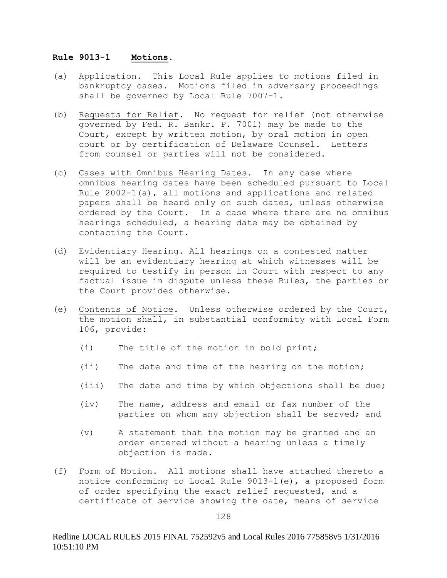#### **Rule 9013-1 Motions**.

- (a) Application. This Local Rule applies to motions filed in bankruptcy cases. Motions filed in adversary proceedings shall be governed by Local Rule 7007-1.
- (b) Requests for Relief. No request for relief (not otherwise governed by Fed. R. Bankr. P. 7001) may be made to the Court, except by written motion, by oral motion in open court or by certification of Delaware Counsel. Letters from counsel or parties will not be considered.
- (c) Cases with Omnibus Hearing Dates. In any case where omnibus hearing dates have been scheduled pursuant to Local Rule 2002-1(a), all motions and applications and related papers shall be heard only on such dates, unless otherwise ordered by the Court. In a case where there are no omnibus hearings scheduled, a hearing date may be obtained by contacting the Court.
- (d) Evidentiary Hearing. All hearings on a contested matter will be an evidentiary hearing at which witnesses will be required to testify in person in Court with respect to any factual issue in dispute unless these Rules, the parties or the Court provides otherwise.
- (e) Contents of Notice. Unless otherwise ordered by the Court, the motion shall, in substantial conformity with Local Form 106, provide:
	- (i) The title of the motion in bold print;
	- (ii) The date and time of the hearing on the motion;
	- (iii) The date and time by which objections shall be due;
	- (iv) The name, address and email or fax number of the parties on whom any objection shall be served; and
	- (v) A statement that the motion may be granted and an order entered without a hearing unless a timely objection is made.
- (f) Form of Motion. All motions shall have attached thereto a notice conforming to Local Rule 9013-1(e), a proposed form of order specifying the exact relief requested, and a certificate of service showing the date, means of service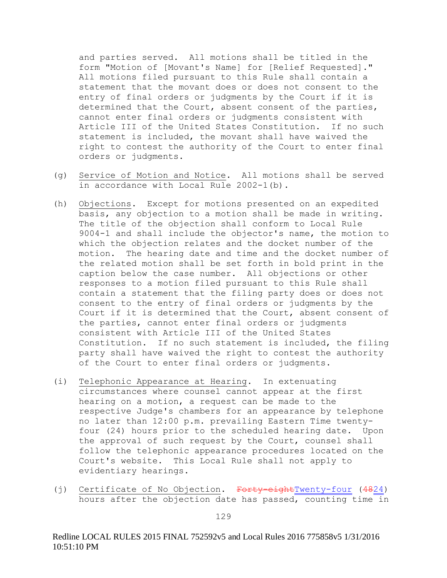and parties served. All motions shall be titled in the form "Motion of [Movant's Name] for [Relief Requested]." All motions filed pursuant to this Rule shall contain a statement that the movant does or does not consent to the entry of final orders or judgments by the Court if it is determined that the Court, absent consent of the parties, cannot enter final orders or judgments consistent with Article III of the United States Constitution. If no such statement is included, the movant shall have waived the right to contest the authority of the Court to enter final orders or judgments.

- (g) Service of Motion and Notice. All motions shall be served in accordance with Local Rule 2002-1(b).
- (h) Objections. Except for motions presented on an expedited basis, any objection to a motion shall be made in writing. The title of the objection shall conform to Local Rule 9004-1 and shall include the objector's name, the motion to which the objection relates and the docket number of the motion. The hearing date and time and the docket number of the related motion shall be set forth in bold print in the caption below the case number. All objections or other responses to a motion filed pursuant to this Rule shall contain a statement that the filing party does or does not consent to the entry of final orders or judgments by the Court if it is determined that the Court, absent consent of the parties, cannot enter final orders or judgments consistent with Article III of the United States Constitution. If no such statement is included, the filing party shall have waived the right to contest the authority of the Court to enter final orders or judgments.
- (i) Telephonic Appearance at Hearing. In extenuating circumstances where counsel cannot appear at the first hearing on a motion, a request can be made to the respective Judge's chambers for an appearance by telephone no later than 12:00 p.m. prevailing Eastern Time twentyfour (24) hours prior to the scheduled hearing date. Upon the approval of such request by the Court, counsel shall follow the telephonic appearance procedures located on the Court's website. This Local Rule shall not apply to evidentiary hearings.
- (j) Certificate of No Objection. Forty-eightTwenty-four (4824) hours after the objection date has passed, counting time in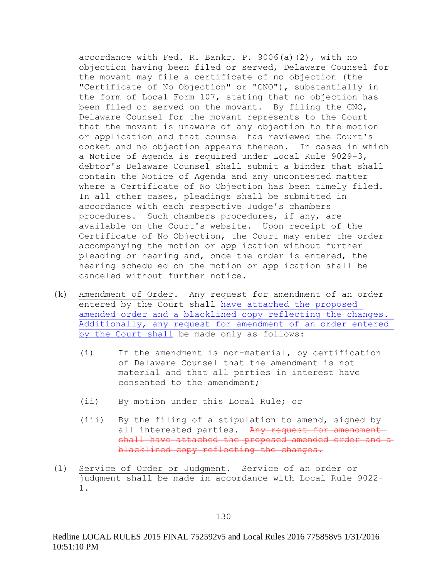accordance with Fed. R. Bankr. P. 9006(a)(2), with no objection having been filed or served, Delaware Counsel for the movant may file a certificate of no objection (the "Certificate of No Objection" or "CNO"), substantially in the form of Local Form 107, stating that no objection has been filed or served on the movant. By filing the CNO, Delaware Counsel for the movant represents to the Court that the movant is unaware of any objection to the motion or application and that counsel has reviewed the Court's docket and no objection appears thereon. In cases in which a Notice of Agenda is required under Local Rule 9029-3, debtor's Delaware Counsel shall submit a binder that shall contain the Notice of Agenda and any uncontested matter where a Certificate of No Objection has been timely filed. In all other cases, pleadings shall be submitted in accordance with each respective Judge's chambers procedures. Such chambers procedures, if any, are available on the Court's website. Upon receipt of the Certificate of No Objection, the Court may enter the order accompanying the motion or application without further pleading or hearing and, once the order is entered, the hearing scheduled on the motion or application shall be canceled without further notice.

- (k) Amendment of Order. Any request for amendment of an order entered by the Court shall have attached the proposed amended order and a blacklined copy reflecting the changes. Additionally, any request for amendment of an order entered by the Court shall be made only as follows:
	- (i) If the amendment is non-material, by certification of Delaware Counsel that the amendment is not material and that all parties in interest have consented to the amendment;
	- (ii) By motion under this Local Rule; or
	- (iii) By the filing of a stipulation to amend, signed by all interested parties. Any request for amendment shall have attached the proposed amended order and a blacklined copy reflecting the changes.
- (l) Service of Order or Judgment. Service of an order or judgment shall be made in accordance with Local Rule 9022- 1.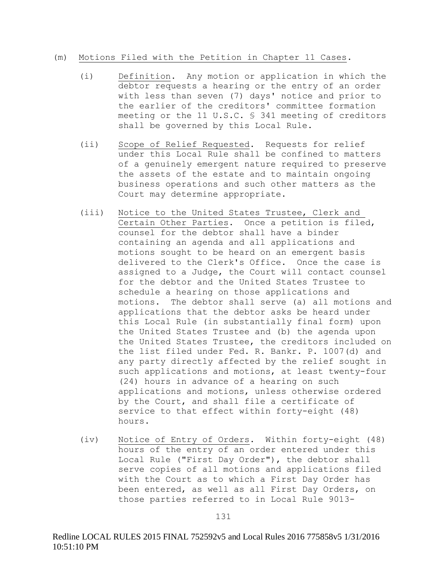#### (m) Motions Filed with the Petition in Chapter 11 Cases.

- (i) Definition. Any motion or application in which the debtor requests a hearing or the entry of an order with less than seven (7) days' notice and prior to the earlier of the creditors' committee formation meeting or the 11 U.S.C. § 341 meeting of creditors shall be governed by this Local Rule.
- (ii) Scope of Relief Requested. Requests for relief under this Local Rule shall be confined to matters of a genuinely emergent nature required to preserve the assets of the estate and to maintain ongoing business operations and such other matters as the Court may determine appropriate.
- (iii) Notice to the United States Trustee, Clerk and Certain Other Parties. Once a petition is filed, counsel for the debtor shall have a binder containing an agenda and all applications and motions sought to be heard on an emergent basis delivered to the Clerk's Office. Once the case is assigned to a Judge, the Court will contact counsel for the debtor and the United States Trustee to schedule a hearing on those applications and motions. The debtor shall serve (a) all motions and applications that the debtor asks be heard under this Local Rule (in substantially final form) upon the United States Trustee and (b) the agenda upon the United States Trustee, the creditors included on the list filed under Fed. R. Bankr. P. 1007(d) and any party directly affected by the relief sought in such applications and motions, at least twenty-four (24) hours in advance of a hearing on such applications and motions, unless otherwise ordered by the Court, and shall file a certificate of service to that effect within forty-eight (48) hours.
- (iv) Notice of Entry of Orders. Within forty-eight (48) hours of the entry of an order entered under this Local Rule ("First Day Order"), the debtor shall serve copies of all motions and applications filed with the Court as to which a First Day Order has been entered, as well as all First Day Orders, on those parties referred to in Local Rule 9013-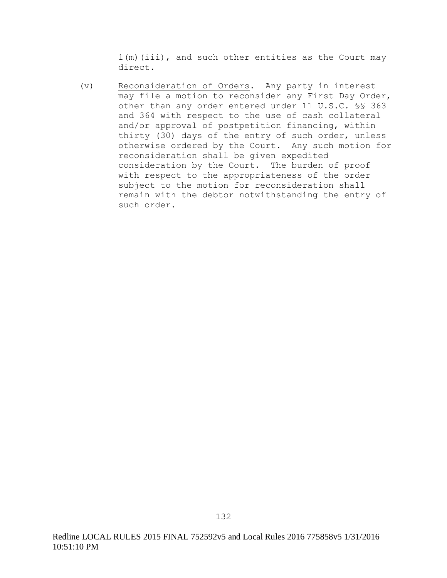1(m)(iii), and such other entities as the Court may direct.

(v) Reconsideration of Orders. Any party in interest may file a motion to reconsider any First Day Order, other than any order entered under 11 U.S.C. §§ 363 and 364 with respect to the use of cash collateral and/or approval of postpetition financing, within thirty (30) days of the entry of such order, unless otherwise ordered by the Court. Any such motion for reconsideration shall be given expedited consideration by the Court. The burden of proof with respect to the appropriateness of the order subject to the motion for reconsideration shall remain with the debtor notwithstanding the entry of such order.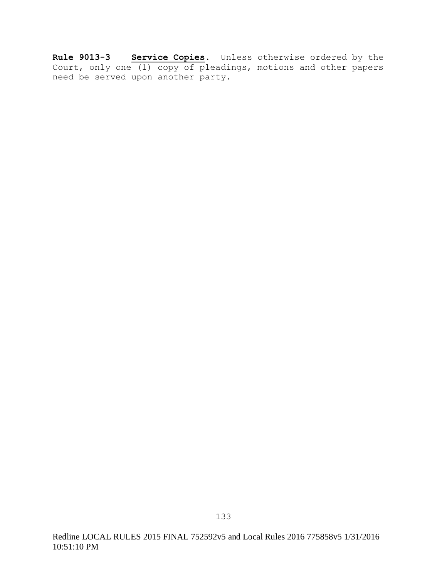**Rule 9013-3 Service Copies**. Unless otherwise ordered by the Court, only one (1) copy of pleadings, motions and other papers need be served upon another party.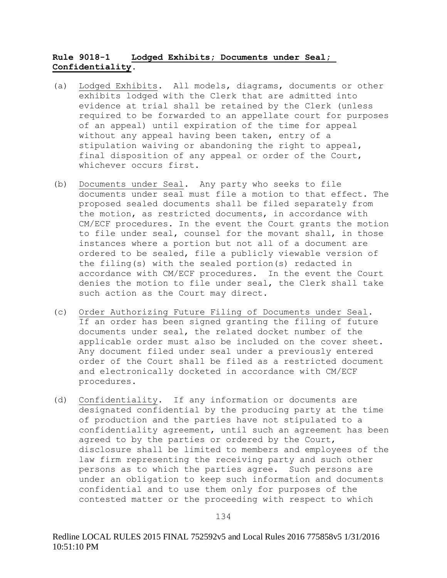# **Rule 9018-1 Lodged Exhibits; Documents under Seal; Confidentiality**.

- (a) Lodged Exhibits. All models, diagrams, documents or other exhibits lodged with the Clerk that are admitted into evidence at trial shall be retained by the Clerk (unless required to be forwarded to an appellate court for purposes of an appeal) until expiration of the time for appeal without any appeal having been taken, entry of a stipulation waiving or abandoning the right to appeal, final disposition of any appeal or order of the Court, whichever occurs first.
- (b) Documents under Seal. Any party who seeks to file documents under seal must file a motion to that effect. The proposed sealed documents shall be filed separately from the motion, as restricted documents, in accordance with CM/ECF procedures. In the event the Court grants the motion to file under seal, counsel for the movant shall, in those instances where a portion but not all of a document are ordered to be sealed, file a publicly viewable version of the filing(s) with the sealed portion(s) redacted in accordance with CM/ECF procedures. In the event the Court denies the motion to file under seal, the Clerk shall take such action as the Court may direct.
- (c) Order Authorizing Future Filing of Documents under Seal. If an order has been signed granting the filing of future documents under seal, the related docket number of the applicable order must also be included on the cover sheet. Any document filed under seal under a previously entered order of the Court shall be filed as a restricted document and electronically docketed in accordance with CM/ECF procedures.
- (d) Confidentiality. If any information or documents are designated confidential by the producing party at the time of production and the parties have not stipulated to a confidentiality agreement, until such an agreement has been agreed to by the parties or ordered by the Court, disclosure shall be limited to members and employees of the law firm representing the receiving party and such other persons as to which the parties agree. Such persons are under an obligation to keep such information and documents confidential and to use them only for purposes of the contested matter or the proceeding with respect to which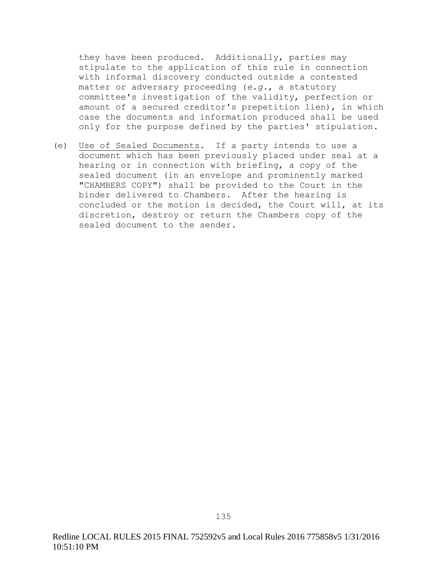they have been produced. Additionally, parties may stipulate to the application of this rule in connection with informal discovery conducted outside a contested matter or adversary proceeding (*e.g.*, a statutory committee's investigation of the validity, perfection or amount of a secured creditor's prepetition lien), in which case the documents and information produced shall be used only for the purpose defined by the parties' stipulation.

(e) Use of Sealed Documents. If a party intends to use a document which has been previously placed under seal at a hearing or in connection with briefing, a copy of the sealed document (in an envelope and prominently marked "CHAMBERS COPY") shall be provided to the Court in the binder delivered to Chambers. After the hearing is concluded or the motion is decided, the Court will, at its discretion, destroy or return the Chambers copy of the sealed document to the sender.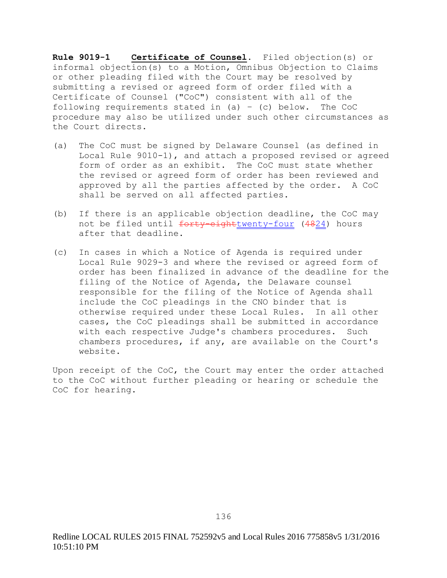**Rule 9019-1 Certificate of Counsel**. Filed objection(s) or informal objection(s) to a Motion, Omnibus Objection to Claims or other pleading filed with the Court may be resolved by submitting a revised or agreed form of order filed with a Certificate of Counsel ("CoC") consistent with all of the following requirements stated in  $(a) - (c)$  below. The CoC procedure may also be utilized under such other circumstances as the Court directs.

- (a) The CoC must be signed by Delaware Counsel (as defined in Local Rule 9010-1), and attach a proposed revised or agreed form of order as an exhibit. The CoC must state whether the revised or agreed form of order has been reviewed and approved by all the parties affected by the order. A CoC shall be served on all affected parties.
- (b) If there is an applicable objection deadline, the CoC may not be filed until forty-eighttwenty-four (4824) hours after that deadline.
- (c) In cases in which a Notice of Agenda is required under Local Rule 9029-3 and where the revised or agreed form of order has been finalized in advance of the deadline for the filing of the Notice of Agenda, the Delaware counsel responsible for the filing of the Notice of Agenda shall include the CoC pleadings in the CNO binder that is otherwise required under these Local Rules. In all other cases, the CoC pleadings shall be submitted in accordance with each respective Judge's chambers procedures. Such chambers procedures, if any, are available on the Court's website.

Upon receipt of the CoC, the Court may enter the order attached to the CoC without further pleading or hearing or schedule the CoC for hearing.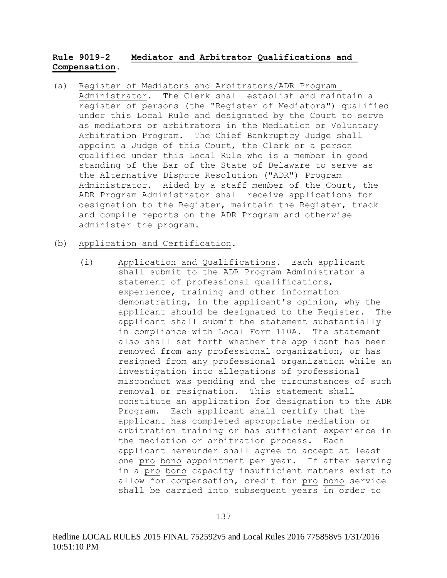# **Rule 9019-2 Mediator and Arbitrator Qualifications and Compensation**.

(a) Register of Mediators and Arbitrators/ADR Program Administrator. The Clerk shall establish and maintain a register of persons (the "Register of Mediators") qualified under this Local Rule and designated by the Court to serve as mediators or arbitrators in the Mediation or Voluntary Arbitration Program. The Chief Bankruptcy Judge shall appoint a Judge of this Court, the Clerk or a person qualified under this Local Rule who is a member in good standing of the Bar of the State of Delaware to serve as the Alternative Dispute Resolution ("ADR") Program Administrator. Aided by a staff member of the Court, the ADR Program Administrator shall receive applications for designation to the Register, maintain the Register, track and compile reports on the ADR Program and otherwise administer the program.

### (b) Application and Certification.

(i) Application and Qualifications. Each applicant shall submit to the ADR Program Administrator a statement of professional qualifications, experience, training and other information demonstrating, in the applicant's opinion, why the applicant should be designated to the Register. The applicant shall submit the statement substantially in compliance with Local Form 110A. The statement also shall set forth whether the applicant has been removed from any professional organization, or has resigned from any professional organization while an investigation into allegations of professional misconduct was pending and the circumstances of such removal or resignation. This statement shall constitute an application for designation to the ADR Program. Each applicant shall certify that the applicant has completed appropriate mediation or arbitration training or has sufficient experience in the mediation or arbitration process. Each applicant hereunder shall agree to accept at least one pro bono appointment per year. If after serving in a pro bono capacity insufficient matters exist to allow for compensation, credit for pro bono service shall be carried into subsequent years in order to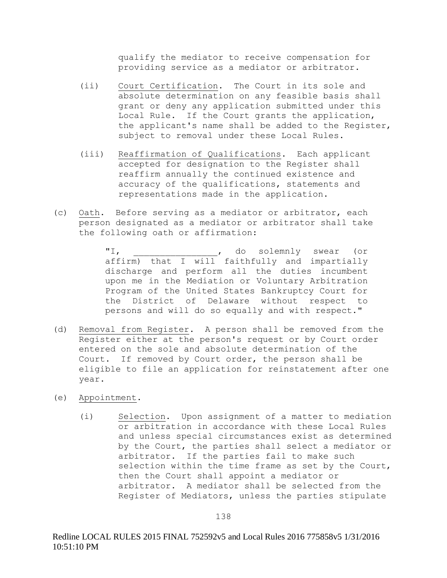qualify the mediator to receive compensation for providing service as a mediator or arbitrator.

- (ii) Court Certification. The Court in its sole and absolute determination on any feasible basis shall grant or deny any application submitted under this Local Rule. If the Court grants the application, the applicant's name shall be added to the Register, subject to removal under these Local Rules.
- (iii) Reaffirmation of Qualifications. Each applicant accepted for designation to the Register shall reaffirm annually the continued existence and accuracy of the qualifications, statements and representations made in the application.
- (c) Oath. Before serving as a mediator or arbitrator, each person designated as a mediator or arbitrator shall take the following oath or affirmation:

"I, \_\_\_\_\_\_\_\_\_\_\_\_\_\_\_\_, do solemnly swear (or affirm) that I will faithfully and impartially discharge and perform all the duties incumbent upon me in the Mediation or Voluntary Arbitration Program of the United States Bankruptcy Court for the District of Delaware without respect to persons and will do so equally and with respect."

- (d) Removal from Register. A person shall be removed from the Register either at the person's request or by Court order entered on the sole and absolute determination of the Court. If removed by Court order, the person shall be eligible to file an application for reinstatement after one year.
- (e) Appointment.
	- (i) Selection. Upon assignment of a matter to mediation or arbitration in accordance with these Local Rules and unless special circumstances exist as determined by the Court, the parties shall select a mediator or arbitrator. If the parties fail to make such selection within the time frame as set by the Court, then the Court shall appoint a mediator or arbitrator. A mediator shall be selected from the Register of Mediators, unless the parties stipulate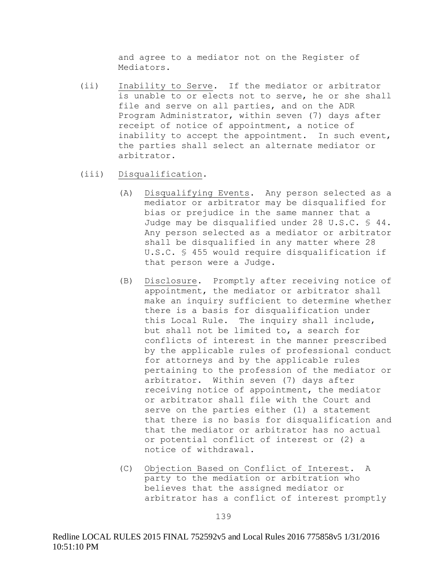and agree to a mediator not on the Register of Mediators.

- (ii) Inability to Serve. If the mediator or arbitrator is unable to or elects not to serve, he or she shall file and serve on all parties, and on the ADR Program Administrator, within seven (7) days after receipt of notice of appointment, a notice of inability to accept the appointment. In such event, the parties shall select an alternate mediator or arbitrator.
- (iii) Disqualification.
	- (A) Disqualifying Events. Any person selected as a mediator or arbitrator may be disqualified for bias or prejudice in the same manner that a Judge may be disqualified under 28 U.S.C. § 44. Any person selected as a mediator or arbitrator shall be disqualified in any matter where 28 U.S.C. § 455 would require disqualification if that person were a Judge.
	- (B) Disclosure. Promptly after receiving notice of appointment, the mediator or arbitrator shall make an inquiry sufficient to determine whether there is a basis for disqualification under this Local Rule. The inquiry shall include, but shall not be limited to, a search for conflicts of interest in the manner prescribed by the applicable rules of professional conduct for attorneys and by the applicable rules pertaining to the profession of the mediator or arbitrator. Within seven (7) days after receiving notice of appointment, the mediator or arbitrator shall file with the Court and serve on the parties either (1) a statement that there is no basis for disqualification and that the mediator or arbitrator has no actual or potential conflict of interest or (2) a notice of withdrawal.
	- (C) Objection Based on Conflict of Interest. A party to the mediation or arbitration who believes that the assigned mediator or arbitrator has a conflict of interest promptly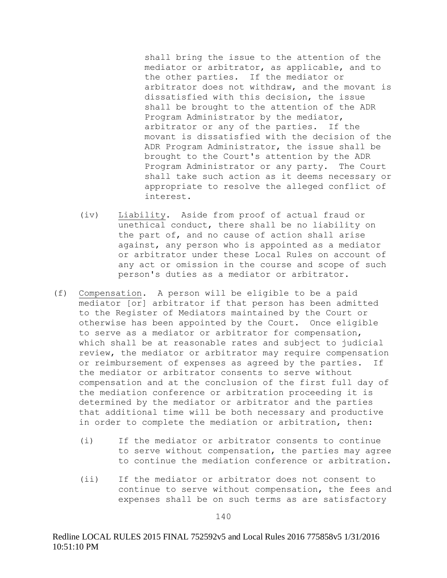shall bring the issue to the attention of the mediator or arbitrator, as applicable, and to the other parties. If the mediator or arbitrator does not withdraw, and the movant is dissatisfied with this decision, the issue shall be brought to the attention of the ADR Program Administrator by the mediator, arbitrator or any of the parties. If the movant is dissatisfied with the decision of the ADR Program Administrator, the issue shall be brought to the Court's attention by the ADR Program Administrator or any party. The Court shall take such action as it deems necessary or appropriate to resolve the alleged conflict of interest.

- (iv) Liability. Aside from proof of actual fraud or unethical conduct, there shall be no liability on the part of, and no cause of action shall arise against, any person who is appointed as a mediator or arbitrator under these Local Rules on account of any act or omission in the course and scope of such person's duties as a mediator or arbitrator.
- (f) Compensation. A person will be eligible to be a paid mediator [or] arbitrator if that person has been admitted to the Register of Mediators maintained by the Court or otherwise has been appointed by the Court. Once eligible to serve as a mediator or arbitrator for compensation, which shall be at reasonable rates and subject to judicial review, the mediator or arbitrator may require compensation or reimbursement of expenses as agreed by the parties. If the mediator or arbitrator consents to serve without compensation and at the conclusion of the first full day of the mediation conference or arbitration proceeding it is determined by the mediator or arbitrator and the parties that additional time will be both necessary and productive in order to complete the mediation or arbitration, then:
	- (i) If the mediator or arbitrator consents to continue to serve without compensation, the parties may agree to continue the mediation conference or arbitration.
	- (ii) If the mediator or arbitrator does not consent to continue to serve without compensation, the fees and expenses shall be on such terms as are satisfactory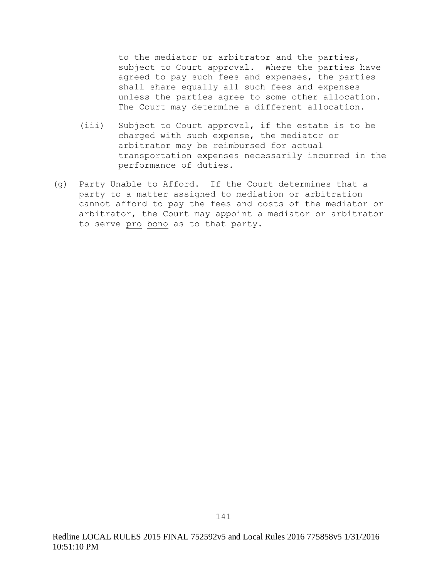to the mediator or arbitrator and the parties, subject to Court approval. Where the parties have agreed to pay such fees and expenses, the parties shall share equally all such fees and expenses unless the parties agree to some other allocation. The Court may determine a different allocation.

- (iii) Subject to Court approval, if the estate is to be charged with such expense, the mediator or arbitrator may be reimbursed for actual transportation expenses necessarily incurred in the performance of duties.
- (g) Party Unable to Afford. If the Court determines that a party to a matter assigned to mediation or arbitration cannot afford to pay the fees and costs of the mediator or arbitrator, the Court may appoint a mediator or arbitrator to serve pro bono as to that party.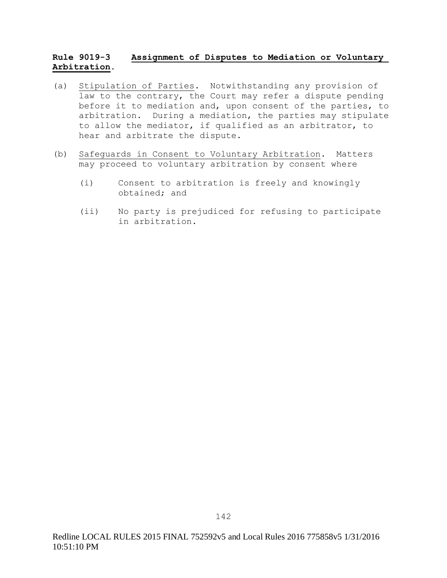# **Rule 9019-3 Assignment of Disputes to Mediation or Voluntary Arbitration**.

- (a) Stipulation of Parties. Notwithstanding any provision of law to the contrary, the Court may refer a dispute pending before it to mediation and, upon consent of the parties, to arbitration. During a mediation, the parties may stipulate to allow the mediator, if qualified as an arbitrator, to hear and arbitrate the dispute.
- (b) Safeguards in Consent to Voluntary Arbitration. Matters may proceed to voluntary arbitration by consent where
	- (i) Consent to arbitration is freely and knowingly obtained; and
	- (ii) No party is prejudiced for refusing to participate in arbitration.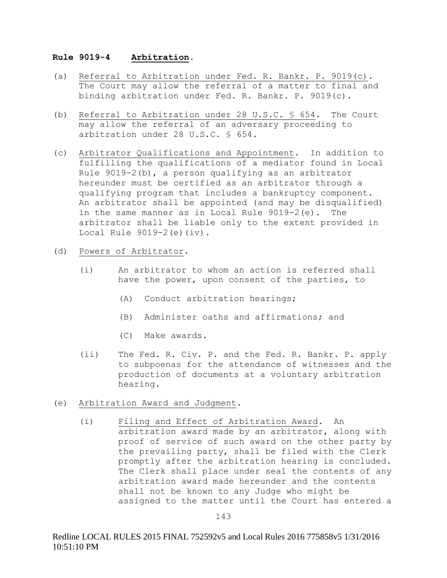### **Rule 9019-4 Arbitration**.

- (a) Referral to Arbitration under Fed. R. Bankr. P. 9019(c). The Court may allow the referral of a matter to final and binding arbitration under Fed. R. Bankr. P. 9019(c).
- (b) Referral to Arbitration under 28 U.S.C. § 654. The Court may allow the referral of an adversary proceeding to arbitration under 28 U.S.C. § 654.
- (c) Arbitrator Qualifications and Appointment. In addition to fulfilling the qualifications of a mediator found in Local Rule  $9019-2(b)$ , a person qualifying as an arbitrator hereunder must be certified as an arbitrator through a qualifying program that includes a bankruptcy component. An arbitrator shall be appointed (and may be disqualified) in the same manner as in Local Rule 9019-2(e). The arbitrator shall be liable only to the extent provided in Local Rule  $9019-2$  (e) (iv).
- (d) Powers of Arbitrator.
	- (i) An arbitrator to whom an action is referred shall have the power, upon consent of the parties, to
		- (A) Conduct arbitration hearings;
		- (B) Administer oaths and affirmations; and
		- (C) Make awards.
	- (ii) The Fed. R. Civ. P. and the Fed. R. Bankr. P. apply to subpoenas for the attendance of witnesses and the production of documents at a voluntary arbitration hearing.
- (e) Arbitration Award and Judgment.
	- (i) Filing and Effect of Arbitration Award. An arbitration award made by an arbitrator, along with proof of service of such award on the other party by the prevailing party, shall be filed with the Clerk promptly after the arbitration hearing is concluded. The Clerk shall place under seal the contents of any arbitration award made hereunder and the contents shall not be known to any Judge who might be assigned to the matter until the Court has entered a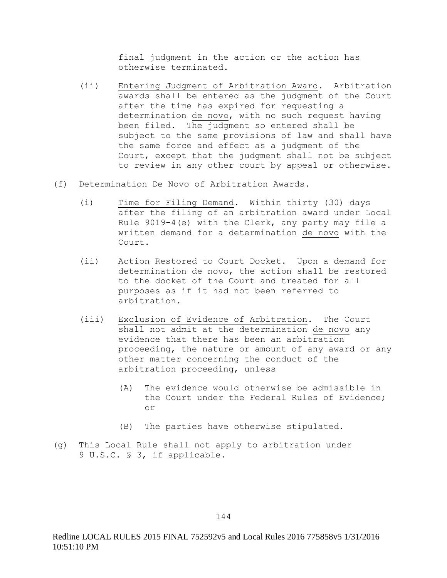final judgment in the action or the action has otherwise terminated.

(ii) Entering Judgment of Arbitration Award. Arbitration awards shall be entered as the judgment of the Court after the time has expired for requesting a determination de novo, with no such request having been filed. The judgment so entered shall be subject to the same provisions of law and shall have the same force and effect as a judgment of the Court, except that the judgment shall not be subject to review in any other court by appeal or otherwise.

### (f) Determination De Novo of Arbitration Awards.

- (i) Time for Filing Demand. Within thirty (30) days after the filing of an arbitration award under Local Rule 9019-4(e) with the Clerk, any party may file a written demand for a determination de novo with the Court.
- (ii) Action Restored to Court Docket. Upon a demand for determination de novo, the action shall be restored to the docket of the Court and treated for all purposes as if it had not been referred to arbitration.
- (iii) Exclusion of Evidence of Arbitration. The Court shall not admit at the determination de novo any evidence that there has been an arbitration proceeding, the nature or amount of any award or any other matter concerning the conduct of the arbitration proceeding, unless
	- (A) The evidence would otherwise be admissible in the Court under the Federal Rules of Evidence; or
	- (B) The parties have otherwise stipulated.
- (g) This Local Rule shall not apply to arbitration under 9 U.S.C. § 3, if applicable.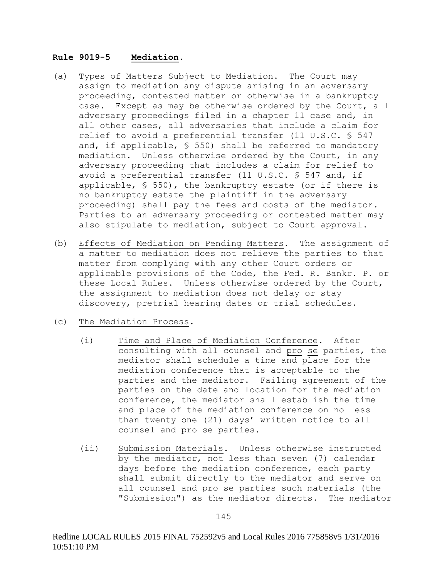#### **Rule 9019-5 Mediation**.

- (a) Types of Matters Subject to Mediation. The Court may assign to mediation any dispute arising in an adversary proceeding, contested matter or otherwise in a bankruptcy case. Except as may be otherwise ordered by the Court, all adversary proceedings filed in a chapter 11 case and, in all other cases, all adversaries that include a claim for relief to avoid a preferential transfer (11 U.S.C. § 547 and, if applicable, § 550) shall be referred to mandatory mediation. Unless otherwise ordered by the Court, in any adversary proceeding that includes a claim for relief to avoid a preferential transfer (11 U.S.C. § 547 and, if applicable, § 550), the bankruptcy estate (or if there is no bankruptcy estate the plaintiff in the adversary proceeding) shall pay the fees and costs of the mediator. Parties to an adversary proceeding or contested matter may also stipulate to mediation, subject to Court approval.
- (b) Effects of Mediation on Pending Matters. The assignment of a matter to mediation does not relieve the parties to that matter from complying with any other Court orders or applicable provisions of the Code, the Fed. R. Bankr. P. or these Local Rules. Unless otherwise ordered by the Court, the assignment to mediation does not delay or stay discovery, pretrial hearing dates or trial schedules.
- (c) The Mediation Process.
	- (i) Time and Place of Mediation Conference. After consulting with all counsel and pro se parties, the mediator shall schedule a time and place for the mediation conference that is acceptable to the parties and the mediator. Failing agreement of the parties on the date and location for the mediation conference, the mediator shall establish the time and place of the mediation conference on no less than twenty one (21) days' written notice to all counsel and pro se parties.
	- (ii) Submission Materials. Unless otherwise instructed by the mediator, not less than seven (7) calendar days before the mediation conference, each party shall submit directly to the mediator and serve on all counsel and pro se parties such materials (the "Submission") as the mediator directs. The mediator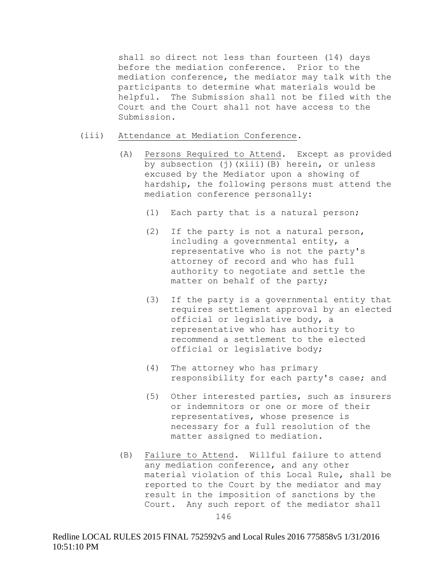shall so direct not less than fourteen (14) days before the mediation conference. Prior to the mediation conference, the mediator may talk with the participants to determine what materials would be helpful. The Submission shall not be filed with the Court and the Court shall not have access to the Submission.

- (iii) Attendance at Mediation Conference.
	- (A) Persons Required to Attend. Except as provided by subsection (j)(xiii)(B) herein, or unless excused by the Mediator upon a showing of hardship, the following persons must attend the mediation conference personally:
		- (1) Each party that is a natural person;
		- (2) If the party is not a natural person, including a governmental entity, a representative who is not the party's attorney of record and who has full authority to negotiate and settle the matter on behalf of the party;
		- (3) If the party is a governmental entity that requires settlement approval by an elected official or legislative body, a representative who has authority to recommend a settlement to the elected official or legislative body;
		- (4) The attorney who has primary responsibility for each party's case; and
		- (5) Other interested parties, such as insurers or indemnitors or one or more of their representatives, whose presence is necessary for a full resolution of the matter assigned to mediation.
	- (B) Failure to Attend. Willful failure to attend any mediation conference, and any other material violation of this Local Rule, shall be reported to the Court by the mediator and may result in the imposition of sanctions by the Court. Any such report of the mediator shall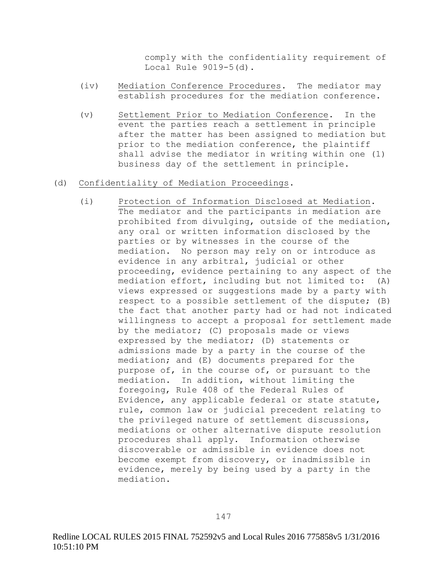comply with the confidentiality requirement of Local Rule 9019-5(d).

- (iv) Mediation Conference Procedures. The mediator may establish procedures for the mediation conference.
- (v) Settlement Prior to Mediation Conference. In the event the parties reach a settlement in principle after the matter has been assigned to mediation but prior to the mediation conference, the plaintiff shall advise the mediator in writing within one (1) business day of the settlement in principle.

## (d) Confidentiality of Mediation Proceedings.

(i) Protection of Information Disclosed at Mediation. The mediator and the participants in mediation are prohibited from divulging, outside of the mediation, any oral or written information disclosed by the parties or by witnesses in the course of the mediation. No person may rely on or introduce as evidence in any arbitral, judicial or other proceeding, evidence pertaining to any aspect of the mediation effort, including but not limited to: (A) views expressed or suggestions made by a party with respect to a possible settlement of the dispute; (B) the fact that another party had or had not indicated willingness to accept a proposal for settlement made by the mediator; (C) proposals made or views expressed by the mediator; (D) statements or admissions made by a party in the course of the mediation; and (E) documents prepared for the purpose of, in the course of, or pursuant to the mediation. In addition, without limiting the foregoing, Rule 408 of the Federal Rules of Evidence, any applicable federal or state statute, rule, common law or judicial precedent relating to the privileged nature of settlement discussions, mediations or other alternative dispute resolution procedures shall apply. Information otherwise discoverable or admissible in evidence does not become exempt from discovery, or inadmissible in evidence, merely by being used by a party in the mediation.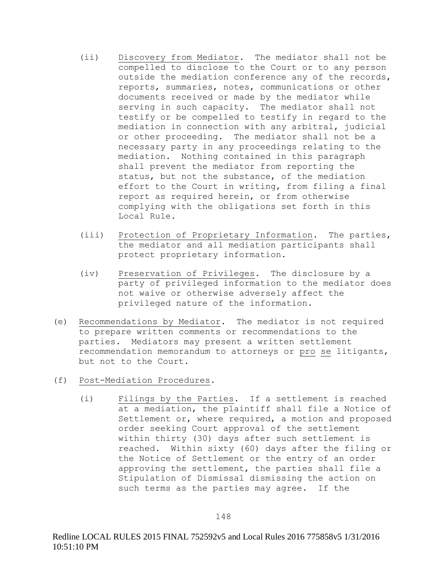- (ii) Discovery from Mediator. The mediator shall not be compelled to disclose to the Court or to any person outside the mediation conference any of the records, reports, summaries, notes, communications or other documents received or made by the mediator while serving in such capacity. The mediator shall not testify or be compelled to testify in regard to the mediation in connection with any arbitral, judicial or other proceeding. The mediator shall not be a necessary party in any proceedings relating to the mediation. Nothing contained in this paragraph shall prevent the mediator from reporting the status, but not the substance, of the mediation effort to the Court in writing, from filing a final report as required herein, or from otherwise complying with the obligations set forth in this Local Rule.
- (iii) Protection of Proprietary Information. The parties, the mediator and all mediation participants shall protect proprietary information.
- (iv) Preservation of Privileges. The disclosure by a party of privileged information to the mediator does not waive or otherwise adversely affect the privileged nature of the information.
- (e) Recommendations by Mediator. The mediator is not required to prepare written comments or recommendations to the parties. Mediators may present a written settlement recommendation memorandum to attorneys or pro se litigants, but not to the Court.
- (f) Post-Mediation Procedures.
	- (i) Filings by the Parties. If a settlement is reached at a mediation, the plaintiff shall file a Notice of Settlement or, where required, a motion and proposed order seeking Court approval of the settlement within thirty (30) days after such settlement is reached. Within sixty (60) days after the filing or the Notice of Settlement or the entry of an order approving the settlement, the parties shall file a Stipulation of Dismissal dismissing the action on such terms as the parties may agree. If the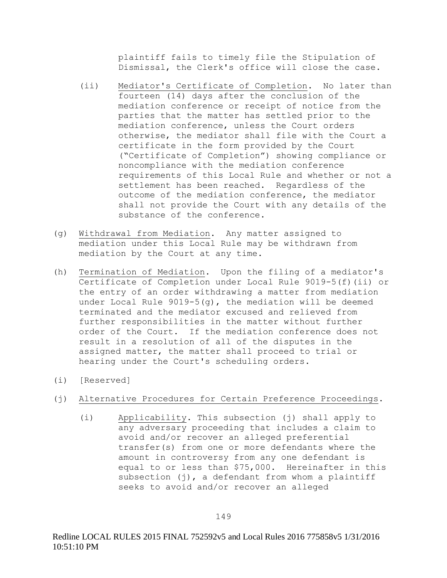plaintiff fails to timely file the Stipulation of Dismissal, the Clerk's office will close the case.

- (ii) Mediator's Certificate of Completion. No later than fourteen (14) days after the conclusion of the mediation conference or receipt of notice from the parties that the matter has settled prior to the mediation conference, unless the Court orders otherwise, the mediator shall file with the Court a certificate in the form provided by the Court ("Certificate of Completion") showing compliance or noncompliance with the mediation conference requirements of this Local Rule and whether or not a settlement has been reached. Regardless of the outcome of the mediation conference, the mediator shall not provide the Court with any details of the substance of the conference.
- (g) Withdrawal from Mediation. Any matter assigned to mediation under this Local Rule may be withdrawn from mediation by the Court at any time.
- (h) Termination of Mediation. Upon the filing of a mediator's Certificate of Completion under Local Rule 9019-5(f)(ii) or the entry of an order withdrawing a matter from mediation under Local Rule  $9019-5(q)$ , the mediation will be deemed terminated and the mediator excused and relieved from further responsibilities in the matter without further order of the Court. If the mediation conference does not result in a resolution of all of the disputes in the assigned matter, the matter shall proceed to trial or hearing under the Court's scheduling orders.
- (i) [Reserved]
- (j) Alternative Procedures for Certain Preference Proceedings.
	- (i) Applicability. This subsection (j) shall apply to any adversary proceeding that includes a claim to avoid and/or recover an alleged preferential transfer(s) from one or more defendants where the amount in controversy from any one defendant is equal to or less than \$75,000. Hereinafter in this subsection  $(j)$ , a defendant from whom a plaintiff seeks to avoid and/or recover an alleged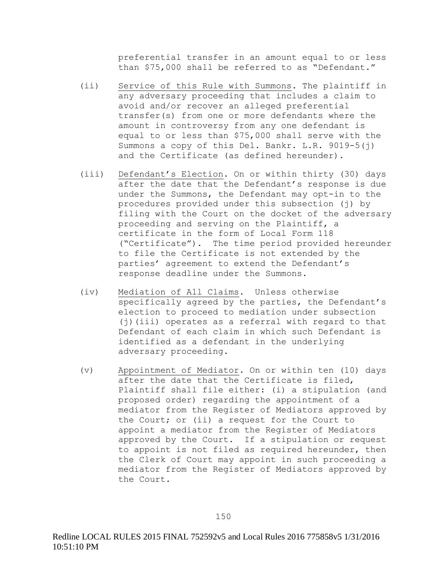preferential transfer in an amount equal to or less than \$75,000 shall be referred to as "Defendant."

- (ii) Service of this Rule with Summons. The plaintiff in any adversary proceeding that includes a claim to avoid and/or recover an alleged preferential transfer(s) from one or more defendants where the amount in controversy from any one defendant is equal to or less than \$75,000 shall serve with the Summons a copy of this Del. Bankr. L.R. 9019-5(j) and the Certificate (as defined hereunder).
- (iii) Defendant's Election. On or within thirty (30) days after the date that the Defendant's response is due under the Summons, the Defendant may opt-in to the procedures provided under this subsection (j) by filing with the Court on the docket of the adversary proceeding and serving on the Plaintiff, a certificate in the form of Local Form 118 ("Certificate"). The time period provided hereunder to file the Certificate is not extended by the parties' agreement to extend the Defendant's response deadline under the Summons.
- (iv) Mediation of All Claims. Unless otherwise specifically agreed by the parties, the Defendant's election to proceed to mediation under subsection (j)(iii) operates as a referral with regard to that Defendant of each claim in which such Defendant is identified as a defendant in the underlying adversary proceeding.
- (v) Appointment of Mediator. On or within ten (10) days after the date that the Certificate is filed, Plaintiff shall file either: (i) a stipulation (and proposed order) regarding the appointment of a mediator from the Register of Mediators approved by the Court; or (ii) a request for the Court to appoint a mediator from the Register of Mediators approved by the Court. If a stipulation or request to appoint is not filed as required hereunder, then the Clerk of Court may appoint in such proceeding a mediator from the Register of Mediators approved by the Court.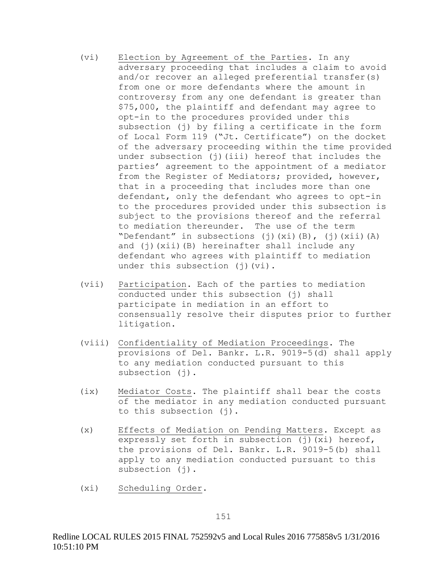- (vi) Election by Agreement of the Parties. In any adversary proceeding that includes a claim to avoid and/or recover an alleged preferential transfer(s) from one or more defendants where the amount in controversy from any one defendant is greater than \$75,000, the plaintiff and defendant may agree to opt-in to the procedures provided under this subsection (j) by filing a certificate in the form of Local Form 119 ("Jt. Certificate") on the docket of the adversary proceeding within the time provided under subsection (j)(iii) hereof that includes the parties' agreement to the appointment of a mediator from the Register of Mediators; provided, however, that in a proceeding that includes more than one defendant, only the defendant who agrees to opt-in to the procedures provided under this subsection is subject to the provisions thereof and the referral to mediation thereunder. The use of the term "Defendant" in subsections  $(j)$   $(xi)$   $(B)$ ,  $(j)$   $(xii)$   $(A)$ and  $(i)$  (xii)(B) hereinafter shall include any defendant who agrees with plaintiff to mediation under this subsection (j)(vi).
- (vii) Participation. Each of the parties to mediation conducted under this subsection (j) shall participate in mediation in an effort to consensually resolve their disputes prior to further litigation.
- (viii) Confidentiality of Mediation Proceedings. The provisions of Del. Bankr. L.R. 9019-5(d) shall apply to any mediation conducted pursuant to this subsection (j).
- (ix) Mediator Costs. The plaintiff shall bear the costs of the mediator in any mediation conducted pursuant to this subsection (j).
- (x) Effects of Mediation on Pending Matters. Except as expressly set forth in subsection (j)(xi) hereof, the provisions of Del. Bankr. L.R. 9019-5(b) shall apply to any mediation conducted pursuant to this subsection (j).
- (xi) Scheduling Order.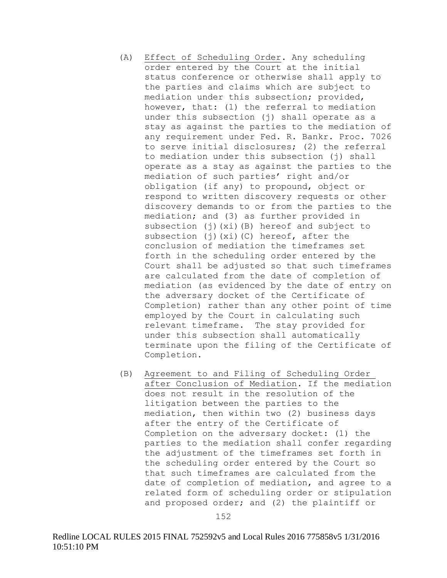- (A) Effect of Scheduling Order. Any scheduling order entered by the Court at the initial status conference or otherwise shall apply to the parties and claims which are subject to mediation under this subsection; provided, however, that: (1) the referral to mediation under this subsection (j) shall operate as a stay as against the parties to the mediation of any requirement under Fed. R. Bankr. Proc. 7026 to serve initial disclosures; (2) the referral to mediation under this subsection (j) shall operate as a stay as against the parties to the mediation of such parties' right and/or obligation (if any) to propound, object or respond to written discovery requests or other discovery demands to or from the parties to the mediation; and (3) as further provided in subsection (j)(xi)(B) hereof and subject to subsection  $(j)$  (xi)(C) hereof, after the conclusion of mediation the timeframes set forth in the scheduling order entered by the Court shall be adjusted so that such timeframes are calculated from the date of completion of mediation (as evidenced by the date of entry on the adversary docket of the Certificate of Completion) rather than any other point of time employed by the Court in calculating such relevant timeframe. The stay provided for under this subsection shall automatically terminate upon the filing of the Certificate of Completion.
- (B) Agreement to and Filing of Scheduling Order after Conclusion of Mediation. If the mediation does not result in the resolution of the litigation between the parties to the mediation, then within two (2) business days after the entry of the Certificate of Completion on the adversary docket: (1) the parties to the mediation shall confer regarding the adjustment of the timeframes set forth in the scheduling order entered by the Court so that such timeframes are calculated from the date of completion of mediation, and agree to a related form of scheduling order or stipulation and proposed order; and (2) the plaintiff or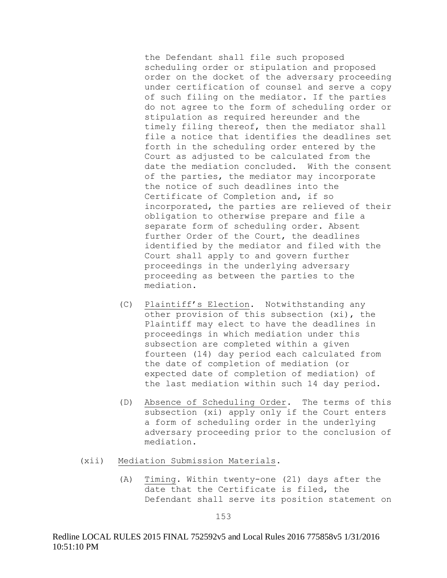the Defendant shall file such proposed scheduling order or stipulation and proposed order on the docket of the adversary proceeding under certification of counsel and serve a copy of such filing on the mediator. If the parties do not agree to the form of scheduling order or stipulation as required hereunder and the timely filing thereof, then the mediator shall file a notice that identifies the deadlines set forth in the scheduling order entered by the Court as adjusted to be calculated from the date the mediation concluded. With the consent of the parties, the mediator may incorporate the notice of such deadlines into the Certificate of Completion and, if so incorporated, the parties are relieved of their obligation to otherwise prepare and file a separate form of scheduling order. Absent further Order of the Court, the deadlines identified by the mediator and filed with the Court shall apply to and govern further proceedings in the underlying adversary proceeding as between the parties to the mediation.

- (C) Plaintiff's Election. Notwithstanding any other provision of this subsection (xi), the Plaintiff may elect to have the deadlines in proceedings in which mediation under this subsection are completed within a given fourteen (14) day period each calculated from the date of completion of mediation (or expected date of completion of mediation) of the last mediation within such 14 day period.
- (D) Absence of Scheduling Order. The terms of this subsection (xi) apply only if the Court enters a form of scheduling order in the underlying adversary proceeding prior to the conclusion of mediation.
- (xii) Mediation Submission Materials.
	- (A) Timing. Within twenty-one (21) days after the date that the Certificate is filed, the Defendant shall serve its position statement on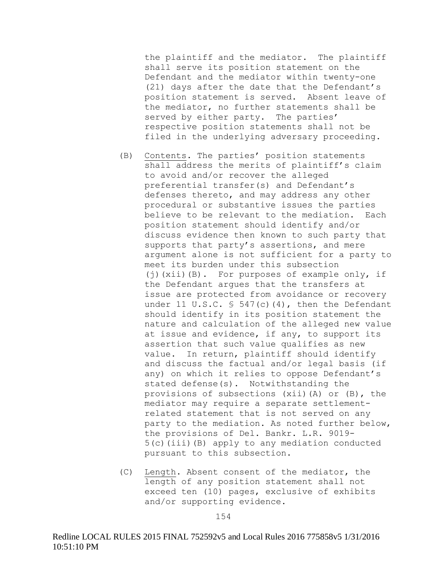the plaintiff and the mediator. The plaintiff shall serve its position statement on the Defendant and the mediator within twenty-one (21) days after the date that the Defendant's position statement is served. Absent leave of the mediator, no further statements shall be served by either party. The parties' respective position statements shall not be filed in the underlying adversary proceeding.

- (B) Contents. The parties' position statements shall address the merits of plaintiff's claim to avoid and/or recover the alleged preferential transfer(s) and Defendant's defenses thereto, and may address any other procedural or substantive issues the parties believe to be relevant to the mediation. Each position statement should identify and/or discuss evidence then known to such party that supports that party's assertions, and mere argument alone is not sufficient for a party to meet its burden under this subsection (j)(xii)(B). For purposes of example only, if the Defendant argues that the transfers at issue are protected from avoidance or recovery under 11 U.S.C.  $\frac{1}{547(c)}$  (4), then the Defendant should identify in its position statement the nature and calculation of the alleged new value at issue and evidence, if any, to support its assertion that such value qualifies as new value. In return, plaintiff should identify and discuss the factual and/or legal basis (if any) on which it relies to oppose Defendant's stated defense(s). Notwithstanding the provisions of subsections (xii)(A) or (B), the mediator may require a separate settlementrelated statement that is not served on any party to the mediation. As noted further below, the provisions of Del. Bankr. L.R. 9019- 5(c)(iii)(B) apply to any mediation conducted pursuant to this subsection.
- (C) Length. Absent consent of the mediator, the length of any position statement shall not exceed ten (10) pages, exclusive of exhibits and/or supporting evidence.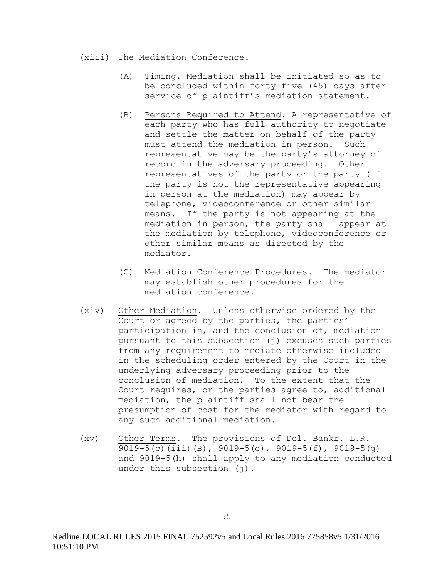#### (xiii) The Mediation Conference.

- (A) Timing. Mediation shall be initiated so as to be concluded within forty-five (45) days after service of plaintiff's mediation statement.
- (B) Persons Required to Attend. A representative of each party who has full authority to negotiate and settle the matter on behalf of the party must attend the mediation in person. Such representative may be the party's attorney of record in the adversary proceeding. Other representatives of the party or the party (if the party is not the representative appearing in person at the mediation) may appear by telephone, videoconference or other similar means. If the party is not appearing at the mediation in person, the party shall appear at the mediation by telephone, videoconference or other similar means as directed by the mediator.
- (C) Mediation Conference Procedures. The mediator may establish other procedures for the mediation conference.
- (xiv) Other Mediation. Unless otherwise ordered by the Court or agreed by the parties, the parties' participation in, and the conclusion of, mediation pursuant to this subsection (j) excuses such parties from any requirement to mediate otherwise included in the scheduling order entered by the Court in the underlying adversary proceeding prior to the conclusion of mediation. To the extent that the Court requires, or the parties agree to, additional mediation, the plaintiff shall not bear the presumption of cost for the mediator with regard to any such additional mediation.
- (xv) Other Terms. The provisions of Del. Bankr. L.R. 9019-5(c)(iii)(B), 9019-5(e), 9019-5(f), 9019-5(q) and 9019-5(h) shall apply to any mediation conducted under this subsection (j).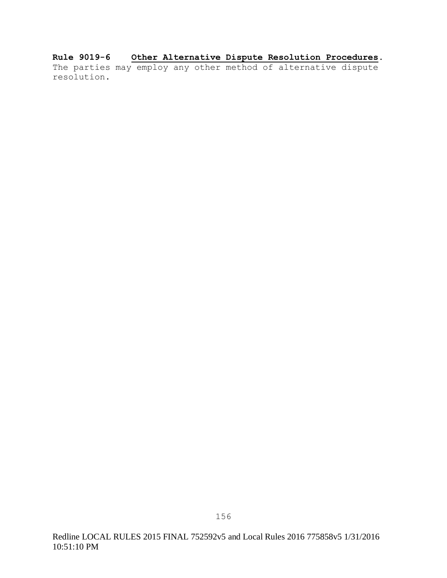**Rule 9019-6 Other Alternative Dispute Resolution Procedures**.

The parties may employ any other method of alternative dispute resolution.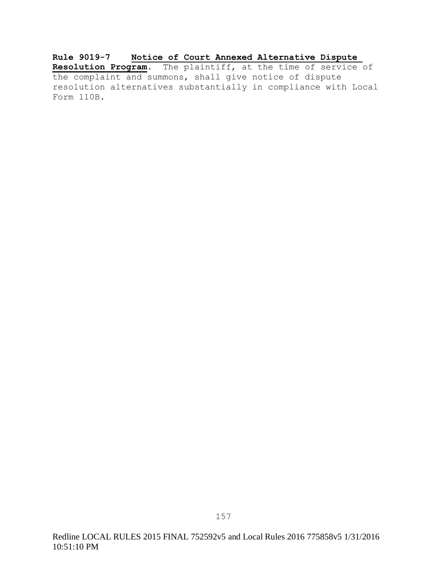**Rule 9019-7 Notice of Court Annexed Alternative Dispute Resolution Program**. The plaintiff, at the time of service of the complaint and summons, shall give notice of dispute resolution alternatives substantially in compliance with Local Form 110B.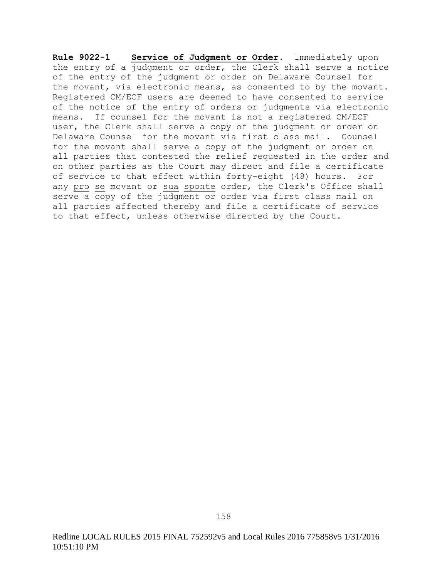**Rule 9022-1 Service of Judgment or Order**. Immediately upon the entry of a judgment or order, the Clerk shall serve a notice of the entry of the judgment or order on Delaware Counsel for the movant, via electronic means, as consented to by the movant. Registered CM/ECF users are deemed to have consented to service of the notice of the entry of orders or judgments via electronic means. If counsel for the movant is not a registered CM/ECF user, the Clerk shall serve a copy of the judgment or order on Delaware Counsel for the movant via first class mail. Counsel for the movant shall serve a copy of the judgment or order on all parties that contested the relief requested in the order and on other parties as the Court may direct and file a certificate of service to that effect within forty-eight (48) hours. For any pro se movant or sua sponte order, the Clerk's Office shall serve a copy of the judgment or order via first class mail on all parties affected thereby and file a certificate of service to that effect, unless otherwise directed by the Court.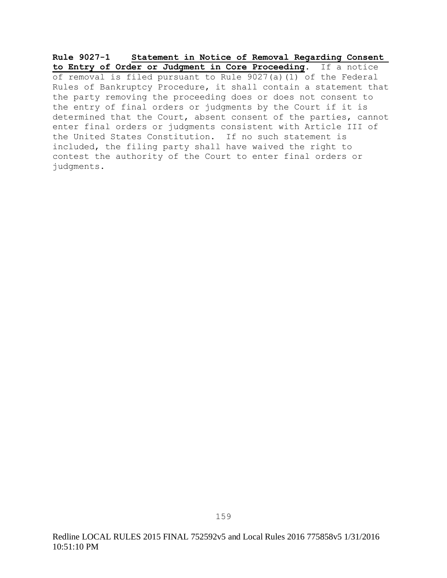**Rule 9027-1 Statement in Notice of Removal Regarding Consent to Entry of Order or Judgment in Core Proceeding**. If a notice of removal is filed pursuant to Rule  $9027(a)(1)$  of the Federal Rules of Bankruptcy Procedure, it shall contain a statement that the party removing the proceeding does or does not consent to the entry of final orders or judgments by the Court if it is determined that the Court, absent consent of the parties, cannot enter final orders or judgments consistent with Article III of the United States Constitution. If no such statement is included, the filing party shall have waived the right to contest the authority of the Court to enter final orders or judgments.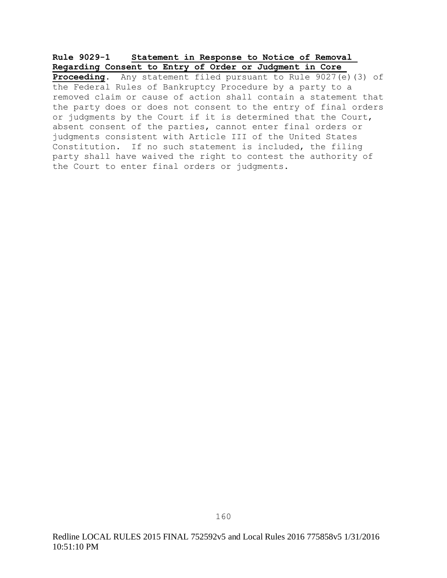## **Rule 9029-1 Statement in Response to Notice of Removal Regarding Consent to Entry of Order or Judgment in Core**

**Proceeding**. Any statement filed pursuant to Rule 9027(e)(3) of the Federal Rules of Bankruptcy Procedure by a party to a removed claim or cause of action shall contain a statement that the party does or does not consent to the entry of final orders or judgments by the Court if it is determined that the Court, absent consent of the parties, cannot enter final orders or judgments consistent with Article III of the United States Constitution. If no such statement is included, the filing party shall have waived the right to contest the authority of the Court to enter final orders or judgments.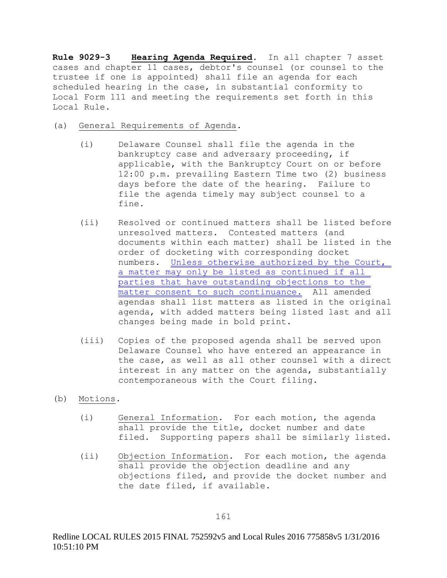**Rule 9029-3 Hearing Agenda Required**. In all chapter 7 asset cases and chapter 11 cases, debtor's counsel (or counsel to the trustee if one is appointed) shall file an agenda for each scheduled hearing in the case, in substantial conformity to Local Form 111 and meeting the requirements set forth in this Local Rule.

- (a) General Requirements of Agenda.
	- (i) Delaware Counsel shall file the agenda in the bankruptcy case and adversary proceeding, if applicable, with the Bankruptcy Court on or before 12:00 p.m. prevailing Eastern Time two (2) business days before the date of the hearing. Failure to file the agenda timely may subject counsel to a fine.
	- (ii) Resolved or continued matters shall be listed before unresolved matters. Contested matters (and documents within each matter) shall be listed in the order of docketing with corresponding docket numbers. Unless otherwise authorized by the Court, a matter may only be listed as continued if all parties that have outstanding objections to the matter consent to such continuance. All amended agendas shall list matters as listed in the original agenda, with added matters being listed last and all changes being made in bold print.
	- (iii) Copies of the proposed agenda shall be served upon Delaware Counsel who have entered an appearance in the case, as well as all other counsel with a direct interest in any matter on the agenda, substantially contemporaneous with the Court filing.
- (b) Motions.
	- (i) General Information. For each motion, the agenda shall provide the title, docket number and date filed. Supporting papers shall be similarly listed.
	- (ii) Objection Information. For each motion, the agenda shall provide the objection deadline and any objections filed, and provide the docket number and the date filed, if available.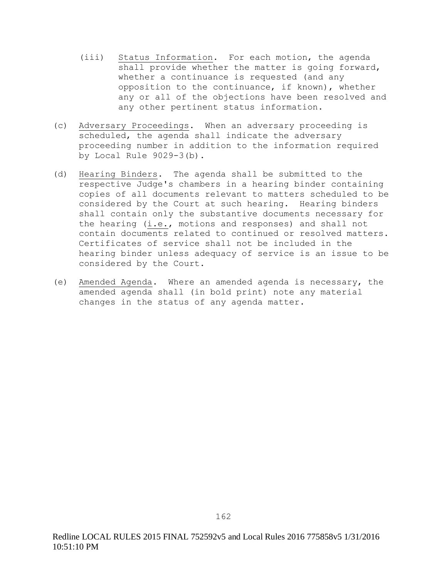- (iii) Status Information. For each motion, the agenda shall provide whether the matter is going forward, whether a continuance is requested (and any opposition to the continuance, if known), whether any or all of the objections have been resolved and any other pertinent status information.
- (c) Adversary Proceedings. When an adversary proceeding is scheduled, the agenda shall indicate the adversary proceeding number in addition to the information required by Local Rule 9029-3(b).
- (d) Hearing Binders. The agenda shall be submitted to the respective Judge's chambers in a hearing binder containing copies of all documents relevant to matters scheduled to be considered by the Court at such hearing. Hearing binders shall contain only the substantive documents necessary for the hearing (i.e., motions and responses) and shall not contain documents related to continued or resolved matters. Certificates of service shall not be included in the hearing binder unless adequacy of service is an issue to be considered by the Court.
- (e) Amended Agenda. Where an amended agenda is necessary, the amended agenda shall (in bold print) note any material changes in the status of any agenda matter.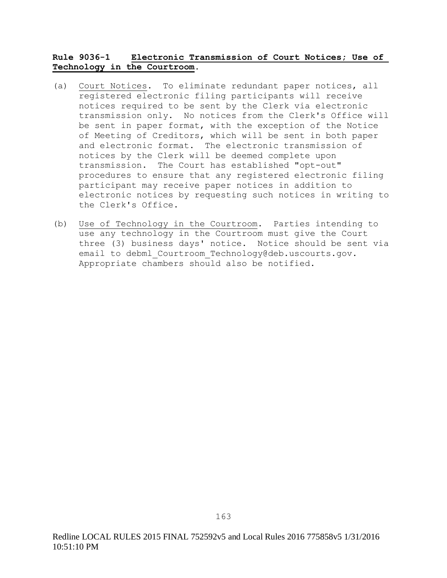## **Rule 9036-1 Electronic Transmission of Court Notices; Use of Technology in the Courtroom**.

- (a) Court Notices. To eliminate redundant paper notices, all registered electronic filing participants will receive notices required to be sent by the Clerk via electronic transmission only. No notices from the Clerk's Office will be sent in paper format, with the exception of the Notice of Meeting of Creditors, which will be sent in both paper and electronic format. The electronic transmission of notices by the Clerk will be deemed complete upon transmission. The Court has established "opt-out" procedures to ensure that any registered electronic filing participant may receive paper notices in addition to electronic notices by requesting such notices in writing to the Clerk's Office.
- (b) Use of Technology in the Courtroom. Parties intending to use any technology in the Courtroom must give the Court three (3) business days' notice. Notice should be sent via email to debml Courtroom Technology@deb.uscourts.gov. Appropriate chambers should also be notified.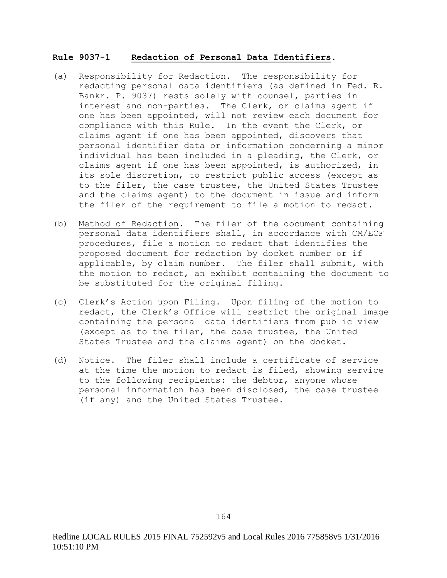#### **Rule 9037-1 Redaction of Personal Data Identifiers**.

- (a) Responsibility for Redaction. The responsibility for redacting personal data identifiers (as defined in Fed. R. Bankr. P. 9037) rests solely with counsel, parties in interest and non-parties. The Clerk, or claims agent if one has been appointed, will not review each document for compliance with this Rule. In the event the Clerk, or claims agent if one has been appointed, discovers that personal identifier data or information concerning a minor individual has been included in a pleading, the Clerk, or claims agent if one has been appointed, is authorized, in its sole discretion, to restrict public access (except as to the filer, the case trustee, the United States Trustee and the claims agent) to the document in issue and inform the filer of the requirement to file a motion to redact.
- (b) Method of Redaction. The filer of the document containing personal data identifiers shall, in accordance with CM/ECF procedures, file a motion to redact that identifies the proposed document for redaction by docket number or if applicable, by claim number. The filer shall submit, with the motion to redact, an exhibit containing the document to be substituted for the original filing.
- (c) Clerk's Action upon Filing. Upon filing of the motion to redact, the Clerk's Office will restrict the original image containing the personal data identifiers from public view (except as to the filer, the case trustee, the United States Trustee and the claims agent) on the docket.
- (d) Notice. The filer shall include a certificate of service at the time the motion to redact is filed, showing service to the following recipients: the debtor, anyone whose personal information has been disclosed, the case trustee (if any) and the United States Trustee.

Redline LOCAL RULES 2015 FINAL 752592v5 and Local Rules 2016 775858v5 1/31/2016 10:51:10 PM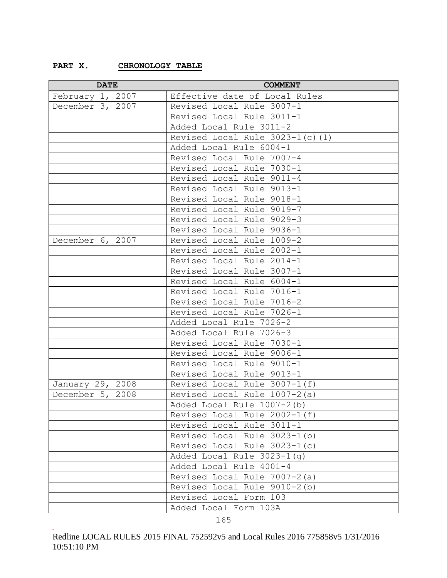# **PART X. CHRONOLOGY TABLE**

| <b>DATE</b>      | <b>COMMENT</b>                     |
|------------------|------------------------------------|
| February 1, 2007 | Effective date of Local Rules      |
| December 3, 2007 | Revised Local Rule 3007-1          |
|                  | Revised Local Rule 3011-1          |
|                  | Added Local Rule 3011-2            |
|                  | Revised Local Rule $3023-1(c)$ (1) |
|                  | Added Local Rule 6004-1            |
|                  | Revised Local Rule 7007-4          |
|                  | Revised Local Rule 7030-1          |
|                  | Revised Local Rule 9011-4          |
|                  | Revised Local Rule 9013-1          |
|                  | Revised Local Rule 9018-1          |
|                  | Revised Local Rule 9019-7          |
|                  | Revised Local Rule 9029-3          |
|                  | Revised Local Rule 9036-1          |
| December 6, 2007 | Revised Local Rule 1009-2          |
|                  | Revised Local Rule 2002-1          |
|                  | Revised Local Rule 2014-1          |
|                  | Revised Local Rule 3007-1          |
|                  | Revised Local Rule 6004-1          |
|                  | Revised Local Rule 7016-1          |
|                  | Revised Local Rule 7016-2          |
|                  | Revised Local Rule 7026-1          |
|                  | Added Local Rule 7026-2            |
|                  | Added Local Rule 7026-3            |
|                  | Revised Local Rule 7030-1          |
|                  | Revised Local Rule 9006-1          |
|                  | Revised Local Rule 9010-1          |
|                  | Revised Local Rule 9013-1          |
| January 29, 2008 | Revised Local Rule 3007-1(f)       |
| December 5, 2008 | Revised Local Rule 1007-2(a)       |
|                  | Added Local Rule 1007-2(b)         |
|                  | Revised Local Rule 2002-1(f)       |
|                  | Revised Local Rule 3011-1          |
|                  | Revised Local Rule 3023-1(b)       |
|                  | Revised Local Rule 3023-1(c)       |
|                  | Added Local Rule 3023-1(q)         |
|                  | Added Local Rule 4001-4            |
|                  | Revised Local Rule 7007-2(a)       |
|                  | Revised Local Rule 9010-2(b)       |
|                  | Revised Local Form 103             |
|                  | Added Local Form 103A              |

165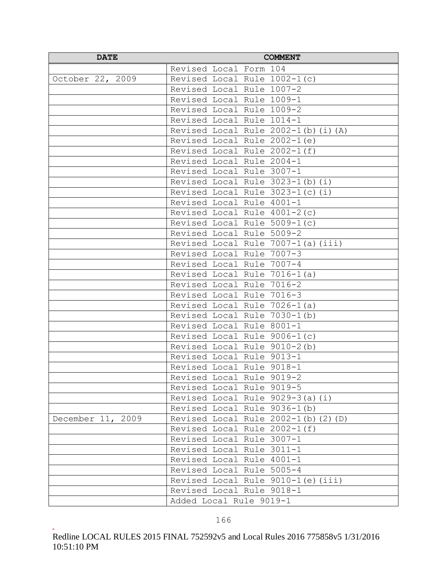| <b>DATE</b>       | <b>COMMENT</b>                            |
|-------------------|-------------------------------------------|
|                   | Revised Local Form 104                    |
| October 22, 2009  | Revised Local Rule 1002-1(c)              |
|                   | Revised Local Rule 1007-2                 |
|                   | Revised Local Rule 1009-1                 |
|                   | Revised Local Rule 1009-2                 |
|                   | Revised Local Rule 1014-1                 |
|                   | Revised Local Rule $2002-1$ (b) (i) (A)   |
|                   | Revised Local Rule 2002-1(e)              |
|                   | Revised Local Rule 2002-1(f)              |
|                   | Revised Local Rule 2004-1                 |
|                   | Revised Local Rule 3007-1                 |
|                   | Revised Local Rule $3023-1$ (b) (i)       |
|                   | Revised Local Rule $3023-1(c)$ (i)        |
|                   | Revised Local Rule 4001-1                 |
|                   | Revised Local Rule $4001-2(c)$            |
|                   | Revised Local Rule 5009-1(c)              |
|                   | Revised Local Rule 5009-2                 |
|                   | Revised Local Rule 7007-1(a) (iii)        |
|                   | Revised Local Rule 7007-3                 |
|                   | Revised Local Rule 7007-4                 |
|                   | Revised Local Rule 7016-1(a)              |
|                   | Revised Local Rule 7016-2                 |
|                   | Revised Local Rule 7016-3                 |
|                   | Revised Local Rule 7026-1(a)              |
|                   | Revised Local Rule 7030-1(b)              |
|                   | Revised Local Rule 8001-1                 |
|                   | Revised Local Rule 9006-1(c)              |
|                   | Revised Local Rule 9010-2(b)              |
|                   | Revised Local Rule 9013-1                 |
|                   | Revised Local Rule 9018-1                 |
|                   | Revised Local Rule 9019-2                 |
|                   | Revised Local Rule 9019-5                 |
|                   | Revised Local Rule $9029-3(a)(i)$         |
|                   | Revised Local Rule 9036-1(b)              |
| December 11, 2009 | Revised Local Rule $2002-1$ (b) $(2)$ (D) |
|                   | Revised Local Rule 2002-1(f)              |
|                   | Revised Local Rule 3007-1                 |
|                   | Revised Local Rule 3011-1                 |
|                   | Revised Local Rule 4001-1                 |
|                   | Revised Local Rule 5005-4                 |
|                   | Revised Local Rule 9010-1(e)(iii)         |
|                   | Revised Local Rule 9018-1                 |
|                   | Added Local Rule 9019-1                   |

166

Redline LOCAL RULES 2015 FINAL 752592v5 and Local Rules 2016 775858v5 1/31/2016 10:51:10 PM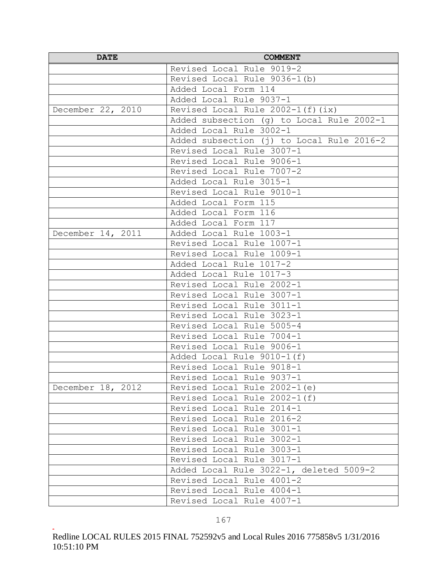| <b>DATE</b>       | <b>COMMENT</b>                            |
|-------------------|-------------------------------------------|
|                   | Revised Local Rule 9019-2                 |
|                   | Revised Local Rule 9036-1(b)              |
|                   | Added Local Form 114                      |
|                   | Added Local Rule 9037-1                   |
| December 22, 2010 | Revised Local Rule $2002-1(f)(ix)$        |
|                   | Added subsection (g) to Local Rule 2002-1 |
|                   | Added Local Rule 3002-1                   |
|                   | Added subsection (j) to Local Rule 2016-2 |
|                   | Revised Local Rule 3007-1                 |
|                   | Revised Local Rule 9006-1                 |
|                   | Revised Local Rule 7007-2                 |
|                   | Added Local Rule 3015-1                   |
|                   | Revised Local Rule 9010-1                 |
|                   | Added Local Form 115                      |
|                   | Added Local Form 116                      |
|                   | Added Local Form 117                      |
| December 14, 2011 | Added Local Rule 1003-1                   |
|                   | Revised Local Rule 1007-1                 |
|                   | Revised Local Rule 1009-1                 |
|                   | Added Local Rule 1017-2                   |
|                   | Added Local Rule 1017-3                   |
|                   | Revised Local Rule 2002-1                 |
|                   | Revised Local Rule 3007-1                 |
|                   | Revised Local Rule 3011-1                 |
|                   | Revised Local Rule 3023-1                 |
|                   | Revised Local Rule 5005-4                 |
|                   | Revised Local Rule 7004-1                 |
|                   | Revised Local Rule 9006-1                 |
|                   | Added Local Rule 9010-1(f)                |
|                   | Revised Local Rule 9018-1                 |
|                   | Revised Local Rule 9037-1                 |
| December 18, 2012 | Revised Local Rule 2002-1(e)              |
|                   | Revised Local Rule 2002-1(f)              |
|                   | Revised Local Rule 2014-1                 |
|                   | Revised Local Rule 2016-2                 |
|                   | Revised Local Rule 3001-1                 |
|                   | Revised Local Rule 3002-1                 |
|                   | Revised Local Rule 3003-1                 |
|                   | Revised Local Rule 3017-1                 |
|                   | Added Local Rule 3022-1, deleted 5009-2   |
|                   | Revised Local Rule 4001-2                 |
|                   | Revised Local Rule 4004-1                 |
|                   | Revised Local Rule 4007-1                 |

167

Redline LOCAL RULES 2015 FINAL 752592v5 and Local Rules 2016 775858v5 1/31/2016 10:51:10 PM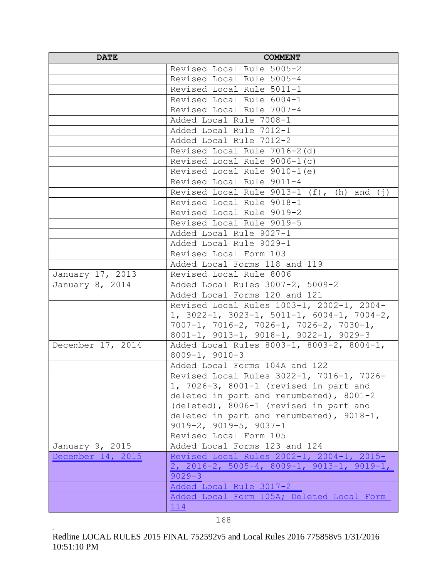| <b>DATE</b>       | <b>COMMENT</b>                                                                          |
|-------------------|-----------------------------------------------------------------------------------------|
|                   | Revised Local Rule 5005-2                                                               |
|                   | Revised Local Rule 5005-4                                                               |
|                   | Revised Local Rule 5011-1                                                               |
|                   | Revised Local Rule 6004-1                                                               |
|                   | Revised Local Rule 7007-4                                                               |
|                   | Added Local Rule 7008-1                                                                 |
|                   | Added Local Rule 7012-1                                                                 |
|                   | Added Local Rule 7012-2                                                                 |
|                   | Revised Local Rule 7016-2(d)                                                            |
|                   | Revised Local Rule 9006-1(c)                                                            |
|                   | Revised Local Rule 9010-1(e)                                                            |
|                   | Revised Local Rule 9011-4                                                               |
|                   | Revised Local Rule 9013-1 (f), (h) and (j)                                              |
|                   | Revised Local Rule 9018-1                                                               |
|                   | Revised Local Rule 9019-2                                                               |
|                   | Revised Local Rule 9019-5                                                               |
|                   | Added Local Rule 9027-1                                                                 |
|                   | Added Local Rule 9029-1                                                                 |
|                   | Revised Local Form 103                                                                  |
|                   | Added Local Forms 118 and 119                                                           |
| January 17, 2013  | Revised Local Rule 8006                                                                 |
| January 8, 2014   | Added Local Rules 3007-2, 5009-2                                                        |
|                   | Added Local Forms 120 and 121                                                           |
|                   | Revised Local Rules 1003-1, 2002-1, 2004-                                               |
|                   | 1, $3022-1$ , $3023-1$ , $5011-1$ , $6004-1$ , $7004-2$ ,                               |
|                   | $7007 - 1, 7016 - 2, 7026 - 1, 7026 - 2, 7030 - 1,$                                     |
|                   | 8001-1, 9013-1, 9018-1, 9022-1, 9029-3                                                  |
| December 17, 2014 | Added Local Rules 8003-1, 8003-2, 8004-1,                                               |
|                   | $8009 - 1, 9010 - 3$                                                                    |
|                   | Added Local Forms 104A and 122                                                          |
|                   | Revised Local Rules 3022-1, 7016-1, 7026-                                               |
|                   | 1, 7026-3, 8001-1 (revised in part and                                                  |
|                   | deleted in part and renumbered), 8001-2                                                 |
|                   | (deleted), 8006-1 (revised in part and                                                  |
|                   | deleted in part and renumbered), 9018-1,                                                |
|                   | $9019 - 2$ , $9019 - 5$ , $9037 - 1$                                                    |
|                   | Revised Local Form 105                                                                  |
| January 9, 2015   | Added Local Forms 123 and 124                                                           |
| December 14, 2015 | Revised Local Rules 2002-1, 2004-1, 2015-<br>2, 2016-2, 5005-4, 8009-1, 9013-1, 9019-1, |
|                   | $9029 - 3$                                                                              |
|                   | Added Local Rule 3017-2                                                                 |
|                   | Added Local Form 105A; Deleted Local Form                                               |
|                   | 114                                                                                     |
|                   |                                                                                         |

168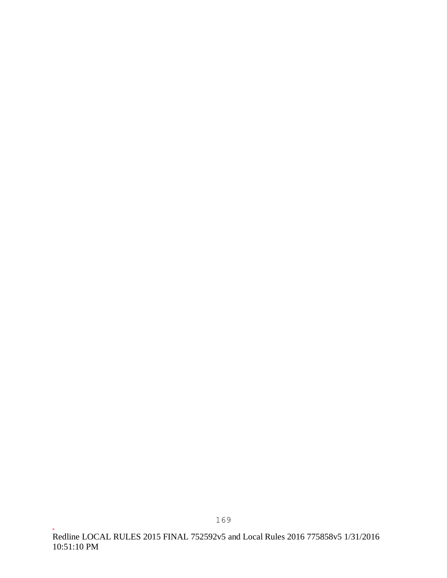- Redline LOCAL RULES 2015 FINAL 752592v5 and Local Rules 2016 775858v5 1/31/2016 10:51:10 PM